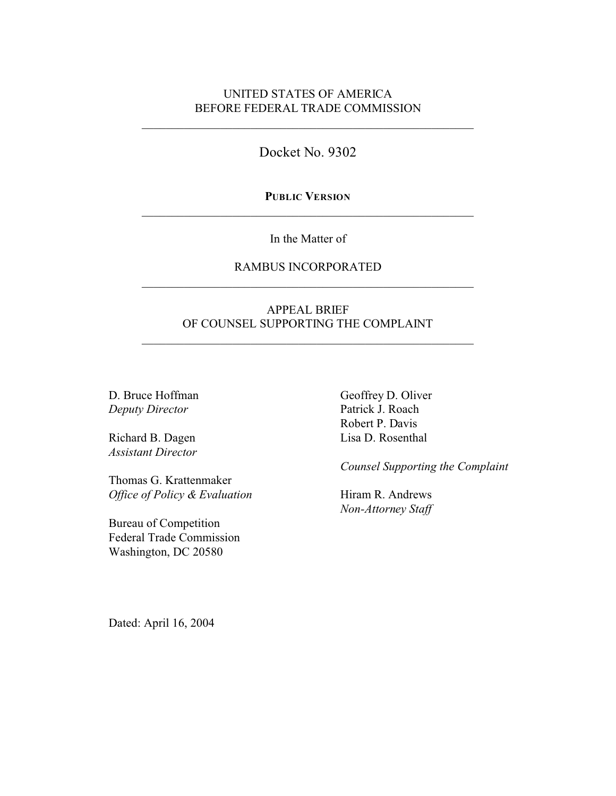# UNITED STATES OF AMERICA BEFORE FEDERAL TRADE COMMISSION

Docket No. 9302

**PUBLIC VERSION** \_\_\_\_\_\_\_\_\_\_\_\_\_\_\_\_\_\_\_\_\_\_\_\_\_\_\_\_\_\_\_\_\_\_\_\_\_\_\_\_\_\_\_\_\_\_\_\_\_\_\_\_\_\_\_

In the Matter of

# RAMBUS INCORPORATED \_\_\_\_\_\_\_\_\_\_\_\_\_\_\_\_\_\_\_\_\_\_\_\_\_\_\_\_\_\_\_\_\_\_\_\_\_\_\_\_\_\_\_\_\_\_\_\_\_\_\_\_\_\_\_

# APPEAL BRIEF OF COUNSEL SUPPORTING THE COMPLAINT

\_\_\_\_\_\_\_\_\_\_\_\_\_\_\_\_\_\_\_\_\_\_\_\_\_\_\_\_\_\_\_\_\_\_\_\_\_\_\_\_\_\_\_\_\_\_\_\_\_\_\_\_\_\_\_

D. Bruce Hoffman *Deputy Director*

Richard B. Dagen *Assistant Director*

Thomas G. Krattenmaker *Office of Policy & Evaluation*

Bureau of Competition Federal Trade Commission Washington, DC 20580

Geoffrey D. Oliver Patrick J. Roach Robert P. Davis Lisa D. Rosenthal

*Counsel Supporting the Complaint*

Hiram R. Andrews *Non-Attorney Staff*

Dated: April 16, 2004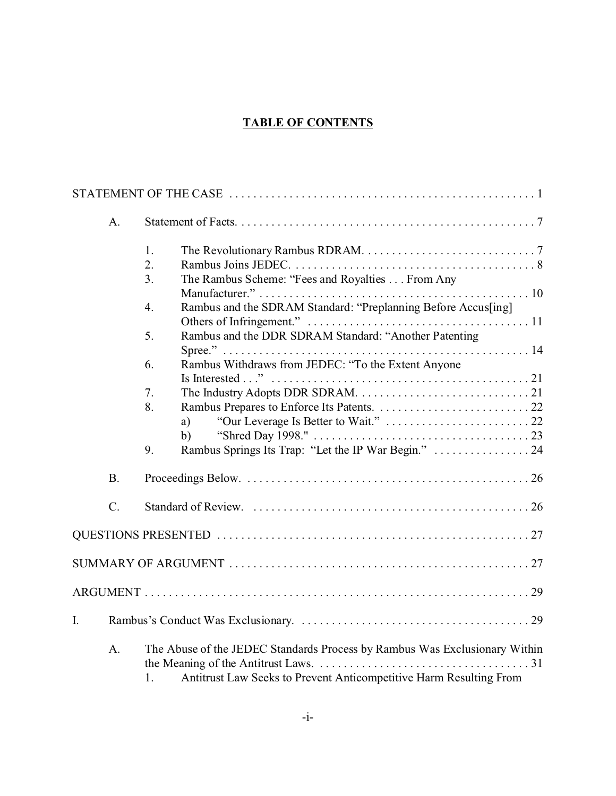# **TABLE OF CONTENTS**

|                | A <sub>1</sub> |                                                                                                                                                        |  |
|----------------|----------------|--------------------------------------------------------------------------------------------------------------------------------------------------------|--|
|                |                | 1.                                                                                                                                                     |  |
|                |                | 2.<br>The Rambus Scheme: "Fees and Royalties From Any<br>3.                                                                                            |  |
|                |                | Rambus and the SDRAM Standard: "Preplanning Before Accus[ing]<br>4.                                                                                    |  |
|                |                | Rambus and the DDR SDRAM Standard: "Another Patenting<br>5.                                                                                            |  |
|                |                | Rambus Withdraws from JEDEC: "To the Extent Anyone<br>6.                                                                                               |  |
|                |                | 7.                                                                                                                                                     |  |
|                |                | 8.<br>a)                                                                                                                                               |  |
|                |                | b)<br>Rambus Springs Its Trap: "Let the IP War Begin."  24<br>9.                                                                                       |  |
|                | <b>B.</b>      |                                                                                                                                                        |  |
|                | $C$ .          |                                                                                                                                                        |  |
|                |                |                                                                                                                                                        |  |
|                |                |                                                                                                                                                        |  |
|                |                |                                                                                                                                                        |  |
| $\mathbf{I}$ . |                |                                                                                                                                                        |  |
|                | A.             | The Abuse of the JEDEC Standards Process by Rambus Was Exclusionary Within<br>Antitrust Law Seeks to Prevent Anticompetitive Harm Resulting From<br>1. |  |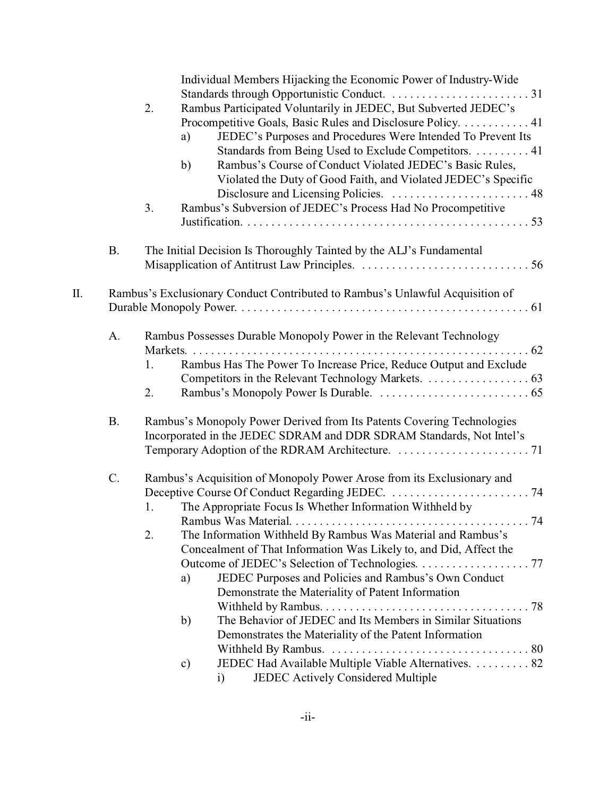|     |           | Individual Members Hijacking the Economic Power of Industry-Wide<br>Rambus Participated Voluntarily in JEDEC, But Subverted JEDEC's<br>2.<br>Procompetitive Goals, Basic Rules and Disclosure Policy. 41<br>JEDEC's Purposes and Procedures Were Intended To Prevent Its<br>a)<br>Standards from Being Used to Exclude Competitors. 41<br>Rambus's Course of Conduct Violated JEDEC's Basic Rules,<br>b)<br>Violated the Duty of Good Faith, and Violated JEDEC's Specific<br>Rambus's Subversion of JEDEC's Process Had No Procompetitive<br>3.                                                                                                                                                                                                    |
|-----|-----------|-----------------------------------------------------------------------------------------------------------------------------------------------------------------------------------------------------------------------------------------------------------------------------------------------------------------------------------------------------------------------------------------------------------------------------------------------------------------------------------------------------------------------------------------------------------------------------------------------------------------------------------------------------------------------------------------------------------------------------------------------------|
|     | <b>B.</b> | The Initial Decision Is Thoroughly Tainted by the ALJ's Fundamental                                                                                                                                                                                                                                                                                                                                                                                                                                                                                                                                                                                                                                                                                 |
| II. |           | Rambus's Exclusionary Conduct Contributed to Rambus's Unlawful Acquisition of                                                                                                                                                                                                                                                                                                                                                                                                                                                                                                                                                                                                                                                                       |
|     | A.        | Rambus Possesses Durable Monopoly Power in the Relevant Technology<br>Rambus Has The Power To Increase Price, Reduce Output and Exclude<br>1.<br>2.                                                                                                                                                                                                                                                                                                                                                                                                                                                                                                                                                                                                 |
|     | <b>B.</b> | Rambus's Monopoly Power Derived from Its Patents Covering Technologies<br>Incorporated in the JEDEC SDRAM and DDR SDRAM Standards, Not Intel's                                                                                                                                                                                                                                                                                                                                                                                                                                                                                                                                                                                                      |
|     | C.        | Rambus's Acquisition of Monopoly Power Arose from its Exclusionary and<br>The Appropriate Focus Is Whether Information Withheld by<br>1.<br>$\ldots 74$<br>Rambus Was Material.<br>2.<br>The Information Withheld By Rambus Was Material and Rambus's<br>Concealment of That Information Was Likely to, and Did, Affect the<br>Outcome of JEDEC's Selection of Technologies. 77<br>JEDEC Purposes and Policies and Rambus's Own Conduct<br>a)<br>Demonstrate the Materiality of Patent Information<br>The Behavior of JEDEC and Its Members in Similar Situations<br>b)<br>Demonstrates the Materiality of the Patent Information<br>JEDEC Had Available Multiple Viable Alternatives.  82<br>c)<br><b>JEDEC Actively Considered Multiple</b><br>i) |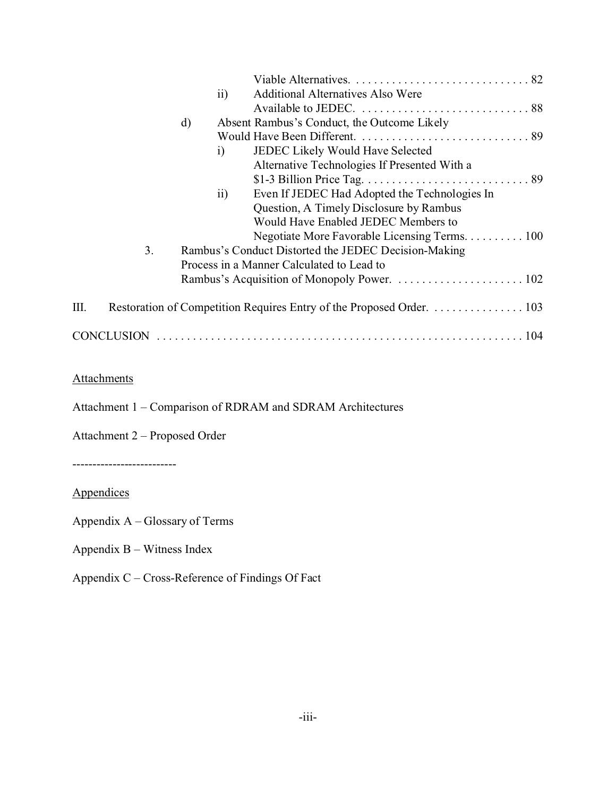|                                   |          | $\overline{11}$ | <b>Additional Alternatives Also Were</b>                             |
|-----------------------------------|----------|-----------------|----------------------------------------------------------------------|
|                                   | $\rm d)$ |                 | Absent Rambus's Conduct, the Outcome Likely                          |
|                                   |          |                 |                                                                      |
|                                   |          | $\mathbf{i}$    | JEDEC Likely Would Have Selected                                     |
|                                   |          |                 | Alternative Technologies If Presented With a                         |
|                                   |          |                 |                                                                      |
|                                   |          | $\rm ii)$       | Even If JEDEC Had Adopted the Technologies In                        |
|                                   |          |                 | Question, A Timely Disclosure by Rambus                              |
|                                   |          |                 | Would Have Enabled JEDEC Members to                                  |
|                                   |          |                 | Negotiate More Favorable Licensing Terms. 100                        |
| 3.                                |          |                 | Rambus's Conduct Distorted the JEDEC Decision-Making                 |
|                                   |          |                 | Process in a Manner Calculated to Lead to                            |
|                                   |          |                 | Rambus's Acquisition of Monopoly Power.  102                         |
| III.                              |          |                 | Restoration of Competition Requires Entry of the Proposed Order. 103 |
|                                   |          |                 |                                                                      |
|                                   |          |                 |                                                                      |
| <b>Attachments</b>                |          |                 |                                                                      |
|                                   |          |                 |                                                                      |
|                                   |          |                 | Attachment 1 – Comparison of RDRAM and SDRAM Architectures           |
| Attachment 2 – Proposed Order     |          |                 |                                                                      |
|                                   |          |                 |                                                                      |
| -------------------------         |          |                 |                                                                      |
| <u>Appendices</u>                 |          |                 |                                                                      |
| Appendix $A - G$ lossary of Terms |          |                 |                                                                      |
|                                   |          |                 |                                                                      |

- Appendix B Witness Index
- Appendix C Cross-Reference of Findings Of Fact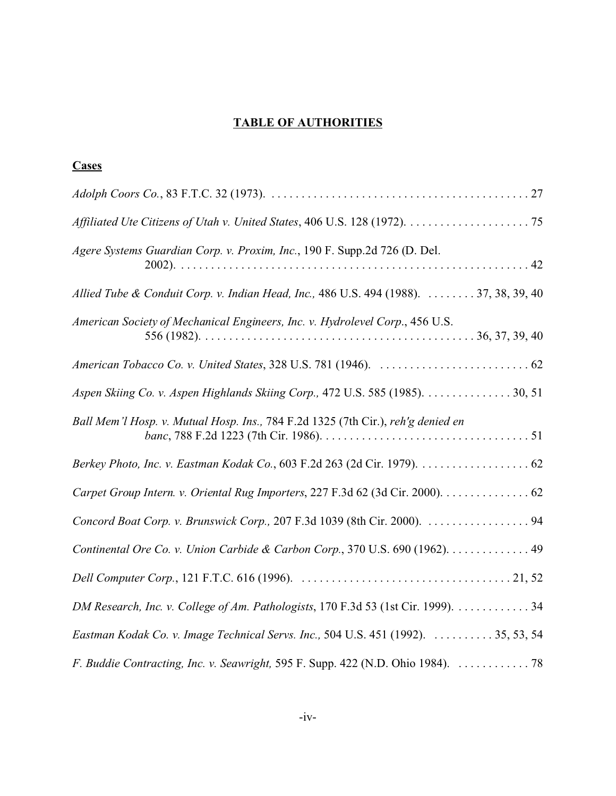# **TABLE OF AUTHORITIES**

# **Cases**

| Agere Systems Guardian Corp. v. Proxim, Inc., 190 F. Supp.2d 726 (D. Del.              |
|----------------------------------------------------------------------------------------|
| Allied Tube & Conduit Corp. v. Indian Head, Inc., 486 U.S. 494 (1988).  37, 38, 39, 40 |
| American Society of Mechanical Engineers, Inc. v. Hydrolevel Corp., 456 U.S.           |
|                                                                                        |
| Aspen Skiing Co. v. Aspen Highlands Skiing Corp., 472 U.S. 585 (1985). 30, 51          |
| Ball Mem'l Hosp. v. Mutual Hosp. Ins., 784 F.2d 1325 (7th Cir.), reh'g denied en       |
|                                                                                        |
| Carpet Group Intern. v. Oriental Rug Importers, 227 F.3d 62 (3d Cir. 2000). 62         |
|                                                                                        |
| Continental Ore Co. v. Union Carbide & Carbon Corp., 370 U.S. 690 (1962). 49           |
|                                                                                        |
| DM Research, Inc. v. College of Am. Pathologists, 170 F.3d 53 (1st Cir. 1999). 34      |
| Eastman Kodak Co. v. Image Technical Servs. Inc., 504 U.S. 451 (1992).  35, 53, 54     |
| F. Buddie Contracting, Inc. v. Seawright, 595 F. Supp. 422 (N.D. Ohio 1984).  78       |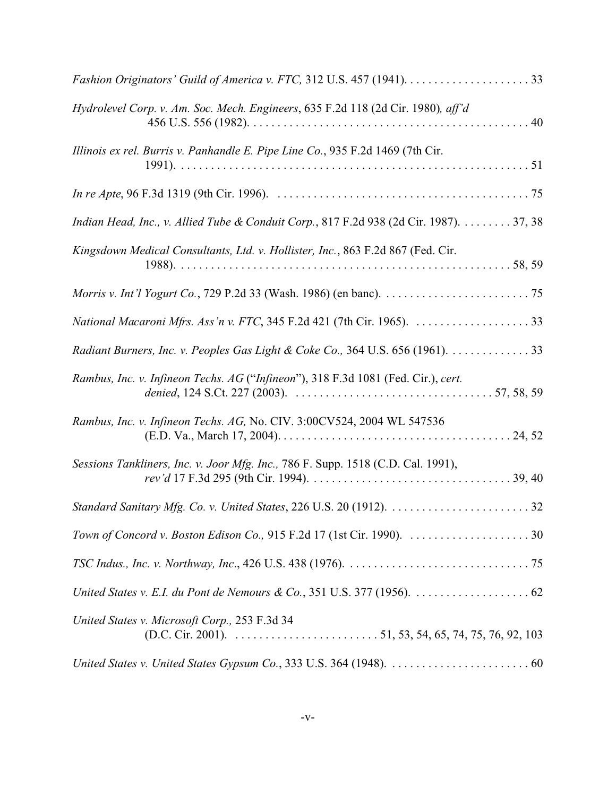| Hydrolevel Corp. v. Am. Soc. Mech. Engineers, 635 F.2d 118 (2d Cir. 1980), aff'd                                                                                      |
|-----------------------------------------------------------------------------------------------------------------------------------------------------------------------|
| Illinois ex rel. Burris v. Panhandle E. Pipe Line Co., 935 F.2d 1469 (7th Cir.                                                                                        |
|                                                                                                                                                                       |
| Indian Head, Inc., v. Allied Tube & Conduit Corp., 817 F.2d 938 (2d Cir. 1987). 37, 38                                                                                |
| Kingsdown Medical Consultants, Ltd. v. Hollister, Inc., 863 F.2d 867 (Fed. Cir.                                                                                       |
|                                                                                                                                                                       |
|                                                                                                                                                                       |
| Radiant Burners, Inc. v. Peoples Gas Light & Coke Co., 364 U.S. 656 (1961). 33                                                                                        |
| Rambus, Inc. v. Infineon Techs. AG ("Infineon"), 318 F.3d 1081 (Fed. Cir.), cert.                                                                                     |
| Rambus, Inc. v. Infineon Techs. AG, No. CIV. 3:00CV524, 2004 WL 547536                                                                                                |
| Sessions Tankliners, Inc. v. Joor Mfg. Inc., 786 F. Supp. 1518 (C.D. Cal. 1991),                                                                                      |
|                                                                                                                                                                       |
|                                                                                                                                                                       |
|                                                                                                                                                                       |
|                                                                                                                                                                       |
| United States v. Microsoft Corp., 253 F.3d 34<br>(D.C. Cir. 2001). $\ldots$ $\ldots$ $\ldots$ $\ldots$ $\ldots$ $\ldots$ $\ldots$ 51, 53, 54, 65, 74, 75, 76, 92, 103 |
|                                                                                                                                                                       |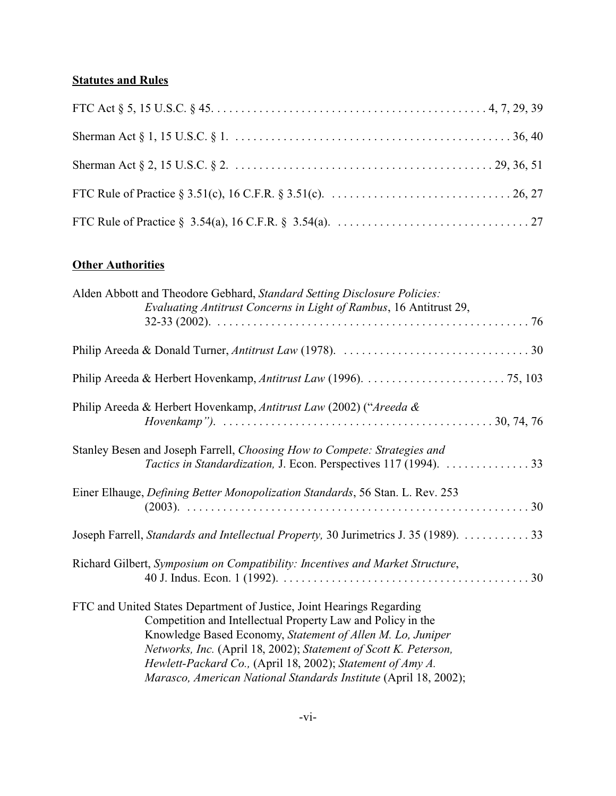# **Statutes and Rules**

# **Other Authorities**

| Alden Abbott and Theodore Gebhard, Standard Setting Disclosure Policies:<br>Evaluating Antitrust Concerns in Light of Rambus, 16 Antitrust 29,                                                                                                                                                                                                                                                           |
|----------------------------------------------------------------------------------------------------------------------------------------------------------------------------------------------------------------------------------------------------------------------------------------------------------------------------------------------------------------------------------------------------------|
|                                                                                                                                                                                                                                                                                                                                                                                                          |
|                                                                                                                                                                                                                                                                                                                                                                                                          |
| Philip Areeda & Herbert Hovenkamp, Antitrust Law (2002) ("Areeda &                                                                                                                                                                                                                                                                                                                                       |
| Stanley Besen and Joseph Farrell, Choosing How to Compete: Strategies and<br>Tactics in Standardization, J. Econ. Perspectives 117 (1994).  33                                                                                                                                                                                                                                                           |
| Einer Elhauge, Defining Better Monopolization Standards, 56 Stan. L. Rev. 253                                                                                                                                                                                                                                                                                                                            |
| Joseph Farrell, Standards and Intellectual Property, 30 Jurimetrics J. 35 (1989).  33                                                                                                                                                                                                                                                                                                                    |
| Richard Gilbert, Symposium on Compatibility: Incentives and Market Structure,                                                                                                                                                                                                                                                                                                                            |
| FTC and United States Department of Justice, Joint Hearings Regarding<br>Competition and Intellectual Property Law and Policy in the<br>Knowledge Based Economy, Statement of Allen M. Lo, Juniper<br>Networks, Inc. (April 18, 2002); Statement of Scott K. Peterson,<br>Hewlett-Packard Co., (April 18, 2002); Statement of Amy A.<br>Marasco, American National Standards Institute (April 18, 2002); |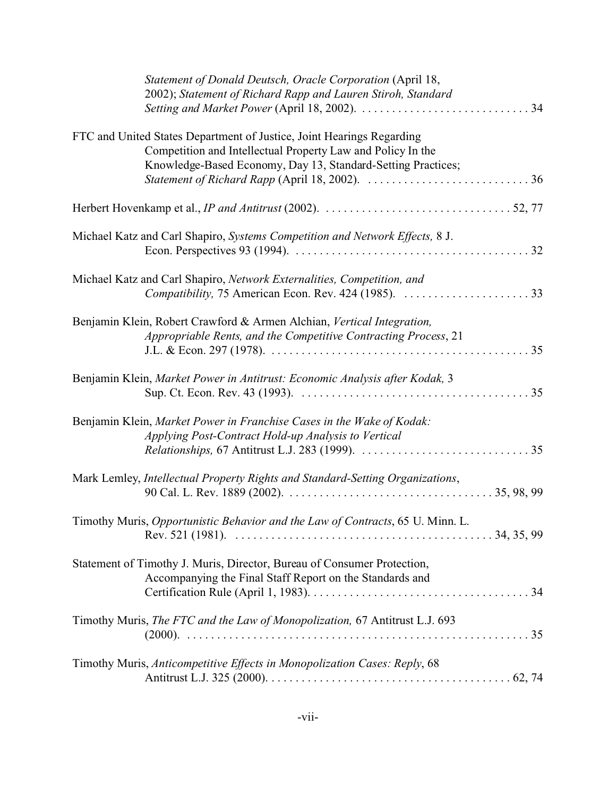| Statement of Donald Deutsch, Oracle Corporation (April 18,<br>2002); Statement of Richard Rapp and Lauren Stiroh, Standard                                                                                                                                                                                              |
|-------------------------------------------------------------------------------------------------------------------------------------------------------------------------------------------------------------------------------------------------------------------------------------------------------------------------|
| FTC and United States Department of Justice, Joint Hearings Regarding<br>Competition and Intellectual Property Law and Policy In the<br>Knowledge-Based Economy, Day 13, Standard-Setting Practices;<br>Statement of Richard Rapp (April 18, 2002). $\ldots \ldots \ldots \ldots \ldots \ldots \ldots \ldots \ldots 36$ |
|                                                                                                                                                                                                                                                                                                                         |
| Michael Katz and Carl Shapiro, Systems Competition and Network Effects, 8 J.                                                                                                                                                                                                                                            |
| Michael Katz and Carl Shapiro, Network Externalities, Competition, and<br>Compatibility, 75 American Econ. Rev. 424 (1985). 33                                                                                                                                                                                          |
| Benjamin Klein, Robert Crawford & Armen Alchian, Vertical Integration,<br>Appropriable Rents, and the Competitive Contracting Process, 21                                                                                                                                                                               |
| Benjamin Klein, Market Power in Antitrust: Economic Analysis after Kodak, 3                                                                                                                                                                                                                                             |
| Benjamin Klein, Market Power in Franchise Cases in the Wake of Kodak:<br>Applying Post-Contract Hold-up Analysis to Vertical                                                                                                                                                                                            |
| Mark Lemley, Intellectual Property Rights and Standard-Setting Organizations,                                                                                                                                                                                                                                           |
| Timothy Muris, Opportunistic Behavior and the Law of Contracts, 65 U. Minn. L.                                                                                                                                                                                                                                          |
| Statement of Timothy J. Muris, Director, Bureau of Consumer Protection,<br>Accompanying the Final Staff Report on the Standards and                                                                                                                                                                                     |
| Timothy Muris, The FTC and the Law of Monopolization, 67 Antitrust L.J. 693                                                                                                                                                                                                                                             |
| Timothy Muris, Anticompetitive Effects in Monopolization Cases: Reply, 68                                                                                                                                                                                                                                               |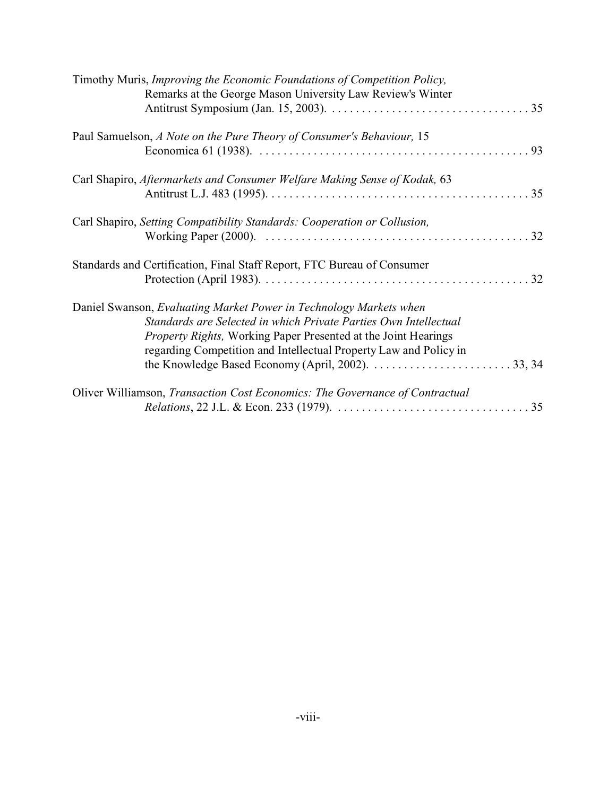| Timothy Muris, Improving the Economic Foundations of Competition Policy,<br>Remarks at the George Mason University Law Review's Winter                                                                                                                                               |  |
|--------------------------------------------------------------------------------------------------------------------------------------------------------------------------------------------------------------------------------------------------------------------------------------|--|
| Paul Samuelson, A Note on the Pure Theory of Consumer's Behaviour, 15                                                                                                                                                                                                                |  |
| Carl Shapiro, Aftermarkets and Consumer Welfare Making Sense of Kodak, 63                                                                                                                                                                                                            |  |
| Carl Shapiro, Setting Compatibility Standards: Cooperation or Collusion,                                                                                                                                                                                                             |  |
| Standards and Certification, Final Staff Report, FTC Bureau of Consumer                                                                                                                                                                                                              |  |
| Daniel Swanson, Evaluating Market Power in Technology Markets when<br>Standards are Selected in which Private Parties Own Intellectual<br><i>Property Rights, Working Paper Presented at the Joint Hearings</i><br>regarding Competition and Intellectual Property Law and Policy in |  |
| Oliver Williamson, Transaction Cost Economics: The Governance of Contractual                                                                                                                                                                                                         |  |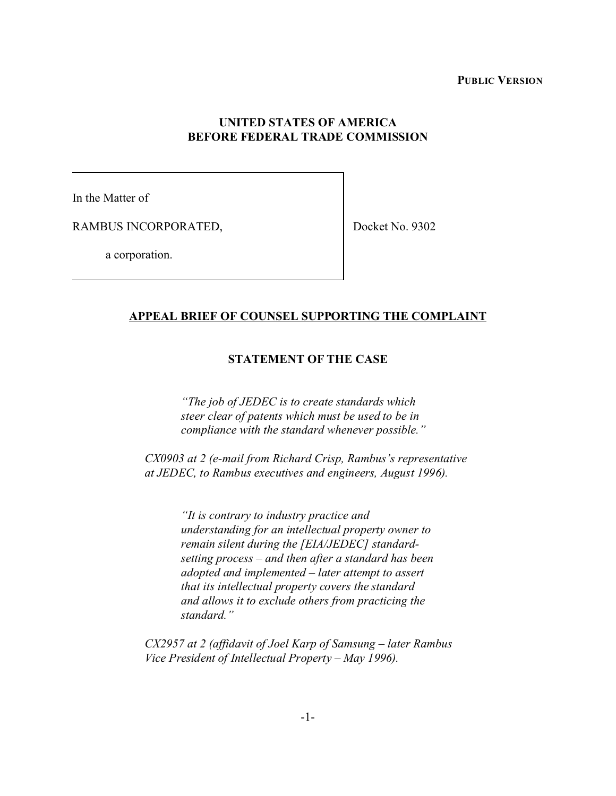**PUBLIC VERSION**

# **UNITED STATES OF AMERICA BEFORE FEDERAL TRADE COMMISSION**

In the Matter of

RAMBUS INCORPORATED,

Docket No. 9302

a corporation.

#### **APPEAL BRIEF OF COUNSEL SUPPORTING THE COMPLAINT**

## **STATEMENT OF THE CASE**

*"The job of JEDEC is to create standards which steer clear of patents which must be used to be in compliance with the standard whenever possible."*

*CX0903 at 2 (e-mail from Richard Crisp, Rambus's representative at JEDEC, to Rambus executives and engineers, August 1996).*

> *"It is contrary to industry practice and understanding for an intellectual property owner to remain silent during the [EIA/JEDEC] standardsetting process – and then after a standard has been adopted and implemented – later attempt to assert that its intellectual property covers the standard and allows it to exclude others from practicing the standard."*

*CX2957 at 2 (affidavit of Joel Karp of Samsung – later Rambus Vice President of Intellectual Property – May 1996).*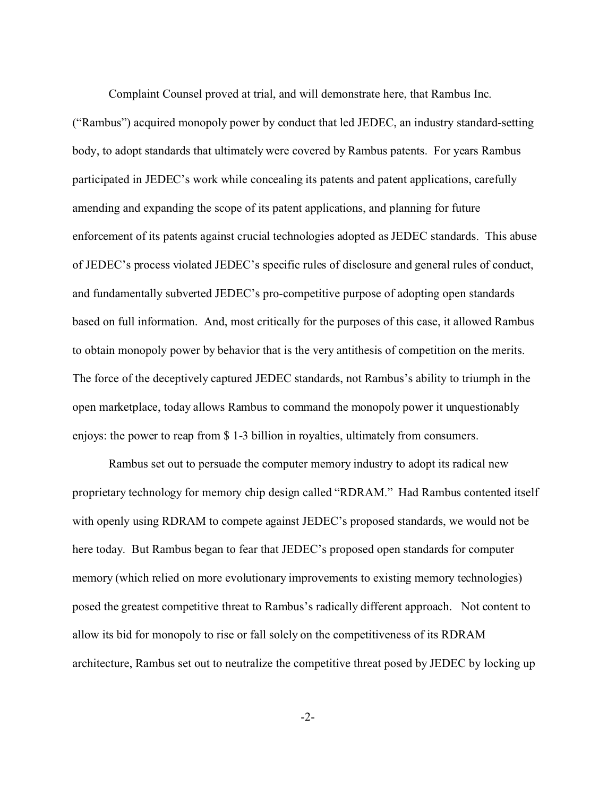Complaint Counsel proved at trial, and will demonstrate here, that Rambus Inc.

("Rambus") acquired monopoly power by conduct that led JEDEC, an industry standard-setting body, to adopt standards that ultimately were covered by Rambus patents. For years Rambus participated in JEDEC's work while concealing its patents and patent applications, carefully amending and expanding the scope of its patent applications, and planning for future enforcement of its patents against crucial technologies adopted as JEDEC standards. This abuse of JEDEC's process violated JEDEC's specific rules of disclosure and general rules of conduct, and fundamentally subverted JEDEC's pro-competitive purpose of adopting open standards based on full information. And, most critically for the purposes of this case, it allowed Rambus to obtain monopoly power by behavior that is the very antithesis of competition on the merits. The force of the deceptively captured JEDEC standards, not Rambus's ability to triumph in the open marketplace, today allows Rambus to command the monopoly power it unquestionably enjoys: the power to reap from \$ 1-3 billion in royalties, ultimately from consumers.

Rambus set out to persuade the computer memory industry to adopt its radical new proprietary technology for memory chip design called "RDRAM." Had Rambus contented itself with openly using RDRAM to compete against JEDEC's proposed standards, we would not be here today. But Rambus began to fear that JEDEC's proposed open standards for computer memory (which relied on more evolutionary improvements to existing memory technologies) posed the greatest competitive threat to Rambus's radically different approach. Not content to allow its bid for monopoly to rise or fall solely on the competitiveness of its RDRAM architecture, Rambus set out to neutralize the competitive threat posed by JEDEC by locking up

-2-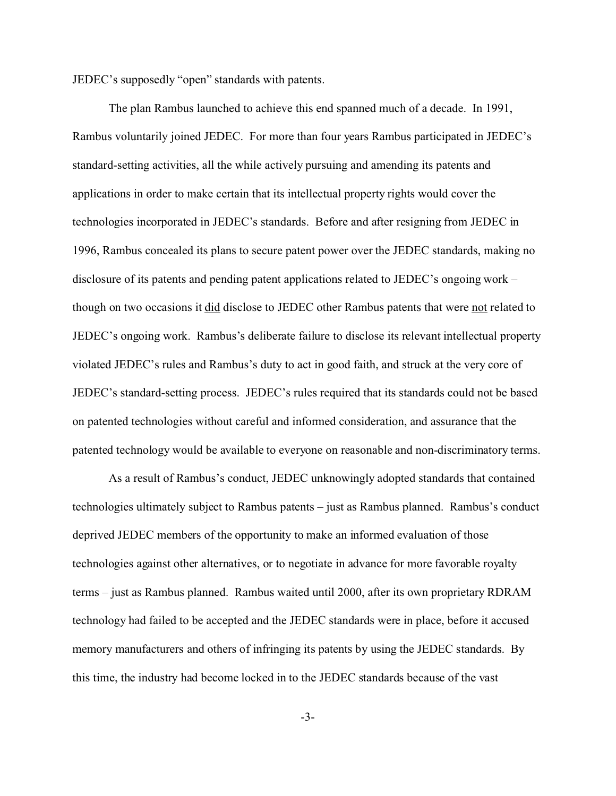JEDEC's supposedly "open" standards with patents.

The plan Rambus launched to achieve this end spanned much of a decade. In 1991, Rambus voluntarily joined JEDEC. For more than four years Rambus participated in JEDEC's standard-setting activities, all the while actively pursuing and amending its patents and applications in order to make certain that its intellectual property rights would cover the technologies incorporated in JEDEC's standards. Before and after resigning from JEDEC in 1996, Rambus concealed its plans to secure patent power over the JEDEC standards, making no disclosure of its patents and pending patent applications related to JEDEC's ongoing work – though on two occasions it did disclose to JEDEC other Rambus patents that were not related to JEDEC's ongoing work. Rambus's deliberate failure to disclose its relevant intellectual property violated JEDEC's rules and Rambus's duty to act in good faith, and struck at the very core of JEDEC's standard-setting process. JEDEC's rules required that its standards could not be based on patented technologies without careful and informed consideration, and assurance that the patented technology would be available to everyone on reasonable and non-discriminatory terms.

As a result of Rambus's conduct, JEDEC unknowingly adopted standards that contained technologies ultimately subject to Rambus patents – just as Rambus planned. Rambus's conduct deprived JEDEC members of the opportunity to make an informed evaluation of those technologies against other alternatives, or to negotiate in advance for more favorable royalty terms – just as Rambus planned. Rambus waited until 2000, after its own proprietary RDRAM technology had failed to be accepted and the JEDEC standards were in place, before it accused memory manufacturers and others of infringing its patents by using the JEDEC standards. By this time, the industry had become locked in to the JEDEC standards because of the vast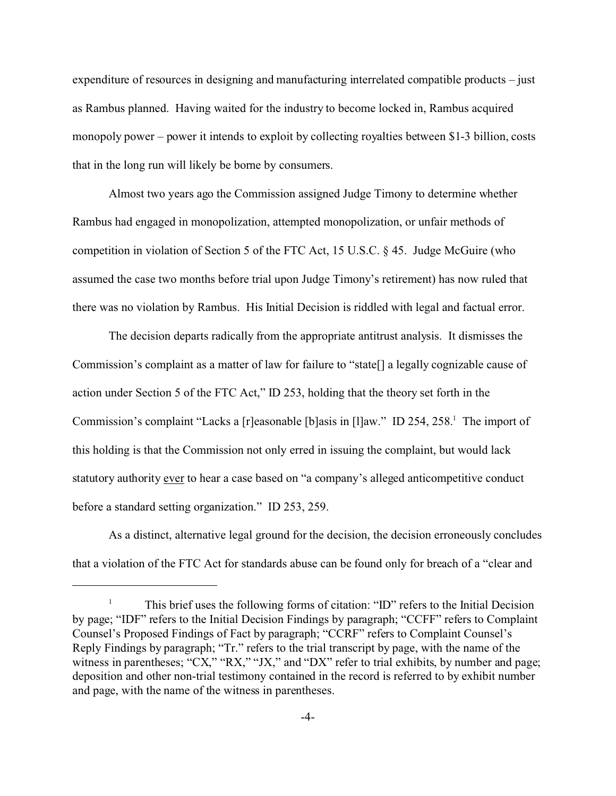expenditure of resources in designing and manufacturing interrelated compatible products – just as Rambus planned. Having waited for the industry to become locked in, Rambus acquired monopoly power – power it intends to exploit by collecting royalties between \$1-3 billion, costs that in the long run will likely be borne by consumers.

Almost two years ago the Commission assigned Judge Timony to determine whether Rambus had engaged in monopolization, attempted monopolization, or unfair methods of competition in violation of Section 5 of the FTC Act, 15 U.S.C.  $\S$  45. Judge McGuire (who assumed the case two months before trial upon Judge Timony's retirement) has now ruled that there was no violation by Rambus. His Initial Decision is riddled with legal and factual error.

The decision departs radically from the appropriate antitrust analysis. It dismisses the Commission's complaint as a matter of law for failure to "state[] a legally cognizable cause of action under Section 5 of the FTC Act," ID 253, holding that the theory set forth in the Commission's complaint "Lacks a [r]easonable [b]asis in [l]aw." ID 254, 258.<sup>1</sup> The import of this holding is that the Commission not only erred in issuing the complaint, but would lack statutory authority ever to hear a case based on "a company's alleged anticompetitive conduct before a standard setting organization." ID 253, 259.

As a distinct, alternative legal ground for the decision, the decision erroneously concludes that a violation of the FTC Act for standards abuse can be found only for breach of a "clear and

<sup>&</sup>lt;sup>1</sup> This brief uses the following forms of citation: "ID" refers to the Initial Decision by page; "IDF" refers to the Initial Decision Findings by paragraph; "CCFF" refers to Complaint Counsel's Proposed Findings of Fact by paragraph; "CCRF" refers to Complaint Counsel's Reply Findings by paragraph; "Tr." refers to the trial transcript by page, with the name of the witness in parentheses; "CX," "RX," "JX," and "DX" refer to trial exhibits, by number and page; deposition and other non-trial testimony contained in the record is referred to by exhibit number and page, with the name of the witness in parentheses.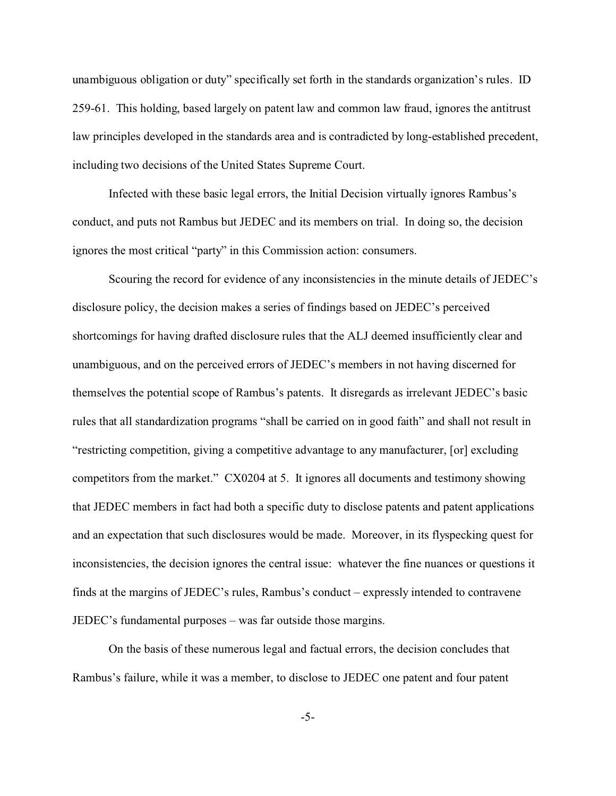unambiguous obligation or duty" specifically set forth in the standards organization's rules. ID 259-61. This holding, based largely on patent law and common law fraud, ignores the antitrust law principles developed in the standards area and is contradicted by long-established precedent, including two decisions of the United States Supreme Court.

Infected with these basic legal errors, the Initial Decision virtually ignores Rambus's conduct, and puts not Rambus but JEDEC and its members on trial. In doing so, the decision ignores the most critical "party" in this Commission action: consumers.

Scouring the record for evidence of any inconsistencies in the minute details of JEDEC's disclosure policy, the decision makes a series of findings based on JEDEC's perceived shortcomings for having drafted disclosure rules that the ALJ deemed insufficiently clear and unambiguous, and on the perceived errors of JEDEC's members in not having discerned for themselves the potential scope of Rambus's patents. It disregards as irrelevant JEDEC's basic rules that all standardization programs "shall be carried on in good faith" and shall not result in "restricting competition, giving a competitive advantage to any manufacturer, [or] excluding competitors from the market." CX0204 at 5. It ignores all documents and testimony showing that JEDEC members in fact had both a specific duty to disclose patents and patent applications and an expectation that such disclosures would be made. Moreover, in its flyspecking quest for inconsistencies, the decision ignores the central issue: whatever the fine nuances or questions it finds at the margins of JEDEC's rules, Rambus's conduct – expressly intended to contravene JEDEC's fundamental purposes – was far outside those margins.

On the basis of these numerous legal and factual errors, the decision concludes that Rambus's failure, while it was a member, to disclose to JEDEC one patent and four patent

-5-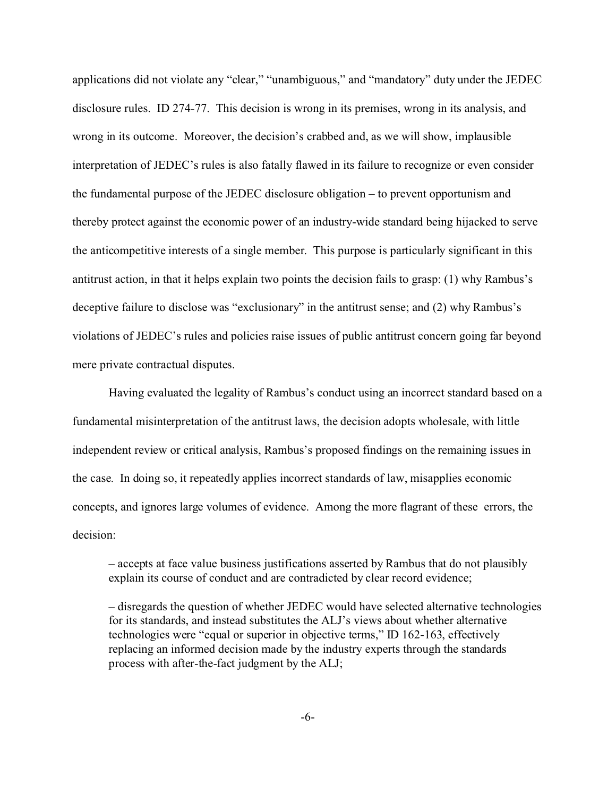applications did not violate any "clear," "unambiguous," and "mandatory" duty under the JEDEC disclosure rules. ID 274-77. This decision is wrong in its premises, wrong in its analysis, and wrong in its outcome. Moreover, the decision's crabbed and, as we will show, implausible interpretation of JEDEC's rules is also fatally flawed in its failure to recognize or even consider the fundamental purpose of the JEDEC disclosure obligation – to prevent opportunism and thereby protect against the economic power of an industry-wide standard being hijacked to serve the anticompetitive interests of a single member. This purpose is particularly significant in this antitrust action, in that it helps explain two points the decision fails to grasp: (1) why Rambus's deceptive failure to disclose was "exclusionary" in the antitrust sense; and (2) why Rambus's violations of JEDEC's rules and policies raise issues of public antitrust concern going far beyond mere private contractual disputes.

Having evaluated the legality of Rambus's conduct using an incorrect standard based on a fundamental misinterpretation of the antitrust laws, the decision adopts wholesale, with little independent review or critical analysis, Rambus's proposed findings on the remaining issues in the case. In doing so, it repeatedly applies incorrect standards of law, misapplies economic concepts, and ignores large volumes of evidence. Among the more flagrant of these errors, the decision:

– accepts at face value business justifications asserted by Rambus that do not plausibly explain its course of conduct and are contradicted by clear record evidence;

– disregards the question of whether JEDEC would have selected alternative technologies for its standards, and instead substitutes the ALJ's views about whether alternative technologies were "equal or superior in objective terms," ID 162-163, effectively replacing an informed decision made by the industry experts through the standards process with after-the-fact judgment by the ALJ;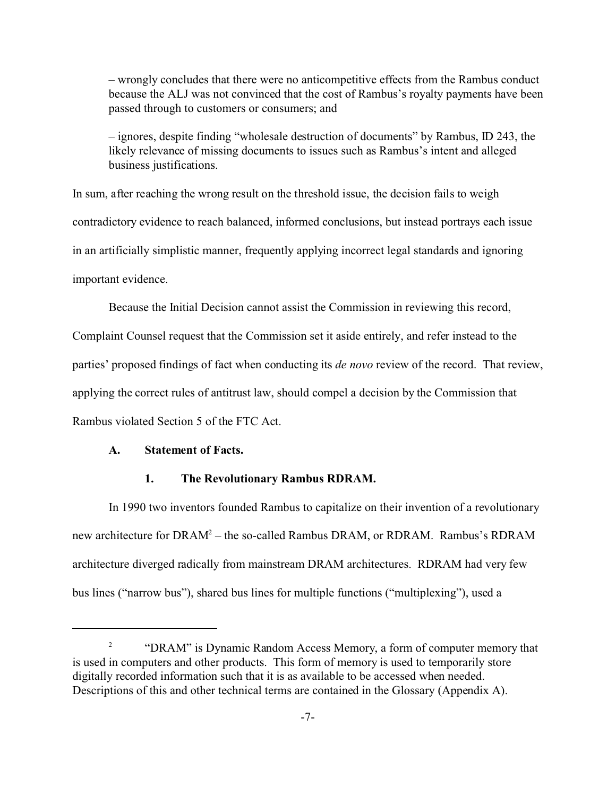– wrongly concludes that there were no anticompetitive effects from the Rambus conduct because the ALJ was not convinced that the cost of Rambus's royalty payments have been passed through to customers or consumers; and

– ignores, despite finding "wholesale destruction of documents" by Rambus, ID 243, the likely relevance of missing documents to issues such as Rambus's intent and alleged business justifications.

In sum, after reaching the wrong result on the threshold issue, the decision fails to weigh contradictory evidence to reach balanced, informed conclusions, but instead portrays each issue in an artificially simplistic manner, frequently applying incorrect legal standards and ignoring important evidence.

Because the Initial Decision cannot assist the Commission in reviewing this record,

Complaint Counsel request that the Commission set it aside entirely, and refer instead to the parties' proposed findings of fact when conducting its *de novo* review of the record. That review, applying the correct rules of antitrust law, should compel a decision by the Commission that Rambus violated Section 5 of the FTC Act.

### **A. Statement of Facts.**

#### **1. The Revolutionary Rambus RDRAM.**

In 1990 two inventors founded Rambus to capitalize on their invention of a revolutionary new architecture for DRAM<sup>2</sup> – the so-called Rambus DRAM, or RDRAM. Rambus's RDRAM architecture diverged radically from mainstream DRAM architectures. RDRAM had very few bus lines ("narrow bus"), shared bus lines for multiple functions ("multiplexing"), used a

<sup>2</sup> "DRAM" is Dynamic Random Access Memory, a form of computer memory that is used in computers and other products. This form of memory is used to temporarily store digitally recorded information such that it is as available to be accessed when needed. Descriptions of this and other technical terms are contained in the Glossary (Appendix A).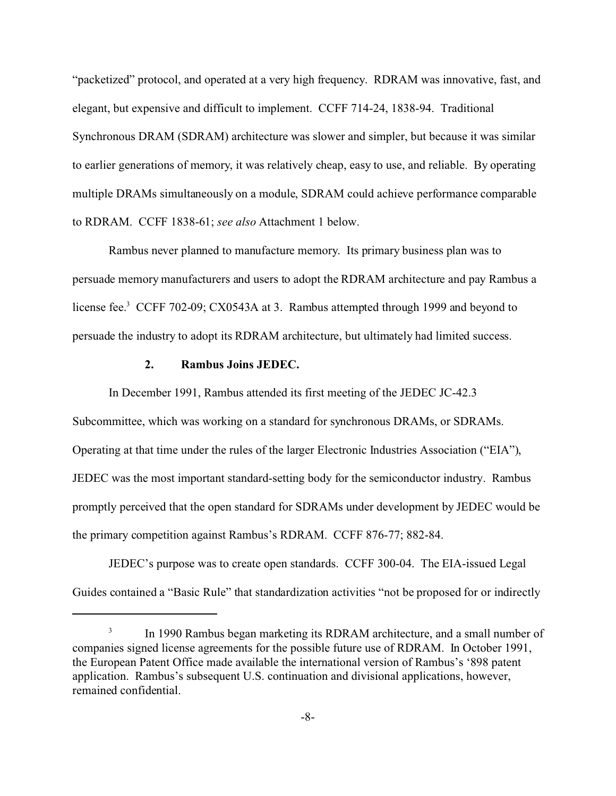"packetized" protocol, and operated at a very high frequency. RDRAM was innovative, fast, and elegant, but expensive and difficult to implement. CCFF 714-24, 1838-94. Traditional Synchronous DRAM (SDRAM) architecture was slower and simpler, but because it was similar to earlier generations of memory, it was relatively cheap, easy to use, and reliable. By operating multiple DRAMs simultaneously on a module, SDRAM could achieve performance comparable to RDRAM. CCFF 1838-61; *see also* Attachment 1 below.

Rambus never planned to manufacture memory. Its primary business plan was to persuade memory manufacturers and users to adopt the RDRAM architecture and pay Rambus a license fee.<sup>3</sup> CCFF 702-09; CX0543A at 3. Rambus attempted through 1999 and beyond to persuade the industry to adopt its RDRAM architecture, but ultimately had limited success.

### **2. Rambus Joins JEDEC.**

In December 1991, Rambus attended its first meeting of the JEDEC JC-42.3

Subcommittee, which was working on a standard for synchronous DRAMs, or SDRAMs. Operating at that time under the rules of the larger Electronic Industries Association ("EIA"), JEDEC was the most important standard-setting body for the semiconductor industry. Rambus promptly perceived that the open standard for SDRAMs under development by JEDEC would be the primary competition against Rambus's RDRAM. CCFF 876-77; 882-84.

JEDEC's purpose was to create open standards. CCFF 300-04. The EIA-issued Legal Guides contained a "Basic Rule" that standardization activities "not be proposed for or indirectly

<sup>3</sup> In 1990 Rambus began marketing its RDRAM architecture, and a small number of companies signed license agreements for the possible future use of RDRAM. In October 1991, the European Patent Office made available the international version of Rambus's '898 patent application. Rambus's subsequent U.S. continuation and divisional applications, however, remained confidential.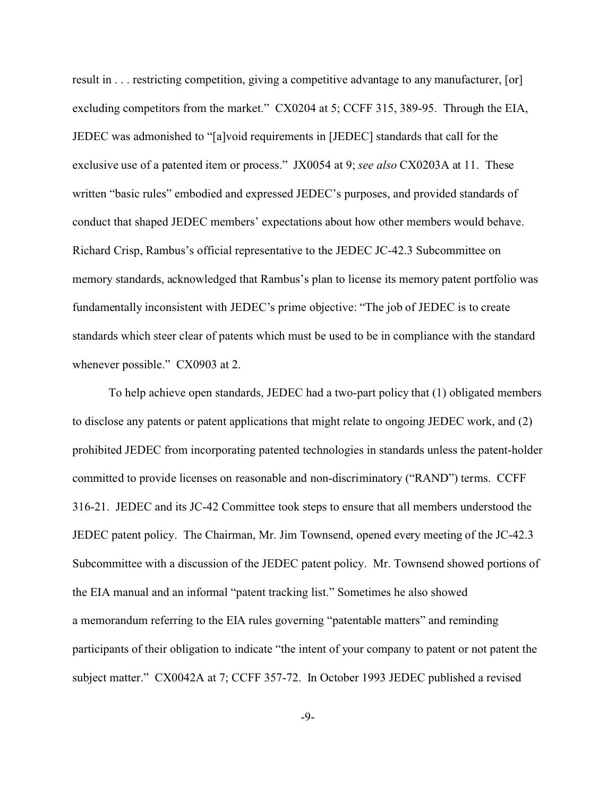result in . . . restricting competition, giving a competitive advantage to any manufacturer, [or] excluding competitors from the market." CX0204 at 5; CCFF 315, 389-95. Through the EIA, JEDEC was admonished to "[a]void requirements in [JEDEC] standards that call for the exclusive use of a patented item or process." JX0054 at 9; *see also* CX0203A at 11. These written "basic rules" embodied and expressed JEDEC's purposes, and provided standards of conduct that shaped JEDEC members' expectations about how other members would behave. Richard Crisp, Rambus's official representative to the JEDEC JC-42.3 Subcommittee on memory standards, acknowledged that Rambus's plan to license its memory patent portfolio was fundamentally inconsistent with JEDEC's prime objective: "The job of JEDEC is to create standards which steer clear of patents which must be used to be in compliance with the standard whenever possible." CX0903 at 2.

To help achieve open standards, JEDEC had a two-part policy that (1) obligated members to disclose any patents or patent applications that might relate to ongoing JEDEC work, and (2) prohibited JEDEC from incorporating patented technologies in standards unless the patent-holder committed to provide licenses on reasonable and non-discriminatory ("RAND") terms. CCFF 316-21. JEDEC and its JC-42 Committee took steps to ensure that all members understood the JEDEC patent policy. The Chairman, Mr. Jim Townsend, opened every meeting of the JC-42.3 Subcommittee with a discussion of the JEDEC patent policy. Mr. Townsend showed portions of the EIA manual and an informal "patent tracking list." Sometimes he also showed a memorandum referring to the EIA rules governing "patentable matters" and reminding participants of their obligation to indicate "the intent of your company to patent or not patent the subject matter." CX0042A at 7; CCFF 357-72. In October 1993 JEDEC published a revised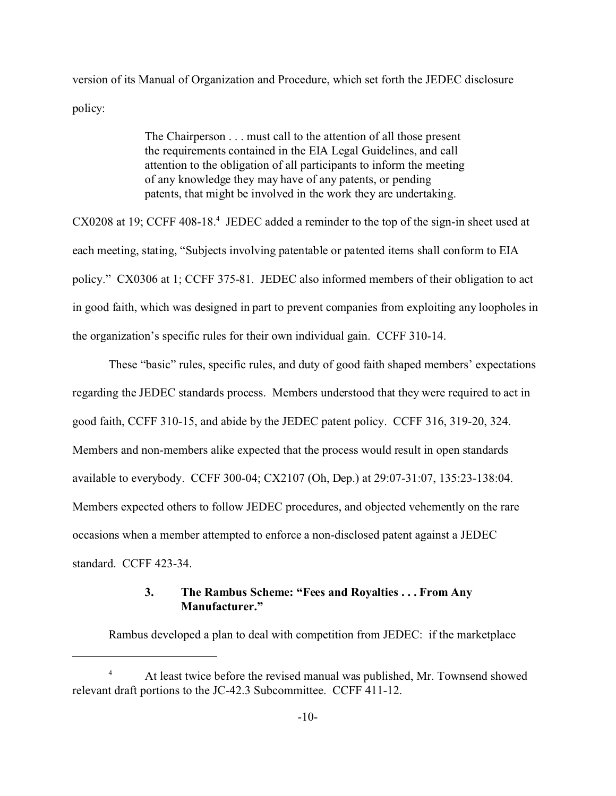version of its Manual of Organization and Procedure, which set forth the JEDEC disclosure policy:

> The Chairperson . . . must call to the attention of all those present the requirements contained in the EIA Legal Guidelines, and call attention to the obligation of all participants to inform the meeting of any knowledge they may have of any patents, or pending patents, that might be involved in the work they are undertaking.

CX0208 at 19; CCFF 408-18.<sup>4</sup> JEDEC added a reminder to the top of the sign-in sheet used at each meeting, stating, "Subjects involving patentable or patented items shall conform to EIA policy." CX0306 at 1; CCFF 375-81. JEDEC also informed members of their obligation to act in good faith, which was designed in part to prevent companies from exploiting any loopholes in the organization's specific rules for their own individual gain. CCFF 310-14.

These "basic" rules, specific rules, and duty of good faith shaped members' expectations regarding the JEDEC standards process. Members understood that they were required to act in good faith, CCFF 310-15, and abide by the JEDEC patent policy. CCFF 316, 319-20, 324. Members and non-members alike expected that the process would result in open standards available to everybody. CCFF 300-04; CX2107 (Oh, Dep.) at 29:07-31:07, 135:23-138:04. Members expected others to follow JEDEC procedures, and objected vehemently on the rare occasions when a member attempted to enforce a non-disclosed patent against a JEDEC standard. CCFF 423-34.

## **3. The Rambus Scheme: "Fees and Royalties . . . From Any Manufacturer."**

Rambus developed a plan to deal with competition from JEDEC: if the marketplace

<sup>&</sup>lt;sup>4</sup> At least twice before the revised manual was published, Mr. Townsend showed relevant draft portions to the JC-42.3 Subcommittee. CCFF 411-12.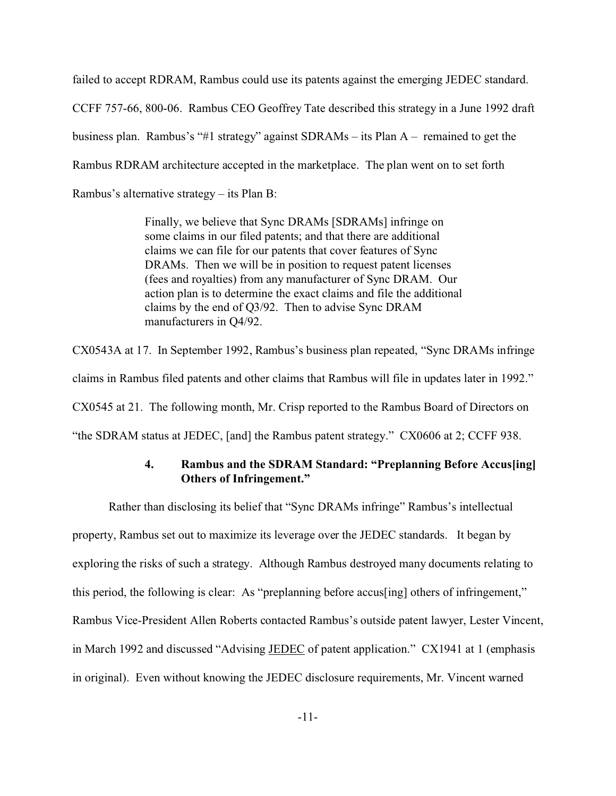failed to accept RDRAM, Rambus could use its patents against the emerging JEDEC standard. CCFF 757-66, 800-06. Rambus CEO Geoffrey Tate described this strategy in a June 1992 draft business plan. Rambus's "#1 strategy" against SDRAMs – its Plan A – remained to get the Rambus RDRAM architecture accepted in the marketplace. The plan went on to set forth Rambus's alternative strategy – its Plan B:

> Finally, we believe that Sync DRAMs [SDRAMs] infringe on some claims in our filed patents; and that there are additional claims we can file for our patents that cover features of Sync DRAMs. Then we will be in position to request patent licenses (fees and royalties) from any manufacturer of Sync DRAM. Our action plan is to determine the exact claims and file the additional claims by the end of Q3/92. Then to advise Sync DRAM manufacturers in Q4/92.

CX0543A at 17. In September 1992, Rambus's business plan repeated, "Sync DRAMs infringe claims in Rambus filed patents and other claims that Rambus will file in updates later in 1992." CX0545 at 21. The following month, Mr. Crisp reported to the Rambus Board of Directors on "the SDRAM status at JEDEC, [and] the Rambus patent strategy." CX0606 at 2; CCFF 938.

# **4. Rambus and the SDRAM Standard: "Preplanning Before Accus[ing] Others of Infringement."**

Rather than disclosing its belief that "Sync DRAMs infringe" Rambus's intellectual property, Rambus set out to maximize its leverage over the JEDEC standards. It began by exploring the risks of such a strategy. Although Rambus destroyed many documents relating to this period, the following is clear: As "preplanning before accus[ing] others of infringement," Rambus Vice-President Allen Roberts contacted Rambus's outside patent lawyer, Lester Vincent, in March 1992 and discussed "Advising JEDEC of patent application." CX1941 at 1 (emphasis in original). Even without knowing the JEDEC disclosure requirements, Mr. Vincent warned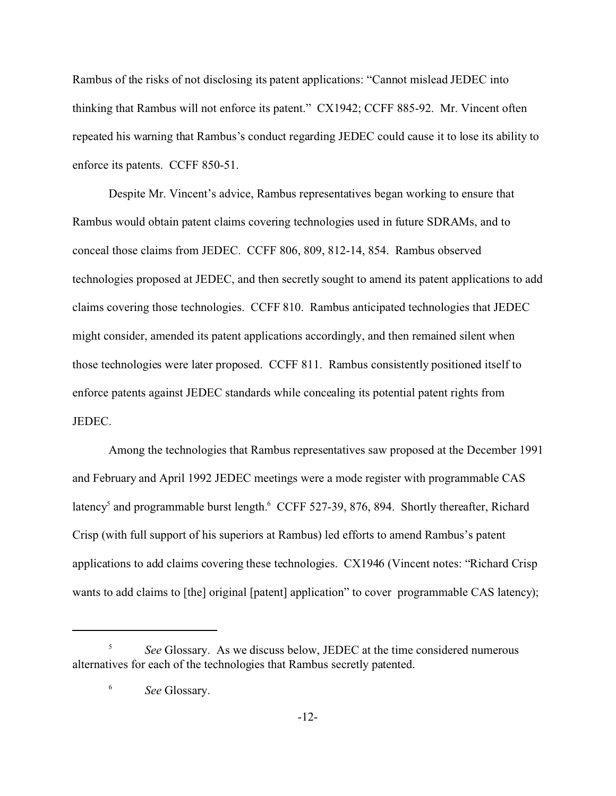Rambus of the risks of not disclosing its patent applications: "Cannot mislead JEDEC into thinking that Rambus will not enforce its patent." CX1942; CCFF 885-92. Mr. Vincent often repeated his warning that Rambus's conduct regarding JEDEC could cause it to lose its ability to enforce its patents. CCFF 850-51.

Despite Mr. Vincent's advice, Rambus representatives began working to ensure that Rambus would obtain patent claims covering technologies used in future SDRAMs, and to conceal those claims from JEDEC. CCFF 806, 809, 812-14, 854. Rambus observed technologies proposed at JEDEC, and then secretly sought to amend its patent applications to add claims covering those technologies. CCFF 810. Rambus anticipated technologies that JEDEC might consider, amended its patent applications accordingly, and then remained silent when those technologies were later proposed. CCFF 811. Rambus consistently positioned itself to enforce patents against JEDEC standards while concealing its potential patent rights from JEDEC.

Among the technologies that Rambus representatives saw proposed at the December 1991 and February and April 1992 JEDEC meetings were a mode register with programmable CAS latency<sup>5</sup> and programmable burst length.<sup>6</sup> CCFF 527-39, 876, 894. Shortly thereafter, Richard Crisp (with full support of his superiors at Rambus) led efforts to amend Rambus's patent applications to add claims covering these technologies. CX1946 (Vincent notes: "Richard Crisp wants to add claims to [the] original [patent] application" to cover programmable CAS latency);

<sup>5</sup> *See* Glossary. As we discuss below, JEDEC at the time considered numerous alternatives for each of the technologies that Rambus secretly patented.

<sup>6</sup> *See* Glossary.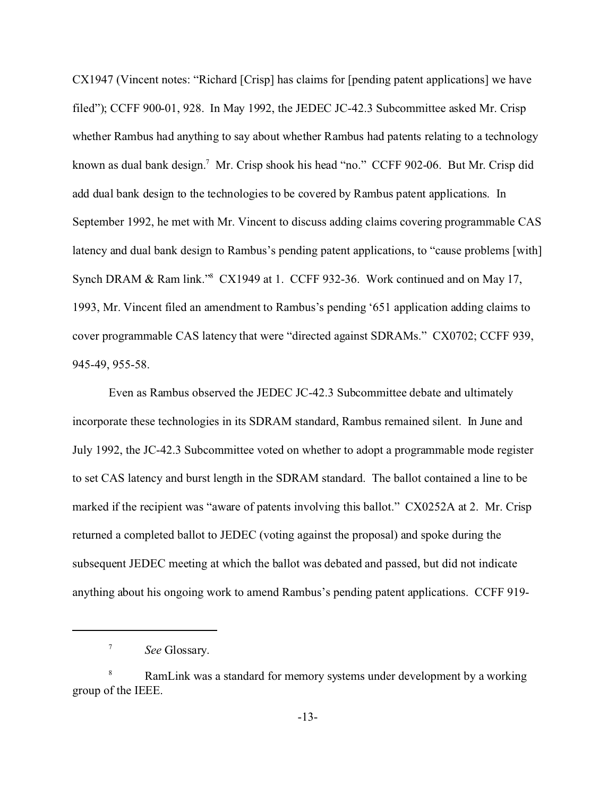CX1947 (Vincent notes: "Richard [Crisp] has claims for [pending patent applications] we have filed"); CCFF 900-01, 928. In May 1992, the JEDEC JC-42.3 Subcommittee asked Mr. Crisp whether Rambus had anything to say about whether Rambus had patents relating to a technology known as dual bank design.<sup>7</sup> Mr. Crisp shook his head "no." CCFF 902-06. But Mr. Crisp did add dual bank design to the technologies to be covered by Rambus patent applications. In September 1992, he met with Mr. Vincent to discuss adding claims covering programmable CAS latency and dual bank design to Rambus's pending patent applications, to "cause problems [with] Synch DRAM & Ram link."<sup>8</sup> CX1949 at 1. CCFF 932-36. Work continued and on May 17, 1993, Mr. Vincent filed an amendment to Rambus's pending '651 application adding claims to cover programmable CAS latency that were "directed against SDRAMs." CX0702; CCFF 939, 945-49, 955-58.

Even as Rambus observed the JEDEC JC-42.3 Subcommittee debate and ultimately incorporate these technologies in its SDRAM standard, Rambus remained silent. In June and July 1992, the JC-42.3 Subcommittee voted on whether to adopt a programmable mode register to set CAS latency and burst length in the SDRAM standard. The ballot contained a line to be marked if the recipient was "aware of patents involving this ballot." CX0252A at 2. Mr. Crisp returned a completed ballot to JEDEC (voting against the proposal) and spoke during the subsequent JEDEC meeting at which the ballot was debated and passed, but did not indicate anything about his ongoing work to amend Rambus's pending patent applications. CCFF 919-

<sup>7</sup> *See* Glossary.

RamLink was a standard for memory systems under development by a working group of the IEEE.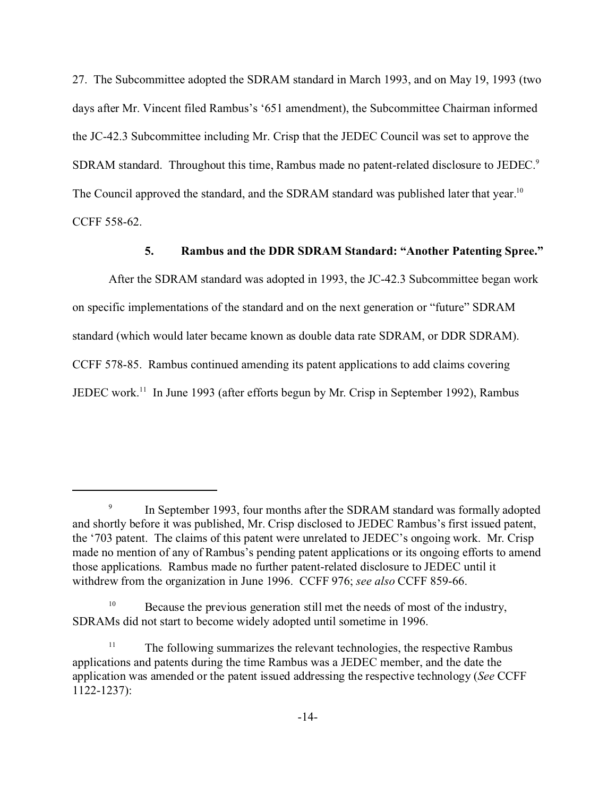27. The Subcommittee adopted the SDRAM standard in March 1993, and on May 19, 1993 (two days after Mr. Vincent filed Rambus's '651 amendment), the Subcommittee Chairman informed the JC-42.3 Subcommittee including Mr. Crisp that the JEDEC Council was set to approve the SDRAM standard. Throughout this time, Rambus made no patent-related disclosure to JEDEC.<sup>9</sup> The Council approved the standard, and the SDRAM standard was published later that year.<sup>10</sup> CCFF 558-62.

# **5. Rambus and the DDR SDRAM Standard: "Another Patenting Spree."**

After the SDRAM standard was adopted in 1993, the JC-42.3 Subcommittee began work on specific implementations of the standard and on the next generation or "future" SDRAM standard (which would later became known as double data rate SDRAM, or DDR SDRAM). CCFF 578-85. Rambus continued amending its patent applications to add claims covering JEDEC work.11 In June 1993 (after efforts begun by Mr. Crisp in September 1992), Rambus

<sup>9</sup> In September 1993, four months after the SDRAM standard was formally adopted and shortly before it was published, Mr. Crisp disclosed to JEDEC Rambus's first issued patent, the '703 patent. The claims of this patent were unrelated to JEDEC's ongoing work. Mr. Crisp made no mention of any of Rambus's pending patent applications or its ongoing efforts to amend those applications. Rambus made no further patent-related disclosure to JEDEC until it withdrew from the organization in June 1996. CCFF 976; *see also* CCFF 859-66.

<sup>&</sup>lt;sup>10</sup> Because the previous generation still met the needs of most of the industry, SDRAMs did not start to become widely adopted until sometime in 1996.

 $11$  The following summarizes the relevant technologies, the respective Rambus applications and patents during the time Rambus was a JEDEC member, and the date the application was amended or the patent issued addressing the respective technology (*See* CCFF 1122-1237):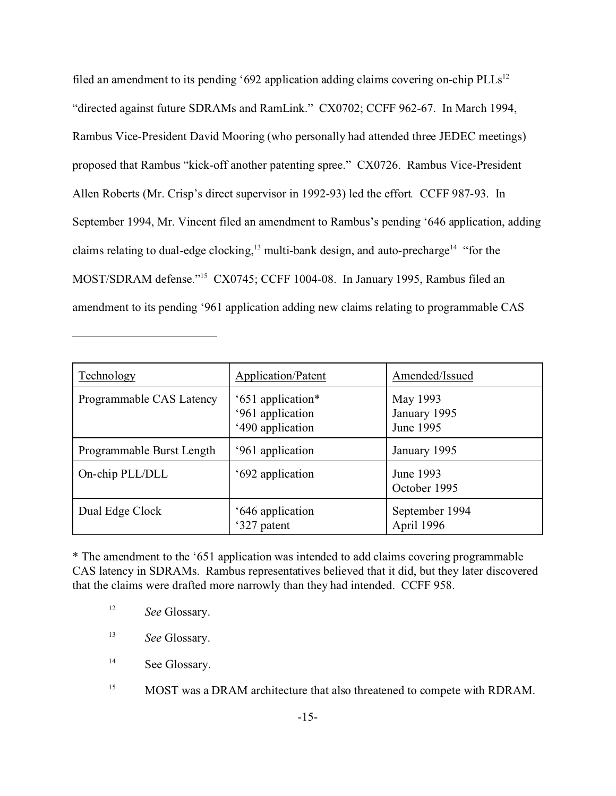filed an amendment to its pending '692 application adding claims covering on-chip  $\text{PLLs}^{12}$ "directed against future SDRAMs and RamLink." CX0702; CCFF 962-67. In March 1994, Rambus Vice-President David Mooring (who personally had attended three JEDEC meetings) proposed that Rambus "kick-off another patenting spree." CX0726. Rambus Vice-President Allen Roberts (Mr. Crisp's direct supervisor in 1992-93) led the effort*.* CCFF 987-93. In September 1994, Mr. Vincent filed an amendment to Rambus's pending '646 application, adding claims relating to dual-edge clocking,<sup>13</sup> multi-bank design, and auto-precharge<sup>14</sup> "for the MOST/SDRAM defense."<sup>15</sup> CX0745; CCFF 1004-08. In January 1995, Rambus filed an amendment to its pending '961 application adding new claims relating to programmable CAS

| Technology                | Application/Patent                                        | Amended/Issued                        |
|---------------------------|-----------------------------------------------------------|---------------------------------------|
| Programmable CAS Latency  | '651 application*<br>'961 application<br>'490 application | May 1993<br>January 1995<br>June 1995 |
| Programmable Burst Length | '961 application                                          | January 1995                          |
| On-chip PLL/DLL           | '692 application                                          | June 1993<br>October 1995             |
| Dual Edge Clock           | '646 application<br>'327 patent                           | September 1994<br>April 1996          |

\* The amendment to the '651 application was intended to add claims covering programmable CAS latency in SDRAMs. Rambus representatives believed that it did, but they later discovered that the claims were drafted more narrowly than they had intended. CCFF 958.

- <sup>12</sup> *See* Glossary.
- <sup>13</sup> *See* Glossary.
- <sup>14</sup> See Glossary.
- <sup>15</sup> MOST was a DRAM architecture that also threatened to compete with RDRAM.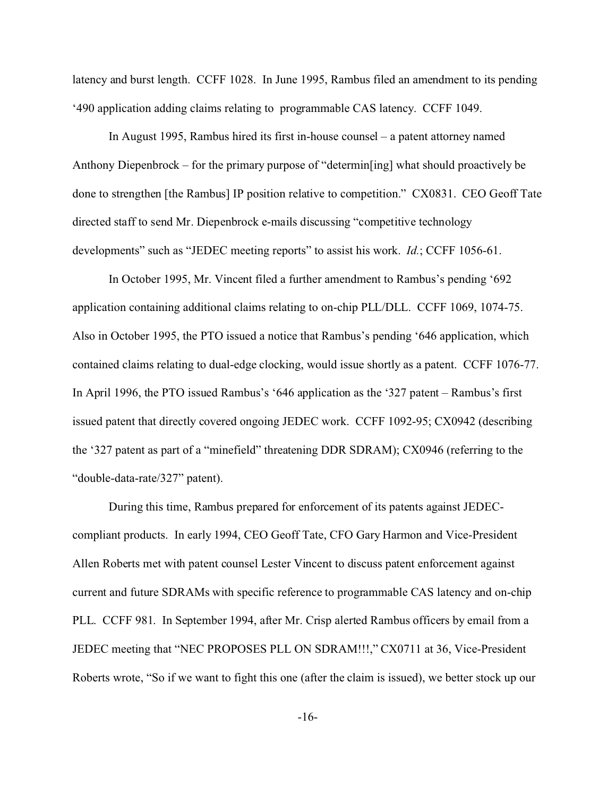latency and burst length. CCFF 1028. In June 1995, Rambus filed an amendment to its pending '490 application adding claims relating to programmable CAS latency. CCFF 1049.

In August 1995, Rambus hired its first in-house counsel – a patent attorney named Anthony Diepenbrock – for the primary purpose of "determin[ing] what should proactively be done to strengthen [the Rambus] IP position relative to competition." CX0831. CEO Geoff Tate directed staff to send Mr. Diepenbrock e-mails discussing "competitive technology developments" such as "JEDEC meeting reports" to assist his work. *Id.*; CCFF 1056-61.

In October 1995, Mr. Vincent filed a further amendment to Rambus's pending '692 application containing additional claims relating to on-chip PLL/DLL. CCFF 1069, 1074-75. Also in October 1995, the PTO issued a notice that Rambus's pending '646 application, which contained claims relating to dual-edge clocking, would issue shortly as a patent. CCFF 1076-77. In April 1996, the PTO issued Rambus's '646 application as the '327 patent – Rambus's first issued patent that directly covered ongoing JEDEC work. CCFF 1092-95; CX0942 (describing the '327 patent as part of a "minefield" threatening DDR SDRAM); CX0946 (referring to the "double-data-rate/327" patent).

During this time, Rambus prepared for enforcement of its patents against JEDECcompliant products. In early 1994, CEO Geoff Tate, CFO Gary Harmon and Vice-President Allen Roberts met with patent counsel Lester Vincent to discuss patent enforcement against current and future SDRAMs with specific reference to programmable CAS latency and on-chip PLL. CCFF 981. In September 1994, after Mr. Crisp alerted Rambus officers by email from a JEDEC meeting that "NEC PROPOSES PLL ON SDRAM!!!," CX0711 at 36, Vice-President Roberts wrote, "So if we want to fight this one (after the claim is issued), we better stock up our

-16-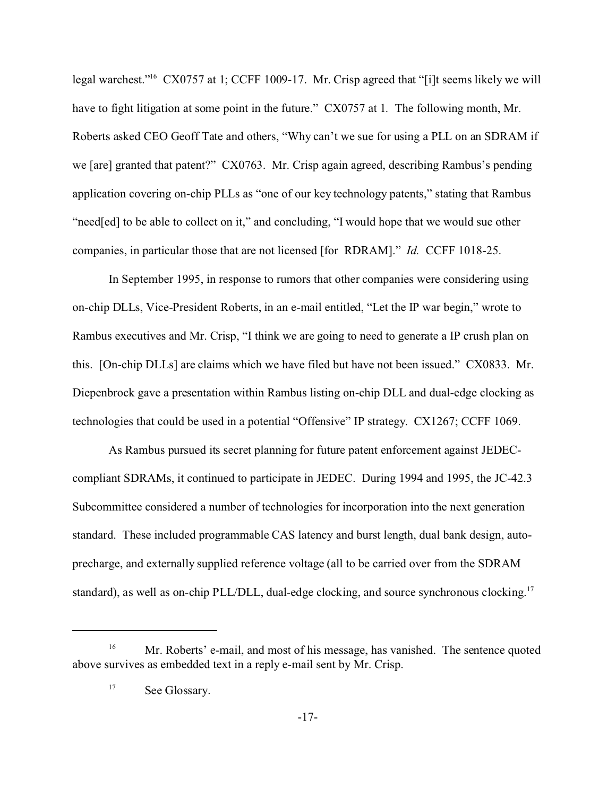legal warchest."<sup>16</sup> CX0757 at 1; CCFF 1009-17. Mr. Crisp agreed that "[i]t seems likely we will have to fight litigation at some point in the future." CX0757 at 1*.* The following month, Mr. Roberts asked CEO Geoff Tate and others, "Why can't we sue for using a PLL on an SDRAM if we [are] granted that patent?" CX0763. Mr. Crisp again agreed, describing Rambus's pending application covering on-chip PLLs as "one of our key technology patents," stating that Rambus "need[ed] to be able to collect on it," and concluding, "I would hope that we would sue other companies, in particular those that are not licensed [for RDRAM]." *Id.* CCFF 1018-25.

In September 1995, in response to rumors that other companies were considering using on-chip DLLs, Vice-President Roberts, in an e-mail entitled, "Let the IP war begin," wrote to Rambus executives and Mr. Crisp, "I think we are going to need to generate a IP crush plan on this. [On-chip DLLs] are claims which we have filed but have not been issued." CX0833. Mr. Diepenbrock gave a presentation within Rambus listing on-chip DLL and dual-edge clocking as technologies that could be used in a potential "Offensive" IP strategy. CX1267; CCFF 1069.

As Rambus pursued its secret planning for future patent enforcement against JEDECcompliant SDRAMs, it continued to participate in JEDEC. During 1994 and 1995, the JC-42.3 Subcommittee considered a number of technologies for incorporation into the next generation standard. These included programmable CAS latency and burst length, dual bank design, autoprecharge, and externally supplied reference voltage (all to be carried over from the SDRAM standard), as well as on-chip PLL/DLL, dual-edge clocking, and source synchronous clocking.<sup>17</sup>

<sup>&</sup>lt;sup>16</sup> Mr. Roberts' e-mail, and most of his message, has vanished. The sentence quoted above survives as embedded text in a reply e-mail sent by Mr. Crisp.

<sup>&</sup>lt;sup>17</sup> See Glossary.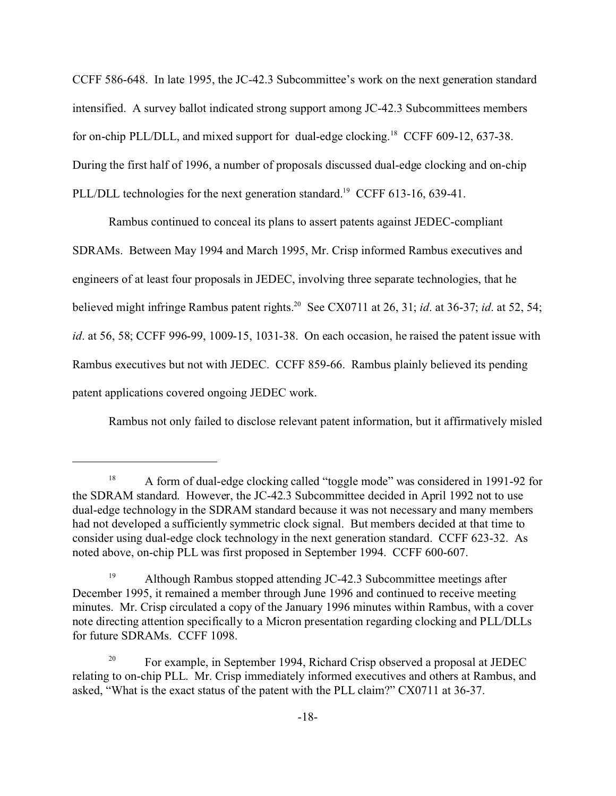CCFF 586-648. In late 1995, the JC-42.3 Subcommittee's work on the next generation standard intensified. A survey ballot indicated strong support among JC-42.3 Subcommittees members for on-chip PLL/DLL, and mixed support for dual-edge clocking.<sup>18</sup> CCFF 609-12, 637-38. During the first half of 1996, a number of proposals discussed dual-edge clocking and on-chip PLL/DLL technologies for the next generation standard.<sup>19</sup> CCFF 613-16, 639-41.

Rambus continued to conceal its plans to assert patents against JEDEC-compliant SDRAMs. Between May 1994 and March 1995, Mr. Crisp informed Rambus executives and engineers of at least four proposals in JEDEC, involving three separate technologies, that he believed might infringe Rambus patent rights.<sup>20</sup> See CX0711 at 26, 31; *id*. at 36-37; *id*. at 52, 54; *id*. at 56, 58; CCFF 996-99, 1009-15, 1031-38. On each occasion, he raised the patent issue with Rambus executives but not with JEDEC. CCFF 859-66. Rambus plainly believed its pending patent applications covered ongoing JEDEC work.

Rambus not only failed to disclose relevant patent information, but it affirmatively misled

<sup>&</sup>lt;sup>18</sup> A form of dual-edge clocking called "toggle mode" was considered in 1991-92 for the SDRAM standard. However, the JC-42.3 Subcommittee decided in April 1992 not to use dual-edge technology in the SDRAM standard because it was not necessary and many members had not developed a sufficiently symmetric clock signal. But members decided at that time to consider using dual-edge clock technology in the next generation standard. CCFF 623-32. As noted above, on-chip PLL was first proposed in September 1994. CCFF 600-607.

<sup>&</sup>lt;sup>19</sup> Although Rambus stopped attending JC-42.3 Subcommittee meetings after December 1995, it remained a member through June 1996 and continued to receive meeting minutes. Mr. Crisp circulated a copy of the January 1996 minutes within Rambus, with a cover note directing attention specifically to a Micron presentation regarding clocking and PLL/DLLs for future SDRAMs. CCFF 1098.

<sup>&</sup>lt;sup>20</sup> For example, in September 1994, Richard Crisp observed a proposal at JEDEC relating to on-chip PLL. Mr. Crisp immediately informed executives and others at Rambus, and asked, "What is the exact status of the patent with the PLL claim?" CX0711 at 36-37.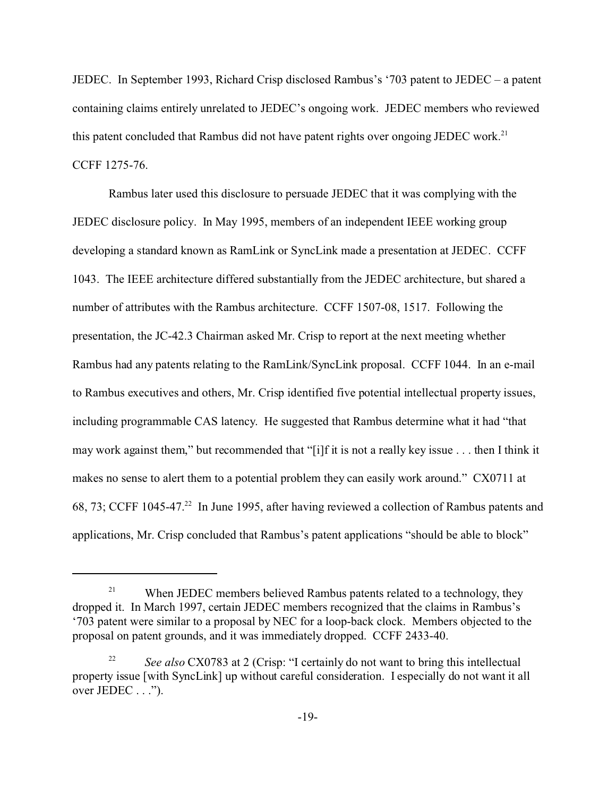JEDEC. In September 1993, Richard Crisp disclosed Rambus's '703 patent to JEDEC – a patent containing claims entirely unrelated to JEDEC's ongoing work. JEDEC members who reviewed this patent concluded that Rambus did not have patent rights over ongoing JEDEC work.<sup>21</sup> CCFF 1275-76.

Rambus later used this disclosure to persuade JEDEC that it was complying with the JEDEC disclosure policy. In May 1995, members of an independent IEEE working group developing a standard known as RamLink or SyncLink made a presentation at JEDEC. CCFF 1043. The IEEE architecture differed substantially from the JEDEC architecture, but shared a number of attributes with the Rambus architecture. CCFF 1507-08, 1517. Following the presentation, the JC-42.3 Chairman asked Mr. Crisp to report at the next meeting whether Rambus had any patents relating to the RamLink/SyncLink proposal. CCFF 1044. In an e-mail to Rambus executives and others, Mr. Crisp identified five potential intellectual property issues, including programmable CAS latency. He suggested that Rambus determine what it had "that may work against them," but recommended that "[i]f it is not a really key issue . . . then I think it makes no sense to alert them to a potential problem they can easily work around." CX0711 at 68, 73; CCFF 1045-47.<sup>22</sup> In June 1995, after having reviewed a collection of Rambus patents and applications, Mr. Crisp concluded that Rambus's patent applications "should be able to block"

<sup>&</sup>lt;sup>21</sup> When JEDEC members believed Rambus patents related to a technology, they dropped it. In March 1997, certain JEDEC members recognized that the claims in Rambus's '703 patent were similar to a proposal by NEC for a loop-back clock. Members objected to the proposal on patent grounds, and it was immediately dropped. CCFF 2433-40.

<sup>&</sup>lt;sup>22</sup> *See also* CX0783 at 2 (Crisp: "I certainly do not want to bring this intellectual property issue [with SyncLink] up without careful consideration. I especially do not want it all over JEDEC . . .").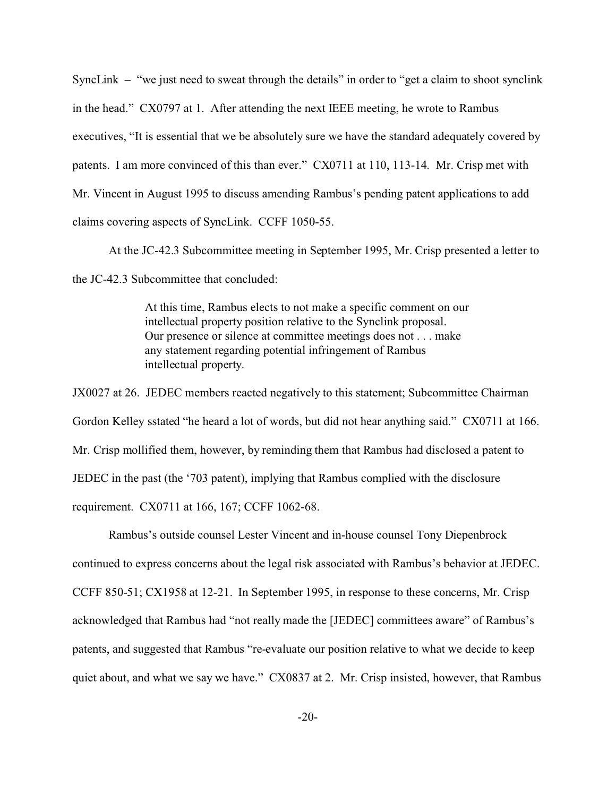SyncLink – "we just need to sweat through the details" in order to "get a claim to shoot synclink in the head." CX0797 at 1. After attending the next IEEE meeting, he wrote to Rambus executives, "It is essential that we be absolutely sure we have the standard adequately covered by patents. I am more convinced of this than ever." CX0711 at 110, 113-14. Mr. Crisp met with Mr. Vincent in August 1995 to discuss amending Rambus's pending patent applications to add claims covering aspects of SyncLink. CCFF 1050-55.

At the JC-42.3 Subcommittee meeting in September 1995, Mr. Crisp presented a letter to the JC-42.3 Subcommittee that concluded:

> At this time, Rambus elects to not make a specific comment on our intellectual property position relative to the Synclink proposal. Our presence or silence at committee meetings does not . . . make any statement regarding potential infringement of Rambus intellectual property.

JX0027 at 26. JEDEC members reacted negatively to this statement; Subcommittee Chairman Gordon Kelley sstated "he heard a lot of words, but did not hear anything said." CX0711 at 166. Mr. Crisp mollified them, however, by reminding them that Rambus had disclosed a patent to JEDEC in the past (the '703 patent), implying that Rambus complied with the disclosure requirement. CX0711 at 166, 167; CCFF 1062-68.

Rambus's outside counsel Lester Vincent and in-house counsel Tony Diepenbrock continued to express concerns about the legal risk associated with Rambus's behavior at JEDEC. CCFF 850-51; CX1958 at 12-21. In September 1995, in response to these concerns, Mr. Crisp acknowledged that Rambus had "not really made the [JEDEC] committees aware" of Rambus's patents, and suggested that Rambus "re-evaluate our position relative to what we decide to keep quiet about, and what we say we have." CX0837 at 2. Mr. Crisp insisted, however, that Rambus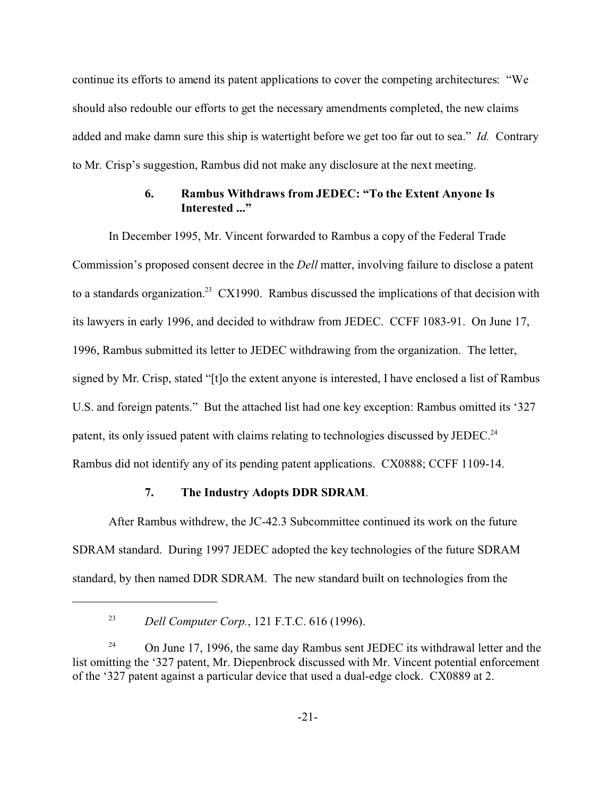continue its efforts to amend its patent applications to cover the competing architectures: "We should also redouble our efforts to get the necessary amendments completed, the new claims added and make damn sure this ship is watertight before we get too far out to sea." *Id.* Contrary to Mr. Crisp's suggestion, Rambus did not make any disclosure at the next meeting.

## **6. Rambus Withdraws from JEDEC: "To the Extent Anyone Is Interested ..."**

In December 1995, Mr. Vincent forwarded to Rambus a copy of the Federal Trade Commission's proposed consent decree in the *Dell* matter, involving failure to disclose a patent to a standards organization.<sup>23</sup> CX1990. Rambus discussed the implications of that decision with its lawyers in early 1996, and decided to withdraw from JEDEC. CCFF 1083-91. On June 17, 1996, Rambus submitted its letter to JEDEC withdrawing from the organization. The letter, signed by Mr. Crisp, stated "[t]o the extent anyone is interested, I have enclosed a list of Rambus U.S. and foreign patents." But the attached list had one key exception: Rambus omitted its '327 patent, its only issued patent with claims relating to technologies discussed by JEDEC.<sup>24</sup> Rambus did not identify any of its pending patent applications. CX0888; CCFF 1109-14.

## **7. The Industry Adopts DDR SDRAM**.

After Rambus withdrew, the JC-42.3 Subcommittee continued its work on the future SDRAM standard. During 1997 JEDEC adopted the key technologies of the future SDRAM standard, by then named DDR SDRAM. The new standard built on technologies from the

<sup>23</sup> *Dell Computer Corp.*, 121 F.T.C. 616 (1996).

<sup>&</sup>lt;sup>24</sup> On June 17, 1996, the same day Rambus sent JEDEC its withdrawal letter and the list omitting the '327 patent, Mr. Diepenbrock discussed with Mr. Vincent potential enforcement of the '327 patent against a particular device that used a dual-edge clock. CX0889 at 2.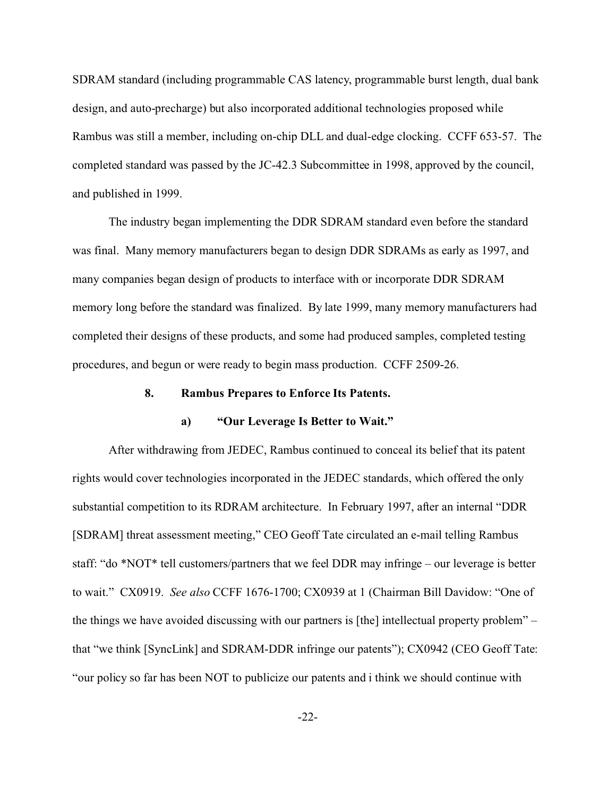SDRAM standard (including programmable CAS latency, programmable burst length, dual bank design, and auto-precharge) but also incorporated additional technologies proposed while Rambus was still a member, including on-chip DLL and dual-edge clocking. CCFF 653-57. The completed standard was passed by the JC-42.3 Subcommittee in 1998, approved by the council, and published in 1999.

The industry began implementing the DDR SDRAM standard even before the standard was final. Many memory manufacturers began to design DDR SDRAMs as early as 1997, and many companies began design of products to interface with or incorporate DDR SDRAM memory long before the standard was finalized. By late 1999, many memory manufacturers had completed their designs of these products, and some had produced samples, completed testing procedures, and begun or were ready to begin mass production. CCFF 2509-26.

#### **8. Rambus Prepares to Enforce Its Patents.**

#### **a) "Our Leverage Is Better to Wait."**

After withdrawing from JEDEC, Rambus continued to conceal its belief that its patent rights would cover technologies incorporated in the JEDEC standards, which offered the only substantial competition to its RDRAM architecture. In February 1997, after an internal "DDR [SDRAM] threat assessment meeting," CEO Geoff Tate circulated an e-mail telling Rambus staff: "do \*NOT\* tell customers/partners that we feel DDR may infringe – our leverage is better to wait." CX0919. *See also* CCFF 1676-1700; CX0939 at 1 (Chairman Bill Davidow: "One of the things we have avoided discussing with our partners is [the] intellectual property problem" – that "we think [SyncLink] and SDRAM-DDR infringe our patents"); CX0942 (CEO Geoff Tate: "our policy so far has been NOT to publicize our patents and i think we should continue with

-22-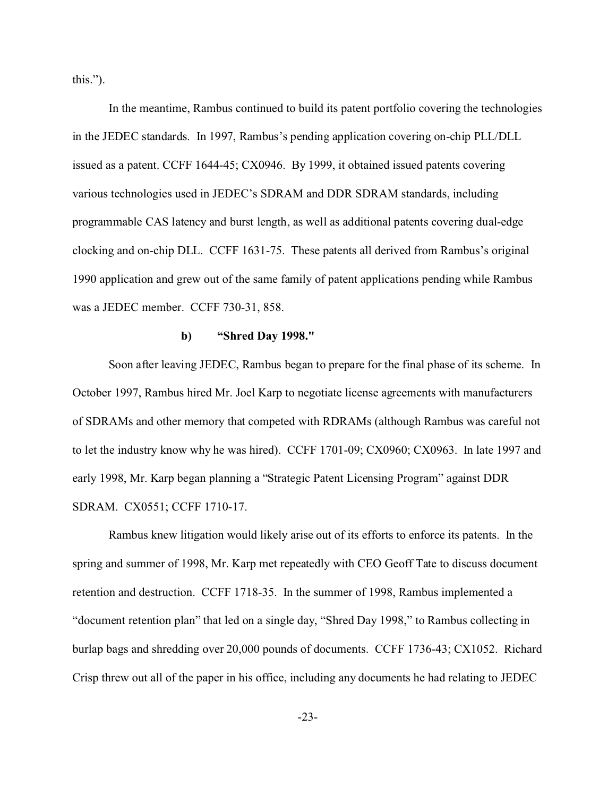this.").

In the meantime, Rambus continued to build its patent portfolio covering the technologies in the JEDEC standards. In 1997, Rambus's pending application covering on-chip PLL/DLL issued as a patent. CCFF 1644-45; CX0946. By 1999, it obtained issued patents covering various technologies used in JEDEC's SDRAM and DDR SDRAM standards, including programmable CAS latency and burst length, as well as additional patents covering dual-edge clocking and on-chip DLL. CCFF 1631-75. These patents all derived from Rambus's original 1990 application and grew out of the same family of patent applications pending while Rambus was a JEDEC member. CCFF 730-31, 858.

#### **b) "Shred Day 1998."**

Soon after leaving JEDEC, Rambus began to prepare for the final phase of its scheme. In October 1997, Rambus hired Mr. Joel Karp to negotiate license agreements with manufacturers of SDRAMs and other memory that competed with RDRAMs (although Rambus was careful not to let the industry know why he was hired). CCFF 1701-09; CX0960; CX0963. In late 1997 and early 1998, Mr. Karp began planning a "Strategic Patent Licensing Program" against DDR SDRAM. CX0551; CCFF 1710-17.

Rambus knew litigation would likely arise out of its efforts to enforce its patents. In the spring and summer of 1998, Mr. Karp met repeatedly with CEO Geoff Tate to discuss document retention and destruction. CCFF 1718-35. In the summer of 1998, Rambus implemented a "document retention plan" that led on a single day, "Shred Day 1998," to Rambus collecting in burlap bags and shredding over 20,000 pounds of documents. CCFF 1736-43; CX1052. Richard Crisp threw out all of the paper in his office, including any documents he had relating to JEDEC

-23-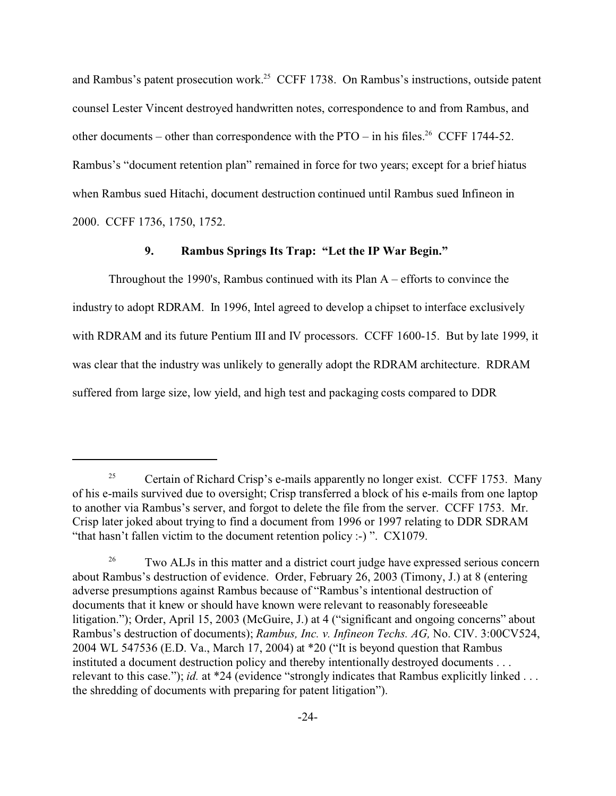and Rambus's patent prosecution work.<sup>25</sup> CCFF 1738. On Rambus's instructions, outside patent counsel Lester Vincent destroyed handwritten notes, correspondence to and from Rambus, and other documents – other than correspondence with the PTO – in his files.<sup>26</sup> CCFF 1744-52. Rambus's "document retention plan" remained in force for two years; except for a brief hiatus when Rambus sued Hitachi, document destruction continued until Rambus sued Infineon in 2000. CCFF 1736, 1750, 1752.

## **9. Rambus Springs Its Trap: "Let the IP War Begin."**

Throughout the 1990's, Rambus continued with its Plan  $A -$  efforts to convince the industry to adopt RDRAM. In 1996, Intel agreed to develop a chipset to interface exclusively with RDRAM and its future Pentium III and IV processors. CCFF 1600-15. But by late 1999, it was clear that the industry was unlikely to generally adopt the RDRAM architecture. RDRAM suffered from large size, low yield, and high test and packaging costs compared to DDR

<sup>&</sup>lt;sup>25</sup> Certain of Richard Crisp's e-mails apparently no longer exist. CCFF 1753. Many of his e-mails survived due to oversight; Crisp transferred a block of his e-mails from one laptop to another via Rambus's server, and forgot to delete the file from the server. CCFF 1753. Mr. Crisp later joked about trying to find a document from 1996 or 1997 relating to DDR SDRAM "that hasn't fallen victim to the document retention policy :-) ". CX1079.

<sup>&</sup>lt;sup>26</sup> Two ALJs in this matter and a district court judge have expressed serious concern about Rambus's destruction of evidence. Order, February 26, 2003 (Timony, J.) at 8 (entering adverse presumptions against Rambus because of "Rambus's intentional destruction of documents that it knew or should have known were relevant to reasonably foreseeable litigation."); Order, April 15, 2003 (McGuire, J.) at 4 ("significant and ongoing concerns" about Rambus's destruction of documents); *Rambus, Inc. v. Infineon Techs. AG,* No. CIV. 3:00CV524, 2004 WL 547536 (E.D. Va., March 17, 2004) at \*20 ("It is beyond question that Rambus instituted a document destruction policy and thereby intentionally destroyed documents . . . relevant to this case."); *id.* at \*24 (evidence "strongly indicates that Rambus explicitly linked . . . the shredding of documents with preparing for patent litigation").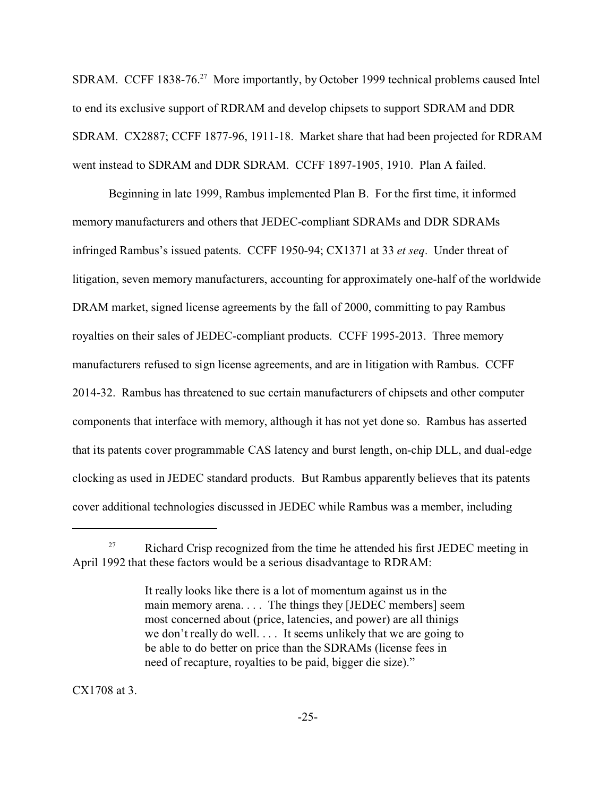SDRAM. CCFF 1838-76.<sup>27</sup> More importantly, by October 1999 technical problems caused Intel to end its exclusive support of RDRAM and develop chipsets to support SDRAM and DDR SDRAM. CX2887; CCFF 1877-96, 1911-18. Market share that had been projected for RDRAM went instead to SDRAM and DDR SDRAM. CCFF 1897-1905, 1910. Plan A failed.

Beginning in late 1999, Rambus implemented Plan B. For the first time, it informed memory manufacturers and others that JEDEC-compliant SDRAMs and DDR SDRAMs infringed Rambus's issued patents. CCFF 1950-94; CX1371 at 33 *et seq*. Under threat of litigation, seven memory manufacturers, accounting for approximately one-half of the worldwide DRAM market, signed license agreements by the fall of 2000, committing to pay Rambus royalties on their sales of JEDEC-compliant products. CCFF 1995-2013. Three memory manufacturers refused to sign license agreements, and are in litigation with Rambus. CCFF 2014-32. Rambus has threatened to sue certain manufacturers of chipsets and other computer components that interface with memory, although it has not yet done so. Rambus has asserted that its patents cover programmable CAS latency and burst length, on-chip DLL, and dual-edge clocking as used in JEDEC standard products. But Rambus apparently believes that its patents cover additional technologies discussed in JEDEC while Rambus was a member, including

CX1708 at 3.

 $27$  Richard Crisp recognized from the time he attended his first JEDEC meeting in April 1992 that these factors would be a serious disadvantage to RDRAM:

It really looks like there is a lot of momentum against us in the main memory arena. . . . The things they [JEDEC members] seem most concerned about (price, latencies, and power) are all thinigs we don't really do well. . . . It seems unlikely that we are going to be able to do better on price than the SDRAMs (license fees in need of recapture, royalties to be paid, bigger die size)."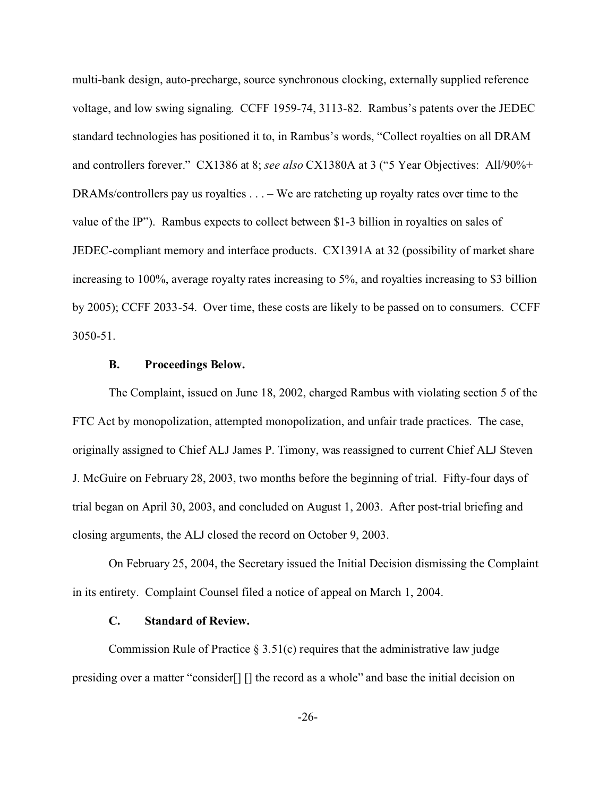multi-bank design, auto-precharge, source synchronous clocking, externally supplied reference voltage, and low swing signaling. CCFF 1959-74, 3113-82. Rambus's patents over the JEDEC standard technologies has positioned it to, in Rambus's words, "Collect royalties on all DRAM and controllers forever." CX1386 at 8; *see also* CX1380A at 3 ("5 Year Objectives: All/90%+ DRAMs/controllers pay us royalties . . . – We are ratcheting up royalty rates over time to the value of the IP"). Rambus expects to collect between \$1-3 billion in royalties on sales of JEDEC-compliant memory and interface products. CX1391A at 32 (possibility of market share increasing to 100%, average royalty rates increasing to 5%, and royalties increasing to \$3 billion by 2005); CCFF 2033-54. Over time, these costs are likely to be passed on to consumers. CCFF 3050-51.

## **B. Proceedings Below.**

The Complaint, issued on June 18, 2002, charged Rambus with violating section 5 of the FTC Act by monopolization, attempted monopolization, and unfair trade practices. The case, originally assigned to Chief ALJ James P. Timony, was reassigned to current Chief ALJ Steven J. McGuire on February 28, 2003, two months before the beginning of trial. Fifty-four days of trial began on April 30, 2003, and concluded on August 1, 2003. After post-trial briefing and closing arguments, the ALJ closed the record on October 9, 2003.

On February 25, 2004, the Secretary issued the Initial Decision dismissing the Complaint in its entirety. Complaint Counsel filed a notice of appeal on March 1, 2004.

### **C. Standard of Review.**

Commission Rule of Practice  $\S 3.51(c)$  requires that the administrative law judge presiding over a matter "consider[] [] the record as a whole" and base the initial decision on

-26-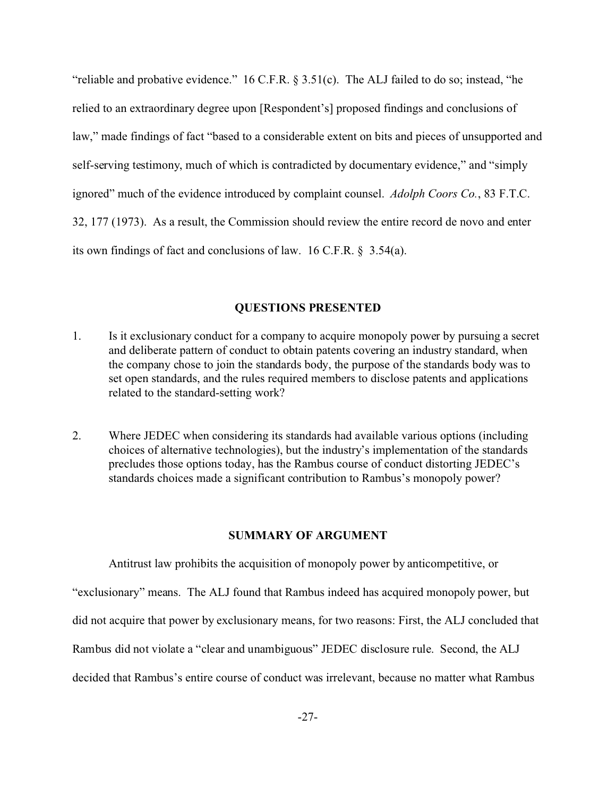"reliable and probative evidence." 16 C.F.R. § 3.51(c). The ALJ failed to do so; instead, "he relied to an extraordinary degree upon [Respondent's] proposed findings and conclusions of law," made findings of fact "based to a considerable extent on bits and pieces of unsupported and self-serving testimony, much of which is contradicted by documentary evidence," and "simply ignored" much of the evidence introduced by complaint counsel. *Adolph Coors Co.*, 83 F.T.C. 32, 177 (1973). As a result, the Commission should review the entire record de novo and enter its own findings of fact and conclusions of law. 16 C.F.R. § 3.54(a).

#### **QUESTIONS PRESENTED**

- 1. Is it exclusionary conduct for a company to acquire monopoly power by pursuing a secret and deliberate pattern of conduct to obtain patents covering an industry standard, when the company chose to join the standards body, the purpose of the standards body was to set open standards, and the rules required members to disclose patents and applications related to the standard-setting work?
- 2. Where JEDEC when considering its standards had available various options (including choices of alternative technologies), but the industry's implementation of the standards precludes those options today, has the Rambus course of conduct distorting JEDEC's standards choices made a significant contribution to Rambus's monopoly power?

#### **SUMMARY OF ARGUMENT**

Antitrust law prohibits the acquisition of monopoly power by anticompetitive, or "exclusionary" means. The ALJ found that Rambus indeed has acquired monopoly power, but did not acquire that power by exclusionary means, for two reasons: First, the ALJ concluded that Rambus did not violate a "clear and unambiguous" JEDEC disclosure rule. Second, the ALJ decided that Rambus's entire course of conduct was irrelevant, because no matter what Rambus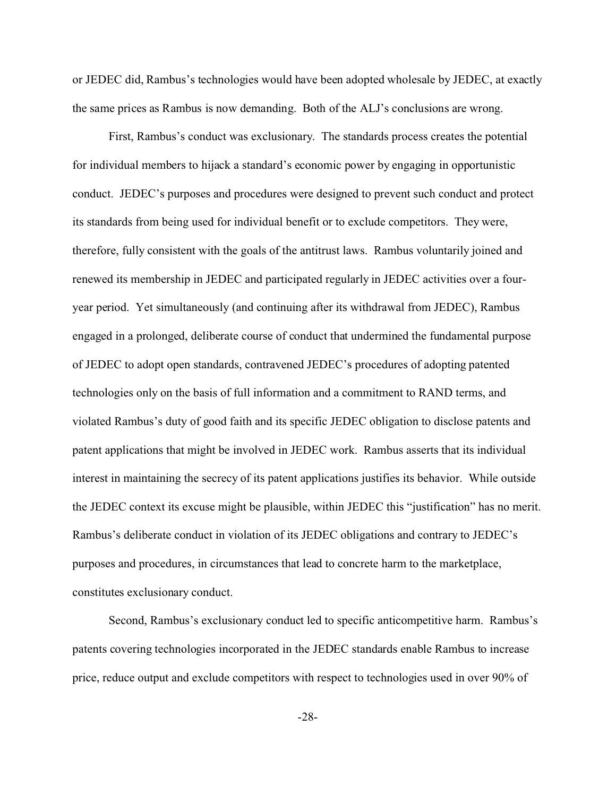or JEDEC did, Rambus's technologies would have been adopted wholesale by JEDEC, at exactly the same prices as Rambus is now demanding. Both of the ALJ's conclusions are wrong.

First, Rambus's conduct was exclusionary. The standards process creates the potential for individual members to hijack a standard's economic power by engaging in opportunistic conduct. JEDEC's purposes and procedures were designed to prevent such conduct and protect its standards from being used for individual benefit or to exclude competitors. They were, therefore, fully consistent with the goals of the antitrust laws. Rambus voluntarily joined and renewed its membership in JEDEC and participated regularly in JEDEC activities over a fouryear period. Yet simultaneously (and continuing after its withdrawal from JEDEC), Rambus engaged in a prolonged, deliberate course of conduct that undermined the fundamental purpose of JEDEC to adopt open standards, contravened JEDEC's procedures of adopting patented technologies only on the basis of full information and a commitment to RAND terms, and violated Rambus's duty of good faith and its specific JEDEC obligation to disclose patents and patent applications that might be involved in JEDEC work. Rambus asserts that its individual interest in maintaining the secrecy of its patent applications justifies its behavior. While outside the JEDEC context its excuse might be plausible, within JEDEC this "justification" has no merit. Rambus's deliberate conduct in violation of its JEDEC obligations and contrary to JEDEC's purposes and procedures, in circumstances that lead to concrete harm to the marketplace, constitutes exclusionary conduct.

Second, Rambus's exclusionary conduct led to specific anticompetitive harm. Rambus's patents covering technologies incorporated in the JEDEC standards enable Rambus to increase price, reduce output and exclude competitors with respect to technologies used in over 90% of

-28-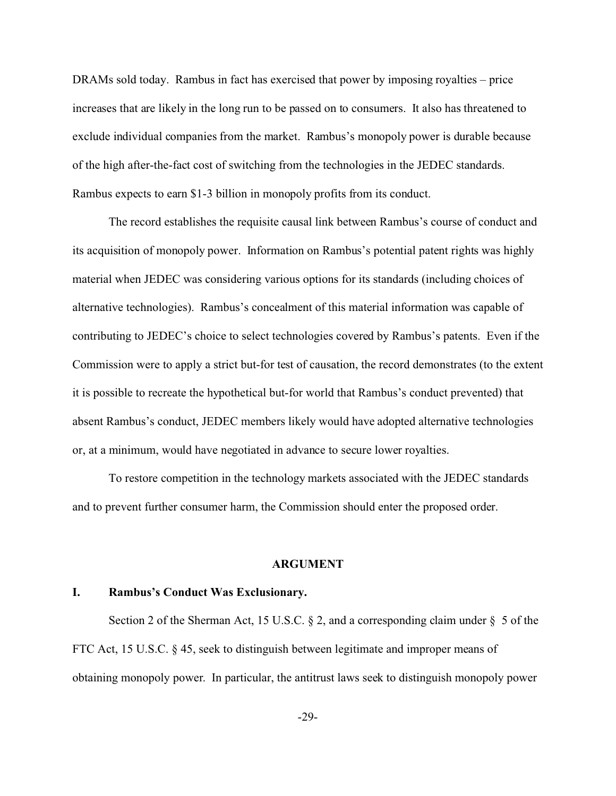DRAMs sold today. Rambus in fact has exercised that power by imposing royalties – price increases that are likely in the long run to be passed on to consumers. It also has threatened to exclude individual companies from the market. Rambus's monopoly power is durable because of the high after-the-fact cost of switching from the technologies in the JEDEC standards. Rambus expects to earn \$1-3 billion in monopoly profits from its conduct.

The record establishes the requisite causal link between Rambus's course of conduct and its acquisition of monopoly power. Information on Rambus's potential patent rights was highly material when JEDEC was considering various options for its standards (including choices of alternative technologies). Rambus's concealment of this material information was capable of contributing to JEDEC's choice to select technologies covered by Rambus's patents. Even if the Commission were to apply a strict but-for test of causation, the record demonstrates (to the extent it is possible to recreate the hypothetical but-for world that Rambus's conduct prevented) that absent Rambus's conduct, JEDEC members likely would have adopted alternative technologies or, at a minimum, would have negotiated in advance to secure lower royalties.

To restore competition in the technology markets associated with the JEDEC standards and to prevent further consumer harm, the Commission should enter the proposed order.

#### **ARGUMENT**

### **I. Rambus's Conduct Was Exclusionary.**

Section 2 of the Sherman Act, 15 U.S.C.  $\S$  2, and a corresponding claim under  $\S$  5 of the FTC Act, 15 U.S.C. § 45, seek to distinguish between legitimate and improper means of obtaining monopoly power. In particular, the antitrust laws seek to distinguish monopoly power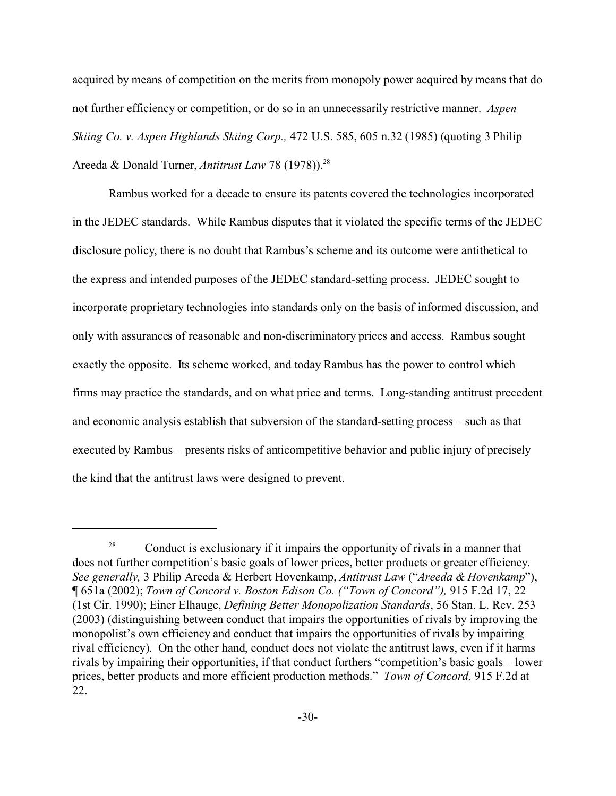acquired by means of competition on the merits from monopoly power acquired by means that do not further efficiency or competition, or do so in an unnecessarily restrictive manner. *Aspen Skiing Co. v. Aspen Highlands Skiing Corp.,* 472 U.S. 585, 605 n.32 (1985) (quoting 3 Philip Areeda & Donald Turner, *Antitrust Law* 78 (1978)).<sup>28</sup>

Rambus worked for a decade to ensure its patents covered the technologies incorporated in the JEDEC standards. While Rambus disputes that it violated the specific terms of the JEDEC disclosure policy, there is no doubt that Rambus's scheme and its outcome were antithetical to the express and intended purposes of the JEDEC standard-setting process. JEDEC sought to incorporate proprietary technologies into standards only on the basis of informed discussion, and only with assurances of reasonable and non-discriminatory prices and access. Rambus sought exactly the opposite. Its scheme worked, and today Rambus has the power to control which firms may practice the standards, and on what price and terms. Long-standing antitrust precedent and economic analysis establish that subversion of the standard-setting process – such as that executed by Rambus – presents risks of anticompetitive behavior and public injury of precisely the kind that the antitrust laws were designed to prevent.

<sup>&</sup>lt;sup>28</sup> Conduct is exclusionary if it impairs the opportunity of rivals in a manner that does not further competition's basic goals of lower prices, better products or greater efficiency. *See generally,* 3 Philip Areeda & Herbert Hovenkamp, *Antitrust Law* ("*Areeda & Hovenkamp*"), ¶ 651a (2002); *Town of Concord v. Boston Edison Co. ("Town of Concord"),* 915 F.2d 17, 22 (1st Cir. 1990); Einer Elhauge, *Defining Better Monopolization Standards*, 56 Stan. L. Rev. 253 (2003) (distinguishing between conduct that impairs the opportunities of rivals by improving the monopolist's own efficiency and conduct that impairs the opportunities of rivals by impairing rival efficiency). On the other hand, conduct does not violate the antitrust laws, even if it harms rivals by impairing their opportunities, if that conduct furthers "competition's basic goals – lower prices, better products and more efficient production methods." *Town of Concord,* 915 F.2d at 22.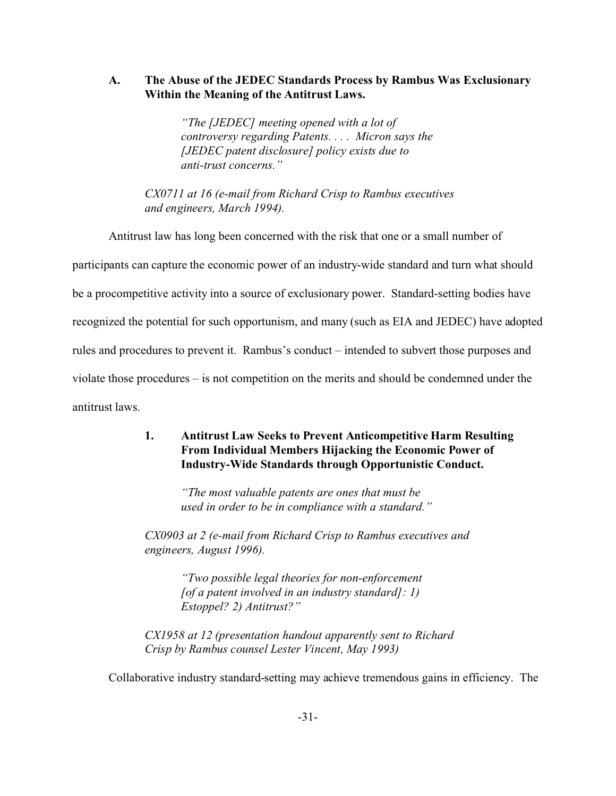## **A. The Abuse of the JEDEC Standards Process by Rambus Was Exclusionary Within the Meaning of the Antitrust Laws.**

*"The [JEDEC] meeting opened with a lot of controversy regarding Patents. . . . Micron says the [JEDEC patent disclosure] policy exists due to anti-trust concerns."*

*CX0711 at 16 (e-mail from Richard Crisp to Rambus executives and engineers, March 1994).*

Antitrust law has long been concerned with the risk that one or a small number of participants can capture the economic power of an industry-wide standard and turn what should be a procompetitive activity into a source of exclusionary power. Standard-setting bodies have recognized the potential for such opportunism, and many (such as EIA and JEDEC) have adopted rules and procedures to prevent it. Rambus's conduct – intended to subvert those purposes and violate those procedures – is not competition on the merits and should be condemned under the antitrust laws.

# **1. Antitrust Law Seeks to Prevent Anticompetitive Harm Resulting From Individual Members Hijacking the Economic Power of Industry-Wide Standards through Opportunistic Conduct.**

*"The most valuable patents are ones that must be used in order to be in compliance with a standard."*

*CX0903 at 2 (e-mail from Richard Crisp to Rambus executives and engineers, August 1996).*

> *"Two possible legal theories for non-enforcement [of a patent involved in an industry standard]: 1) Estoppel? 2) Antitrust?"*

*CX1958 at 12 (presentation handout apparently sent to Richard Crisp by Rambus counsel Lester Vincent, May 1993)* 

Collaborative industry standard-setting may achieve tremendous gains in efficiency. The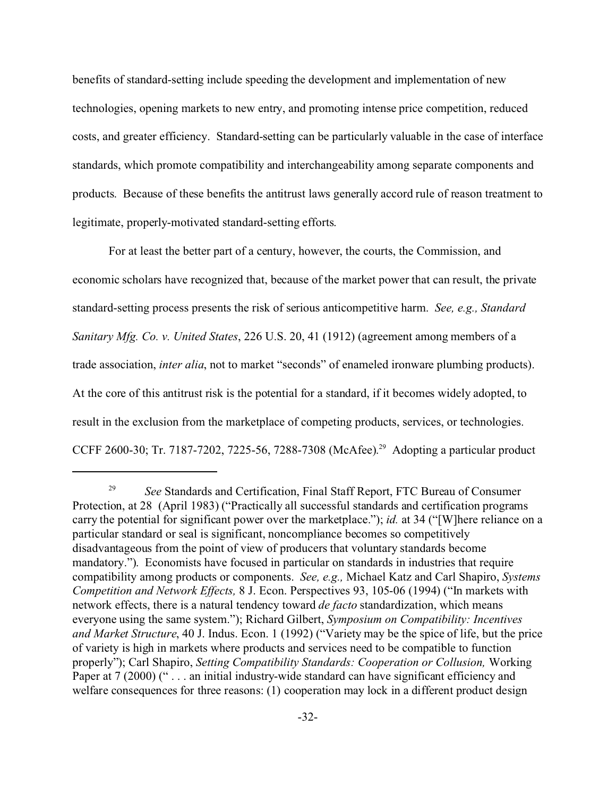benefits of standard-setting include speeding the development and implementation of new technologies, opening markets to new entry, and promoting intense price competition, reduced costs, and greater efficiency. Standard-setting can be particularly valuable in the case of interface standards, which promote compatibility and interchangeability among separate components and products. Because of these benefits the antitrust laws generally accord rule of reason treatment to legitimate, properly-motivated standard-setting efforts.

For at least the better part of a century, however, the courts, the Commission, and economic scholars have recognized that, because of the market power that can result, the private standard-setting process presents the risk of serious anticompetitive harm. *See, e.g., Standard Sanitary Mfg. Co. v. United States*, 226 U.S. 20, 41 (1912) (agreement among members of a trade association, *inter alia*, not to market "seconds" of enameled ironware plumbing products). At the core of this antitrust risk is the potential for a standard, if it becomes widely adopted, to result in the exclusion from the marketplace of competing products, services, or technologies. CCFF 2600-30; Tr. 7187-7202, 7225-56, 7288-7308 (McAfee). 29 Adopting a particular product

<sup>&</sup>lt;sup>29</sup> *See* Standards and Certification, Final Staff Report, FTC Bureau of Consumer Protection, at 28 (April 1983) ("Practically all successful standards and certification programs carry the potential for significant power over the marketplace."); *id.* at 34 ("[W]here reliance on a particular standard or seal is significant, noncompliance becomes so competitively disadvantageous from the point of view of producers that voluntary standards become mandatory."). Economists have focused in particular on standards in industries that require compatibility among products or components. *See, e.g.,* Michael Katz and Carl Shapiro, *Systems Competition and Network Effects,* 8 J. Econ. Perspectives 93, 105-06 (1994) ("In markets with network effects, there is a natural tendency toward *de facto* standardization, which means everyone using the same system."); Richard Gilbert, *Symposium on Compatibility: Incentives and Market Structure*, 40 J. Indus. Econ. 1 (1992) ("Variety may be the spice of life, but the price of variety is high in markets where products and services need to be compatible to function properly"); Carl Shapiro, *Setting Compatibility Standards: Cooperation or Collusion,* Working Paper at 7 (2000) ("... an initial industry-wide standard can have significant efficiency and welfare consequences for three reasons: (1) cooperation may lock in a different product design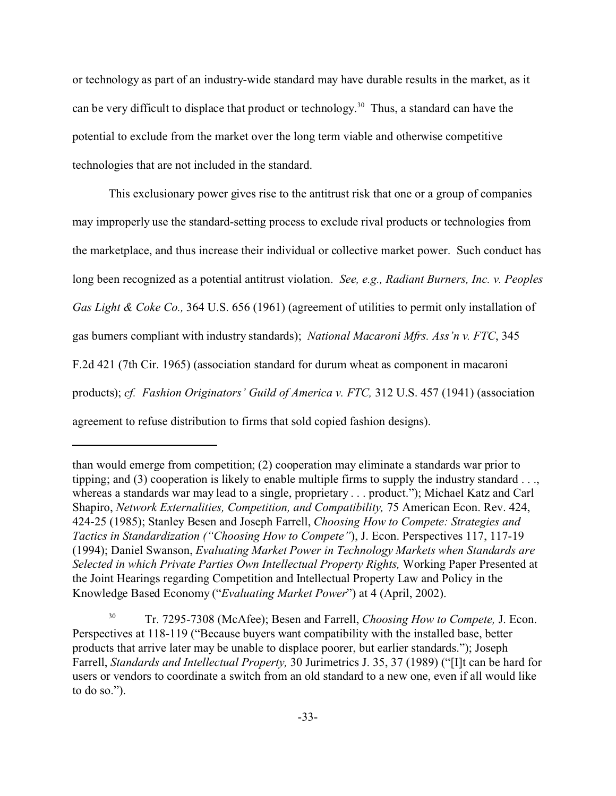or technology as part of an industry-wide standard may have durable results in the market, as it can be very difficult to displace that product or technology.<sup>30</sup> Thus, a standard can have the potential to exclude from the market over the long term viable and otherwise competitive technologies that are not included in the standard.

This exclusionary power gives rise to the antitrust risk that one or a group of companies may improperly use the standard-setting process to exclude rival products or technologies from the marketplace, and thus increase their individual or collective market power. Such conduct has long been recognized as a potential antitrust violation. *See, e.g., Radiant Burners, Inc. v. Peoples Gas Light & Coke Co.,* 364 U.S. 656 (1961) (agreement of utilities to permit only installation of gas burners compliant with industry standards); *National Macaroni Mfrs. Ass'n v. FTC*, 345 F.2d 421 (7th Cir. 1965) (association standard for durum wheat as component in macaroni products); *cf. Fashion Originators' Guild of America v. FTC,* 312 U.S. 457 (1941) (association agreement to refuse distribution to firms that sold copied fashion designs).

than would emerge from competition; (2) cooperation may eliminate a standards war prior to tipping; and (3) cooperation is likely to enable multiple firms to supply the industry standard . . ., whereas a standards war may lead to a single, proprietary . . . product."); Michael Katz and Carl Shapiro, *Network Externalities, Competition, and Compatibility, 75 American Econ. Rev. 424,* 424-25 (1985); Stanley Besen and Joseph Farrell, *Choosing How to Compete: Strategies and Tactics in Standardization ("Choosing How to Compete"*), J. Econ. Perspectives 117, 117-19 (1994); Daniel Swanson, *Evaluating Market Power in Technology Markets when Standards are Selected in which Private Parties Own Intellectual Property Rights,* Working Paper Presented at the Joint Hearings regarding Competition and Intellectual Property Law and Policy in the Knowledge Based Economy ("*Evaluating Market Power*") at 4 (April, 2002).

<sup>30</sup> Tr. 7295-7308 (McAfee); Besen and Farrell, *Choosing How to Compete,* J. Econ. Perspectives at 118-119 ("Because buyers want compatibility with the installed base, better products that arrive later may be unable to displace poorer, but earlier standards."); Joseph Farrell, *Standards and Intellectual Property,* 30 Jurimetrics J. 35, 37 (1989) ("[I]t can be hard for users or vendors to coordinate a switch from an old standard to a new one, even if all would like to do so.").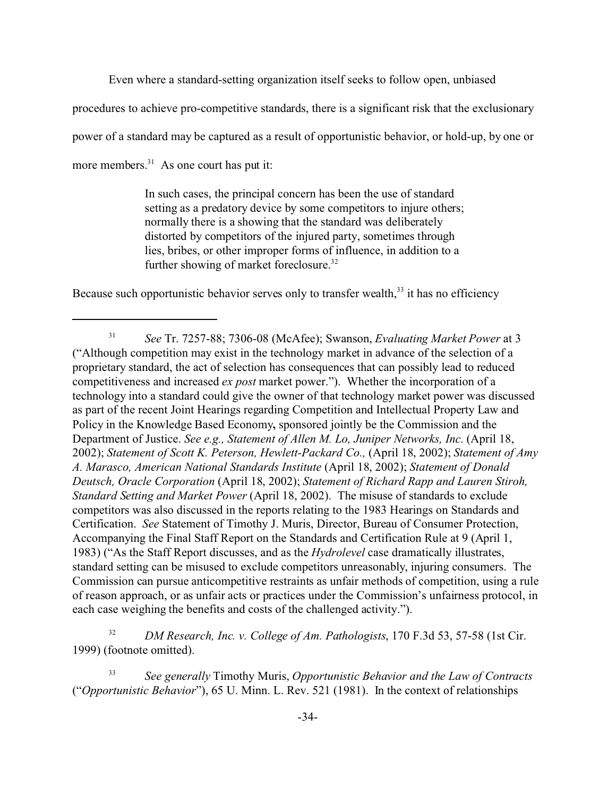Even where a standard-setting organization itself seeks to follow open, unbiased

procedures to achieve pro-competitive standards, there is a significant risk that the exclusionary

power of a standard may be captured as a result of opportunistic behavior, or hold-up, by one or

more members.<sup>31</sup> As one court has put it:

In such cases, the principal concern has been the use of standard setting as a predatory device by some competitors to injure others; normally there is a showing that the standard was deliberately distorted by competitors of the injured party, sometimes through lies, bribes, or other improper forms of influence, in addition to a further showing of market foreclosure.<sup>32</sup>

Because such opportunistic behavior serves only to transfer wealth, $33$  it has no efficiency

<sup>32</sup> *DM Research, Inc. v. College of Am. Pathologists*, 170 F.3d 53, 57-58 (1st Cir. 1999) (footnote omitted).

<sup>33</sup> *See generally* Timothy Muris, *Opportunistic Behavior and the Law of Contracts* ("*Opportunistic Behavior*"), 65 U. Minn. L. Rev. 521 (1981). In the context of relationships

<sup>31</sup> *See* Tr. 7257-88; 7306-08 (McAfee); Swanson, *Evaluating Market Power* at 3 ("Although competition may exist in the technology market in advance of the selection of a proprietary standard, the act of selection has consequences that can possibly lead to reduced competitiveness and increased *ex post* market power."). Whether the incorporation of a technology into a standard could give the owner of that technology market power was discussed as part of the recent Joint Hearings regarding Competition and Intellectual Property Law and Policy in the Knowledge Based Economy**,** sponsored jointly be the Commission and the Department of Justice. *See e.g., Statement of Allen M. Lo, Juniper Networks, Inc.* (April 18, 2002); *Statement of Scott K. Peterson, Hewlett-Packard Co.,* (April 18, 2002); *Statement of Amy A. Marasco, American National Standards Institute* (April 18, 2002); *Statement of Donald Deutsch, Oracle Corporation* (April 18, 2002); *Statement of Richard Rapp and Lauren Stiroh, Standard Setting and Market Power* (April 18, 2002). The misuse of standards to exclude competitors was also discussed in the reports relating to the 1983 Hearings on Standards and Certification. *See* Statement of Timothy J. Muris, Director, Bureau of Consumer Protection, Accompanying the Final Staff Report on the Standards and Certification Rule at 9 (April 1, 1983) ("As the Staff Report discusses, and as the *Hydrolevel* case dramatically illustrates, standard setting can be misused to exclude competitors unreasonably, injuring consumers. The Commission can pursue anticompetitive restraints as unfair methods of competition, using a rule of reason approach, or as unfair acts or practices under the Commission's unfairness protocol, in each case weighing the benefits and costs of the challenged activity.").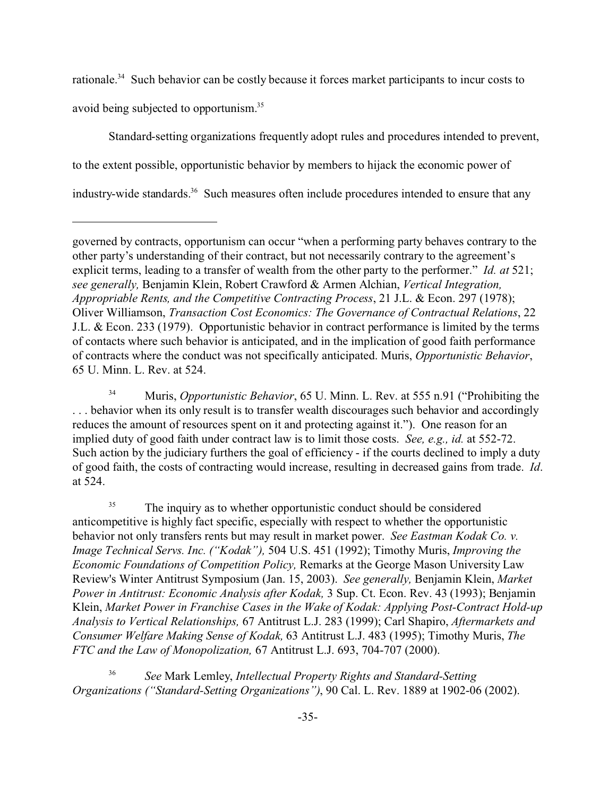rationale.<sup>34</sup> Such behavior can be costly because it forces market participants to incur costs to avoid being subjected to opportunism.<sup>35</sup>

Standard-setting organizations frequently adopt rules and procedures intended to prevent, to the extent possible, opportunistic behavior by members to hijack the economic power of industry-wide standards.<sup>36</sup> Such measures often include procedures intended to ensure that any

<sup>34</sup> Muris, *Opportunistic Behavior*, 65 U. Minn. L. Rev. at 555 n.91 ("Prohibiting the ... behavior when its only result is to transfer wealth discourages such behavior and accordingly reduces the amount of resources spent on it and protecting against it."). One reason for an implied duty of good faith under contract law is to limit those costs. *See, e.g., id.* at 552-72. Such action by the judiciary furthers the goal of efficiency - if the courts declined to imply a duty of good faith, the costs of contracting would increase, resulting in decreased gains from trade. *Id*. at 524.

<sup>35</sup> The inquiry as to whether opportunistic conduct should be considered anticompetitive is highly fact specific, especially with respect to whether the opportunistic behavior not only transfers rents but may result in market power. *See Eastman Kodak Co. v. Image Technical Servs. Inc. ("Kodak"),* 504 U.S. 451 (1992); Timothy Muris, *Improving the Economic Foundations of Competition Policy,* Remarks at the George Mason University Law Review's Winter Antitrust Symposium (Jan. 15, 2003). *See generally,* Benjamin Klein, *Market Power in Antitrust: Economic Analysis after Kodak,* 3 Sup. Ct. Econ. Rev. 43 (1993); Benjamin Klein, *Market Power in Franchise Cases in the Wake of Kodak: Applying Post-Contract Hold-up Analysis to Vertical Relationships,* 67 Antitrust L.J. 283 (1999); Carl Shapiro, *Aftermarkets and Consumer Welfare Making Sense of Kodak,* 63 Antitrust L.J. 483 (1995); Timothy Muris, *The FTC and the Law of Monopolization,* 67 Antitrust L.J. 693, 704-707 (2000).

<sup>36</sup> *See* Mark Lemley, *Intellectual Property Rights and Standard-Setting Organizations ("Standard-Setting Organizations")*, 90 Cal. L. Rev. 1889 at 1902-06 (2002).

governed by contracts, opportunism can occur "when a performing party behaves contrary to the other party's understanding of their contract, but not necessarily contrary to the agreement's explicit terms, leading to a transfer of wealth from the other party to the performer." *Id. at* 521; *see generally,* Benjamin Klein, Robert Crawford & Armen Alchian, *Vertical Integration, Appropriable Rents, and the Competitive Contracting Process*, 21 J.L. & Econ. 297 (1978); Oliver Williamson, *Transaction Cost Economics: The Governance of Contractual Relations*, 22 J.L. & Econ. 233 (1979). Opportunistic behavior in contract performance is limited by the terms of contacts where such behavior is anticipated, and in the implication of good faith performance of contracts where the conduct was not specifically anticipated. Muris, *Opportunistic Behavior*, 65 U. Minn. L. Rev. at 524.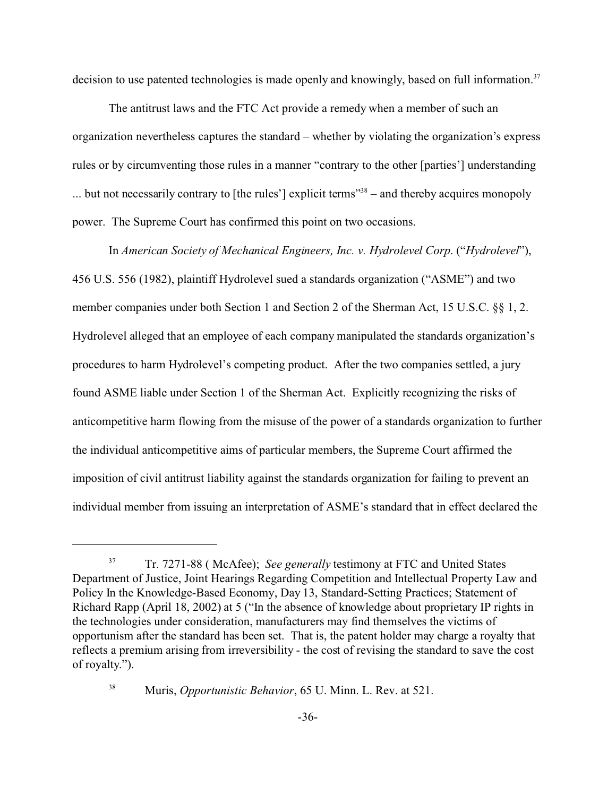decision to use patented technologies is made openly and knowingly, based on full information.<sup>37</sup>

The antitrust laws and the FTC Act provide a remedy when a member of such an organization nevertheless captures the standard – whether by violating the organization's express rules or by circumventing those rules in a manner "contrary to the other [parties'] understanding  $\ldots$  but not necessarily contrary to [the rules'] explicit terms<sup> $38$ </sup> – and thereby acquires monopoly power. The Supreme Court has confirmed this point on two occasions.

In *American Society of Mechanical Engineers, Inc. v. Hydrolevel Corp*. ("*Hydrolevel*"), 456 U.S. 556 (1982), plaintiff Hydrolevel sued a standards organization ("ASME") and two member companies under both Section 1 and Section 2 of the Sherman Act, 15 U.S.C. §§ 1, 2. Hydrolevel alleged that an employee of each company manipulated the standards organization's procedures to harm Hydrolevel's competing product. After the two companies settled, a jury found ASME liable under Section 1 of the Sherman Act. Explicitly recognizing the risks of anticompetitive harm flowing from the misuse of the power of a standards organization to further the individual anticompetitive aims of particular members, the Supreme Court affirmed the imposition of civil antitrust liability against the standards organization for failing to prevent an individual member from issuing an interpretation of ASME's standard that in effect declared the

<sup>38</sup> Muris, *Opportunistic Behavior*, 65 U. Minn. L. Rev. at 521.

<sup>37</sup> Tr. 7271-88 ( McAfee); *See generally* testimony at FTC and United States Department of Justice, Joint Hearings Regarding Competition and Intellectual Property Law and Policy In the Knowledge-Based Economy, Day 13, Standard-Setting Practices; Statement of Richard Rapp (April 18, 2002) at 5 ("In the absence of knowledge about proprietary IP rights in the technologies under consideration, manufacturers may find themselves the victims of opportunism after the standard has been set. That is, the patent holder may charge a royalty that reflects a premium arising from irreversibility - the cost of revising the standard to save the cost of royalty.").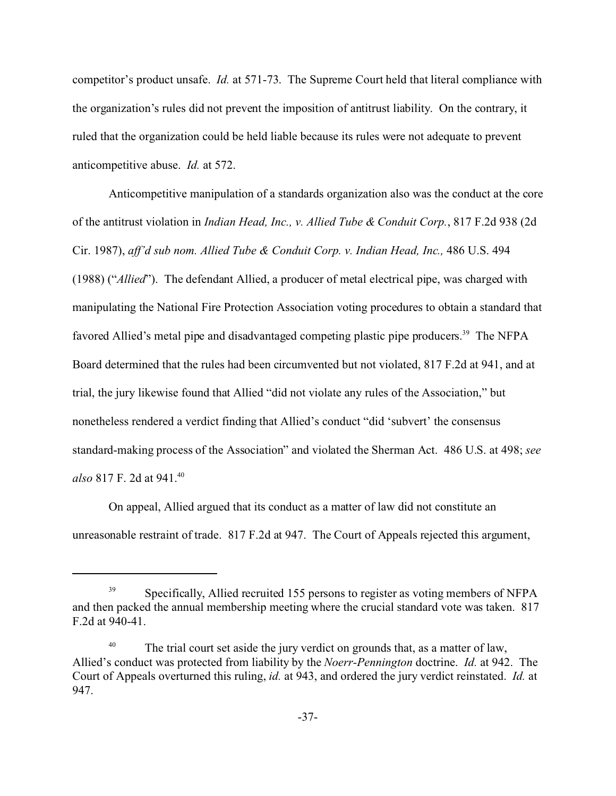competitor's product unsafe. *Id.* at 571-73. The Supreme Court held that literal compliance with the organization's rules did not prevent the imposition of antitrust liability. On the contrary, it ruled that the organization could be held liable because its rules were not adequate to prevent anticompetitive abuse. *Id.* at 572.

Anticompetitive manipulation of a standards organization also was the conduct at the core of the antitrust violation in *Indian Head, Inc., v. Allied Tube & Conduit Corp.*, 817 F.2d 938 (2d Cir. 1987), *aff'd sub nom. Allied Tube & Conduit Corp. v. Indian Head, Inc.,* 486 U.S. 494 (1988) ("*Allied*"). The defendant Allied, a producer of metal electrical pipe, was charged with manipulating the National Fire Protection Association voting procedures to obtain a standard that favored Allied's metal pipe and disadvantaged competing plastic pipe producers.<sup>39</sup> The NFPA Board determined that the rules had been circumvented but not violated, 817 F.2d at 941, and at trial, the jury likewise found that Allied "did not violate any rules of the Association," but nonetheless rendered a verdict finding that Allied's conduct "did 'subvert' the consensus standard-making process of the Association" and violated the Sherman Act. 486 U.S. at 498; *see also* 817 F. 2d at 941.<sup>40</sup>

On appeal, Allied argued that its conduct as a matter of law did not constitute an unreasonable restraint of trade. 817 F.2d at 947. The Court of Appeals rejected this argument,

<sup>&</sup>lt;sup>39</sup> Specifically, Allied recruited 155 persons to register as voting members of NFPA and then packed the annual membership meeting where the crucial standard vote was taken. 817 F.2d at 940-41.

<sup>&</sup>lt;sup>40</sup> The trial court set aside the jury verdict on grounds that, as a matter of law, Allied's conduct was protected from liability by the *Noerr-Pennington* doctrine. *Id.* at 942. The Court of Appeals overturned this ruling, *id.* at 943, and ordered the jury verdict reinstated. *Id.* at 947.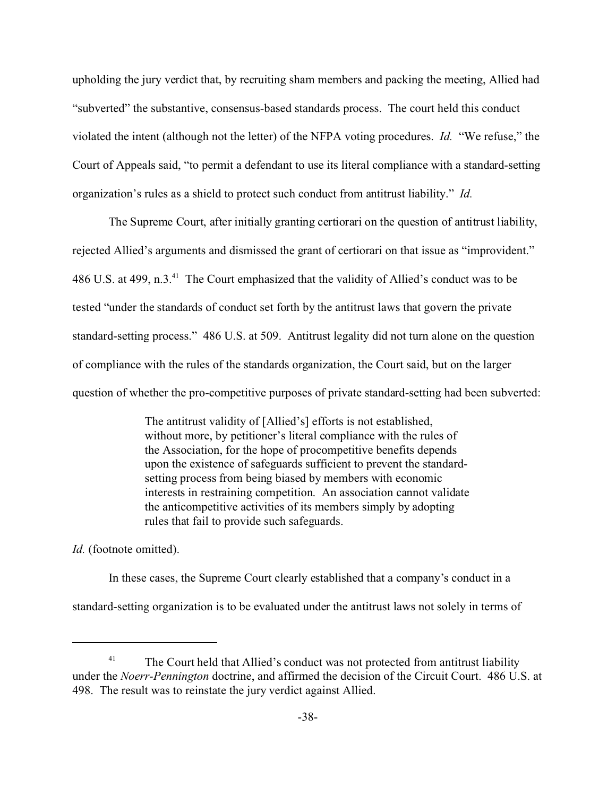upholding the jury verdict that, by recruiting sham members and packing the meeting, Allied had "subverted" the substantive, consensus-based standards process. The court held this conduct violated the intent (although not the letter) of the NFPA voting procedures. *Id.* "We refuse," the Court of Appeals said, "to permit a defendant to use its literal compliance with a standard-setting organization's rules as a shield to protect such conduct from antitrust liability." *Id.*

The Supreme Court, after initially granting certiorari on the question of antitrust liability, rejected Allied's arguments and dismissed the grant of certiorari on that issue as "improvident." 486 U.S. at 499, n.3.<sup>41</sup> The Court emphasized that the validity of Allied's conduct was to be tested "under the standards of conduct set forth by the antitrust laws that govern the private standard-setting process." 486 U.S. at 509. Antitrust legality did not turn alone on the question of compliance with the rules of the standards organization, the Court said, but on the larger question of whether the pro-competitive purposes of private standard-setting had been subverted:

> The antitrust validity of [Allied's] efforts is not established, without more, by petitioner's literal compliance with the rules of the Association, for the hope of procompetitive benefits depends upon the existence of safeguards sufficient to prevent the standardsetting process from being biased by members with economic interests in restraining competition. An association cannot validate the anticompetitive activities of its members simply by adopting rules that fail to provide such safeguards.

*Id.* (footnote omitted).

In these cases, the Supreme Court clearly established that a company's conduct in a standard-setting organization is to be evaluated under the antitrust laws not solely in terms of

The Court held that Allied's conduct was not protected from antitrust liability under the *Noerr-Pennington* doctrine, and affirmed the decision of the Circuit Court. 486 U.S. at 498. The result was to reinstate the jury verdict against Allied.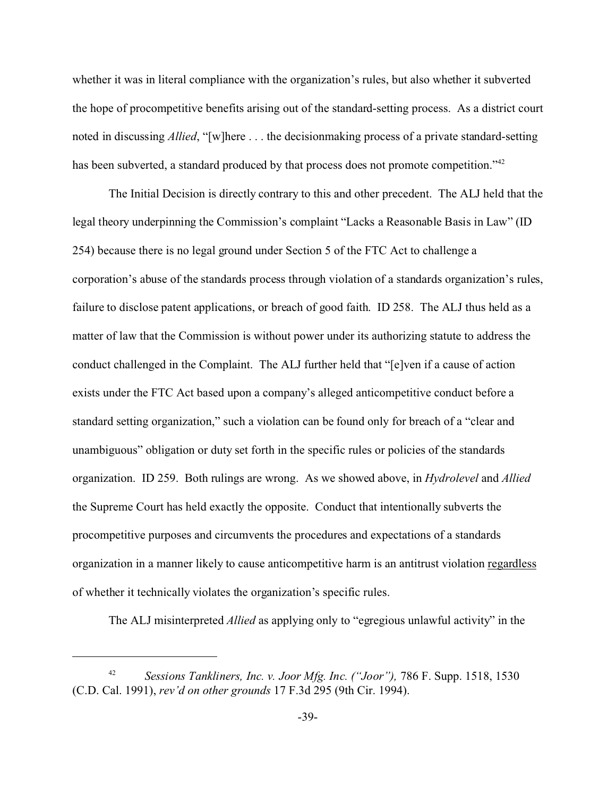whether it was in literal compliance with the organization's rules, but also whether it subverted the hope of procompetitive benefits arising out of the standard-setting process. As a district court noted in discussing *Allied*, "[w]here . . . the decisionmaking process of a private standard-setting has been subverted, a standard produced by that process does not promote competition."<sup>42</sup>

The Initial Decision is directly contrary to this and other precedent. The ALJ held that the legal theory underpinning the Commission's complaint "Lacks a Reasonable Basis in Law" (ID 254) because there is no legal ground under Section 5 of the FTC Act to challenge a corporation's abuse of the standards process through violation of a standards organization's rules, failure to disclose patent applications, or breach of good faith. ID 258. The ALJ thus held as a matter of law that the Commission is without power under its authorizing statute to address the conduct challenged in the Complaint. The ALJ further held that "[e]ven if a cause of action exists under the FTC Act based upon a company's alleged anticompetitive conduct before a standard setting organization," such a violation can be found only for breach of a "clear and unambiguous" obligation or duty set forth in the specific rules or policies of the standards organization. ID 259. Both rulings are wrong. As we showed above, in *Hydrolevel* and *Allied* the Supreme Court has held exactly the opposite. Conduct that intentionally subverts the procompetitive purposes and circumvents the procedures and expectations of a standards organization in a manner likely to cause anticompetitive harm is an antitrust violation regardless of whether it technically violates the organization's specific rules.

The ALJ misinterpreted *Allied* as applying only to "egregious unlawful activity" in the

<sup>42</sup> *Sessions Tankliners, Inc. v. Joor Mfg. Inc. ("Joor"),* 786 F. Supp. 1518, 1530 (C.D. Cal. 1991), *rev'd on other grounds* 17 F.3d 295 (9th Cir. 1994).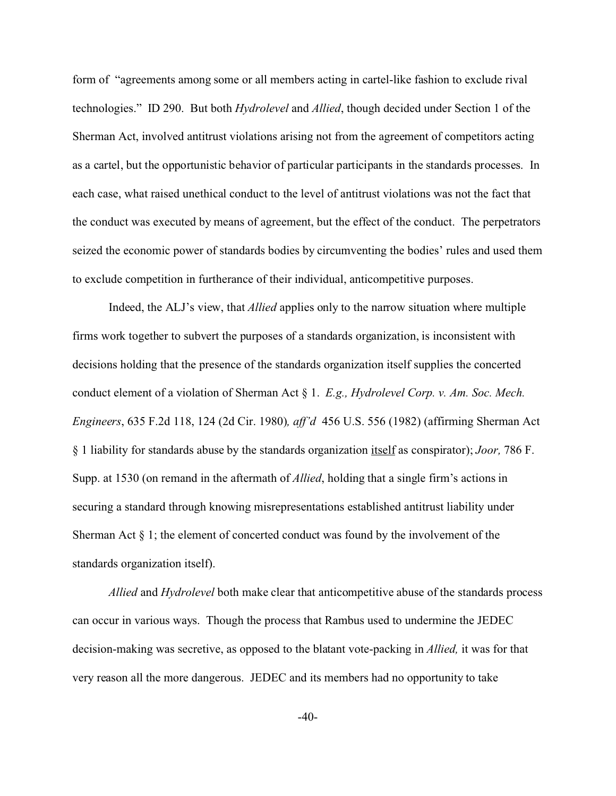form of "agreements among some or all members acting in cartel-like fashion to exclude rival technologies." ID 290. But both *Hydrolevel* and *Allied*, though decided under Section 1 of the Sherman Act, involved antitrust violations arising not from the agreement of competitors acting as a cartel, but the opportunistic behavior of particular participants in the standards processes. In each case, what raised unethical conduct to the level of antitrust violations was not the fact that the conduct was executed by means of agreement, but the effect of the conduct. The perpetrators seized the economic power of standards bodies by circumventing the bodies' rules and used them to exclude competition in furtherance of their individual, anticompetitive purposes.

Indeed, the ALJ's view, that *Allied* applies only to the narrow situation where multiple firms work together to subvert the purposes of a standards organization, is inconsistent with decisions holding that the presence of the standards organization itself supplies the concerted conduct element of a violation of Sherman Act § 1. *E.g., Hydrolevel Corp. v. Am. Soc. Mech. Engineers*, 635 F.2d 118, 124 (2d Cir. 1980)*, aff'd* 456 U.S. 556 (1982) (affirming Sherman Act § 1 liability for standards abuse by the standards organization itself as conspirator); *Joor,* 786 F. Supp. at 1530 (on remand in the aftermath of *Allied*, holding that a single firm's actions in securing a standard through knowing misrepresentations established antitrust liability under Sherman Act § 1; the element of concerted conduct was found by the involvement of the standards organization itself).

*Allied* and *Hydrolevel* both make clear that anticompetitive abuse of the standards process can occur in various ways. Though the process that Rambus used to undermine the JEDEC decision-making was secretive, as opposed to the blatant vote-packing in *Allied,* it was for that very reason all the more dangerous. JEDEC and its members had no opportunity to take

 $-40-$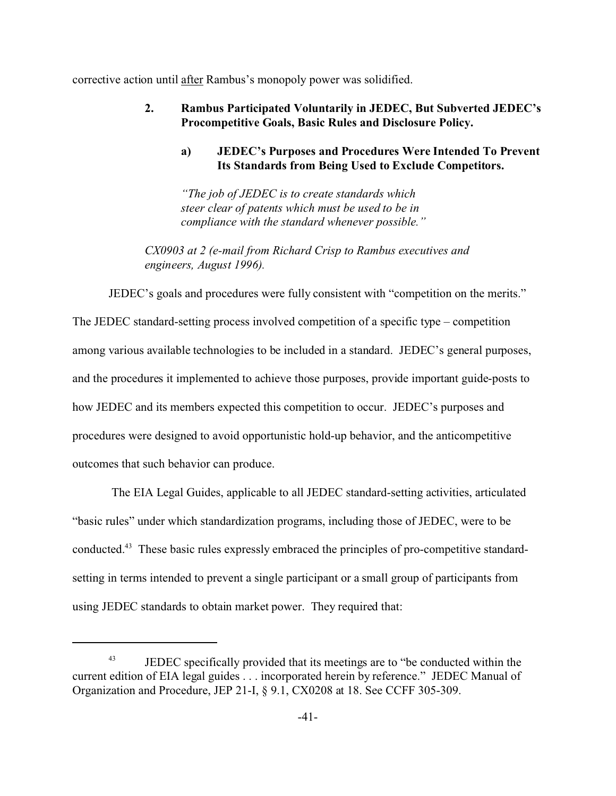corrective action until after Rambus's monopoly power was solidified.

## **2. Rambus Participated Voluntarily in JEDEC, But Subverted JEDEC's Procompetitive Goals, Basic Rules and Disclosure Policy.**

# **a) JEDEC's Purposes and Procedures Were Intended To Prevent Its Standards from Being Used to Exclude Competitors.**

*"The job of JEDEC is to create standards which steer clear of patents which must be used to be in compliance with the standard whenever possible."*

*CX0903 at 2 (e-mail from Richard Crisp to Rambus executives and engineers, August 1996).*

JEDEC's goals and procedures were fully consistent with "competition on the merits."

The JEDEC standard-setting process involved competition of a specific type – competition among various available technologies to be included in a standard. JEDEC's general purposes, and the procedures it implemented to achieve those purposes, provide important guide-posts to how JEDEC and its members expected this competition to occur. JEDEC's purposes and procedures were designed to avoid opportunistic hold-up behavior, and the anticompetitive outcomes that such behavior can produce.

 The EIA Legal Guides, applicable to all JEDEC standard-setting activities, articulated "basic rules" under which standardization programs, including those of JEDEC, were to be conducted.43 These basic rules expressly embraced the principles of pro-competitive standardsetting in terms intended to prevent a single participant or a small group of participants from using JEDEC standards to obtain market power. They required that:

<sup>&</sup>lt;sup>43</sup> JEDEC specifically provided that its meetings are to "be conducted within the current edition of EIA legal guides . . . incorporated herein by reference." JEDEC Manual of Organization and Procedure, JEP 21-I, § 9.1, CX0208 at 18. See CCFF 305-309.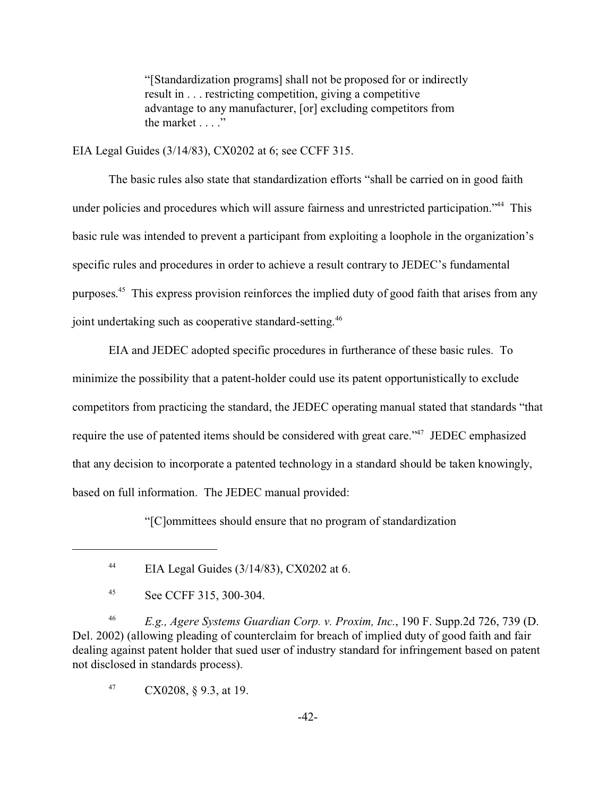"[Standardization programs] shall not be proposed for or indirectly result in . . . restricting competition, giving a competitive advantage to any manufacturer, [or] excluding competitors from the market  $\dots$ ."

EIA Legal Guides (3/14/83), CX0202 at 6; see CCFF 315.

The basic rules also state that standardization efforts "shall be carried on in good faith under policies and procedures which will assure fairness and unrestricted participation."<sup>44</sup> This basic rule was intended to prevent a participant from exploiting a loophole in the organization's specific rules and procedures in order to achieve a result contrary to JEDEC's fundamental purposes. <sup>45</sup> This express provision reinforces the implied duty of good faith that arises from any joint undertaking such as cooperative standard-setting.<sup>46</sup>

EIA and JEDEC adopted specific procedures in furtherance of these basic rules. To minimize the possibility that a patent-holder could use its patent opportunistically to exclude competitors from practicing the standard, the JEDEC operating manual stated that standards "that require the use of patented items should be considered with great care."<sup>47</sup> JEDEC emphasized that any decision to incorporate a patented technology in a standard should be taken knowingly, based on full information. The JEDEC manual provided:

"[C]ommittees should ensure that no program of standardization

<sup>46</sup> *E.g., Agere Systems Guardian Corp. v. Proxim, Inc.*, 190 F. Supp.2d 726, 739 (D. Del. 2002) (allowing pleading of counterclaim for breach of implied duty of good faith and fair dealing against patent holder that sued user of industry standard for infringement based on patent not disclosed in standards process).

 $47$  CX0208, § 9.3, at 19.

<sup>&</sup>lt;sup>44</sup> EIA Legal Guides  $(3/14/83)$ , CX0202 at 6.

<sup>45</sup> See CCFF 315, 300-304.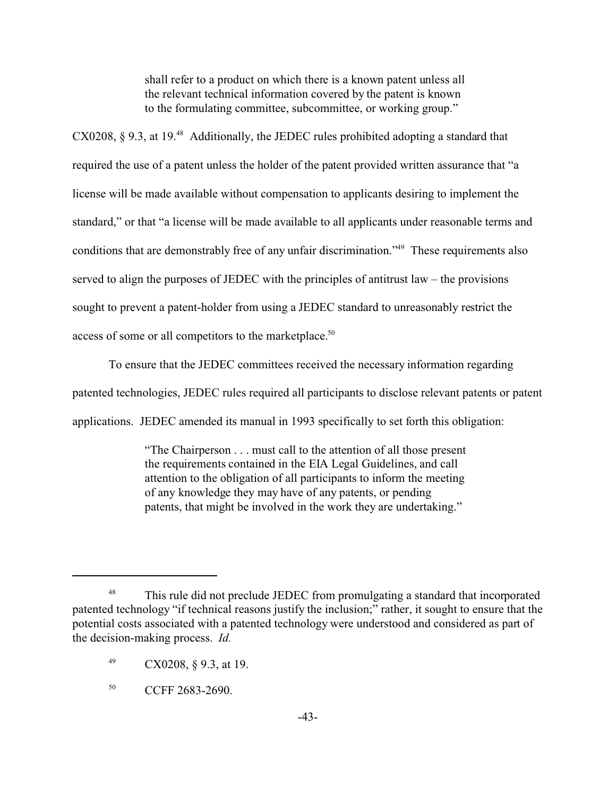shall refer to a product on which there is a known patent unless all the relevant technical information covered by the patent is known to the formulating committee, subcommittee, or working group."

CX0208,  $\S$  9.3, at 19.<sup>48</sup> Additionally, the JEDEC rules prohibited adopting a standard that required the use of a patent unless the holder of the patent provided written assurance that "a license will be made available without compensation to applicants desiring to implement the standard," or that "a license will be made available to all applicants under reasonable terms and conditions that are demonstrably free of any unfair discrimination."<sup>49</sup> These requirements also served to align the purposes of JEDEC with the principles of antitrust law – the provisions sought to prevent a patent-holder from using a JEDEC standard to unreasonably restrict the access of some or all competitors to the marketplace.<sup>50</sup>

To ensure that the JEDEC committees received the necessary information regarding patented technologies, JEDEC rules required all participants to disclose relevant patents or patent applications. JEDEC amended its manual in 1993 specifically to set forth this obligation:

> "The Chairperson . . . must call to the attention of all those present the requirements contained in the EIA Legal Guidelines, and call attention to the obligation of all participants to inform the meeting of any knowledge they may have of any patents, or pending patents, that might be involved in the work they are undertaking."

This rule did not preclude JEDEC from promulgating a standard that incorporated patented technology "if technical reasons justify the inclusion;" rather, it sought to ensure that the potential costs associated with a patented technology were understood and considered as part of the decision-making process. *Id.*

<sup>49</sup> CX0208, § 9.3, at 19.

<sup>&</sup>lt;sup>50</sup> CCFF 2683-2690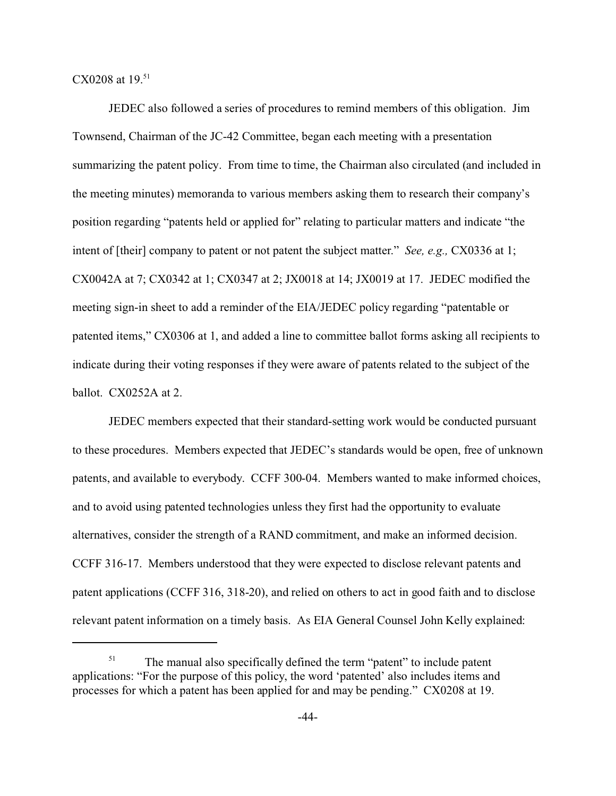$CX0208$  at  $19.^{51}$ 

JEDEC also followed a series of procedures to remind members of this obligation. Jim Townsend, Chairman of the JC-42 Committee, began each meeting with a presentation summarizing the patent policy. From time to time, the Chairman also circulated (and included in the meeting minutes) memoranda to various members asking them to research their company's position regarding "patents held or applied for" relating to particular matters and indicate "the intent of [their] company to patent or not patent the subject matter." *See, e.g.,* CX0336 at 1; CX0042A at 7; CX0342 at 1; CX0347 at 2; JX0018 at 14; JX0019 at 17. JEDEC modified the meeting sign-in sheet to add a reminder of the EIA/JEDEC policy regarding "patentable or patented items," CX0306 at 1, and added a line to committee ballot forms asking all recipients to indicate during their voting responses if they were aware of patents related to the subject of the ballot. CX0252A at 2.

JEDEC members expected that their standard-setting work would be conducted pursuant to these procedures. Members expected that JEDEC's standards would be open, free of unknown patents, and available to everybody. CCFF 300-04. Members wanted to make informed choices, and to avoid using patented technologies unless they first had the opportunity to evaluate alternatives, consider the strength of a RAND commitment, and make an informed decision. CCFF 316-17. Members understood that they were expected to disclose relevant patents and patent applications (CCFF 316, 318-20), and relied on others to act in good faith and to disclose relevant patent information on a timely basis. As EIA General Counsel John Kelly explained:

<sup>&</sup>lt;sup>51</sup> The manual also specifically defined the term "patent" to include patent applications: "For the purpose of this policy, the word 'patented' also includes items and processes for which a patent has been applied for and may be pending." CX0208 at 19.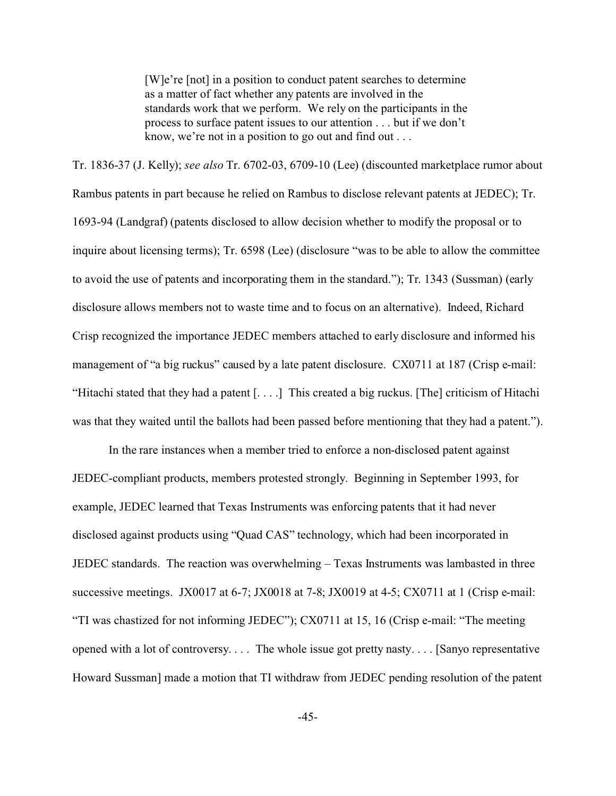[W]e're [not] in a position to conduct patent searches to determine as a matter of fact whether any patents are involved in the standards work that we perform. We rely on the participants in the process to surface patent issues to our attention . . . but if we don't know, we're not in a position to go out and find out . . .

Tr. 1836-37 (J. Kelly); *see also* Tr. 6702-03, 6709-10 (Lee) (discounted marketplace rumor about Rambus patents in part because he relied on Rambus to disclose relevant patents at JEDEC); Tr. 1693-94 (Landgraf) (patents disclosed to allow decision whether to modify the proposal or to inquire about licensing terms); Tr. 6598 (Lee) (disclosure "was to be able to allow the committee to avoid the use of patents and incorporating them in the standard."); Tr. 1343 (Sussman) (early disclosure allows members not to waste time and to focus on an alternative). Indeed, Richard Crisp recognized the importance JEDEC members attached to early disclosure and informed his management of "a big ruckus" caused by a late patent disclosure. CX0711 at 187 (Crisp e-mail: "Hitachi stated that they had a patent [. . . .] This created a big ruckus. [The] criticism of Hitachi was that they waited until the ballots had been passed before mentioning that they had a patent.").

In the rare instances when a member tried to enforce a non-disclosed patent against JEDEC-compliant products, members protested strongly. Beginning in September 1993, for example, JEDEC learned that Texas Instruments was enforcing patents that it had never disclosed against products using "Quad CAS" technology, which had been incorporated in JEDEC standards. The reaction was overwhelming – Texas Instruments was lambasted in three successive meetings. JX0017 at  $6-7$ ; JX0018 at  $7-8$ ; JX0019 at  $4-5$ ; CX0711 at 1 (Crisp e-mail: "TI was chastized for not informing JEDEC"); CX0711 at 15, 16 (Crisp e-mail: "The meeting opened with a lot of controversy. . . . The whole issue got pretty nasty. . . . [Sanyo representative Howard Sussman] made a motion that TI withdraw from JEDEC pending resolution of the patent

-45-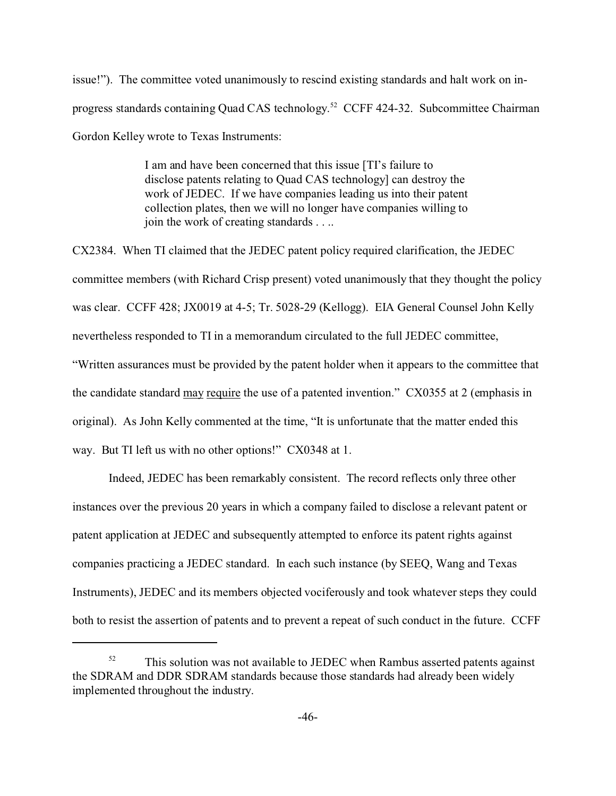issue!"). The committee voted unanimously to rescind existing standards and halt work on inprogress standards containing Quad CAS technology.<sup>52</sup> CCFF 424-32. Subcommittee Chairman Gordon Kelley wrote to Texas Instruments:

> I am and have been concerned that this issue [TI's failure to disclose patents relating to Quad CAS technology] can destroy the work of JEDEC. If we have companies leading us into their patent collection plates, then we will no longer have companies willing to join the work of creating standards . . ..

CX2384. When TI claimed that the JEDEC patent policy required clarification, the JEDEC committee members (with Richard Crisp present) voted unanimously that they thought the policy was clear. CCFF 428; JX0019 at 4-5; Tr. 5028-29 (Kellogg). EIA General Counsel John Kelly nevertheless responded to TI in a memorandum circulated to the full JEDEC committee, "Written assurances must be provided by the patent holder when it appears to the committee that the candidate standard may require the use of a patented invention." CX0355 at 2 (emphasis in original). As John Kelly commented at the time, "It is unfortunate that the matter ended this way. But TI left us with no other options!" CX0348 at 1.

Indeed, JEDEC has been remarkably consistent. The record reflects only three other instances over the previous 20 years in which a company failed to disclose a relevant patent or patent application at JEDEC and subsequently attempted to enforce its patent rights against companies practicing a JEDEC standard. In each such instance (by SEEQ, Wang and Texas Instruments), JEDEC and its members objected vociferously and took whatever steps they could both to resist the assertion of patents and to prevent a repeat of such conduct in the future. CCFF

<sup>&</sup>lt;sup>52</sup> This solution was not available to JEDEC when Rambus asserted patents against the SDRAM and DDR SDRAM standards because those standards had already been widely implemented throughout the industry.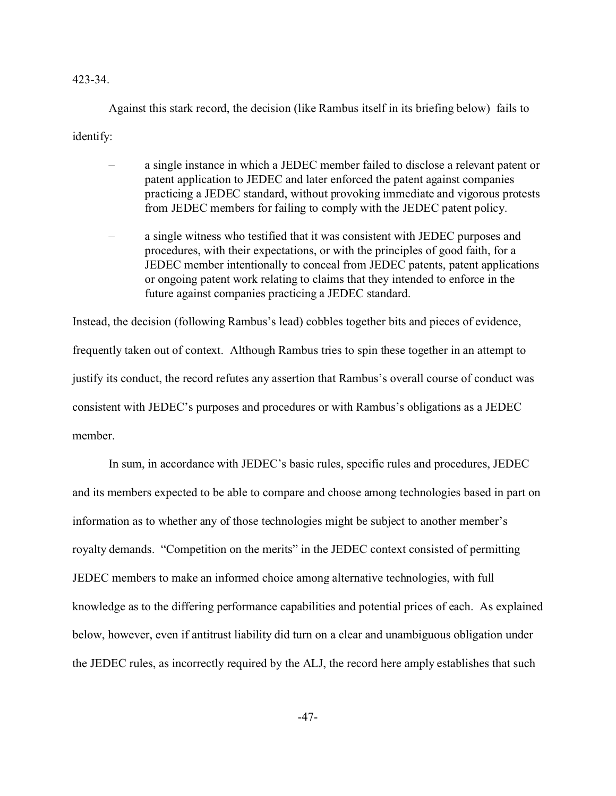#### 423-34.

Against this stark record, the decision (like Rambus itself in its briefing below) fails to identify:

- a single instance in which a JEDEC member failed to disclose a relevant patent or patent application to JEDEC and later enforced the patent against companies practicing a JEDEC standard, without provoking immediate and vigorous protests from JEDEC members for failing to comply with the JEDEC patent policy.
- a single witness who testified that it was consistent with JEDEC purposes and procedures, with their expectations, or with the principles of good faith, for a JEDEC member intentionally to conceal from JEDEC patents, patent applications or ongoing patent work relating to claims that they intended to enforce in the future against companies practicing a JEDEC standard.

Instead, the decision (following Rambus's lead) cobbles together bits and pieces of evidence, frequently taken out of context. Although Rambus tries to spin these together in an attempt to justify its conduct, the record refutes any assertion that Rambus's overall course of conduct was consistent with JEDEC's purposes and procedures or with Rambus's obligations as a JEDEC member.

In sum, in accordance with JEDEC's basic rules, specific rules and procedures, JEDEC and its members expected to be able to compare and choose among technologies based in part on information as to whether any of those technologies might be subject to another member's royalty demands. "Competition on the merits" in the JEDEC context consisted of permitting JEDEC members to make an informed choice among alternative technologies, with full knowledge as to the differing performance capabilities and potential prices of each. As explained below, however, even if antitrust liability did turn on a clear and unambiguous obligation under the JEDEC rules, as incorrectly required by the ALJ, the record here amply establishes that such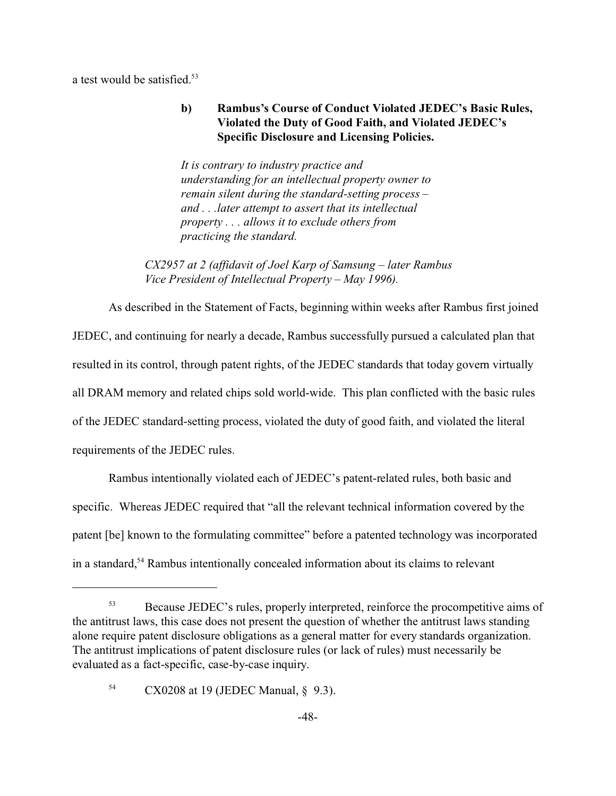a test would be satisfied.<sup>53</sup>

# **b) Rambus's Course of Conduct Violated JEDEC's Basic Rules, Violated the Duty of Good Faith, and Violated JEDEC's Specific Disclosure and Licensing Policies.**

*It is contrary to industry practice and understanding for an intellectual property owner to remain silent during the standard-setting process – and . . .later attempt to assert that its intellectual property . . . allows it to exclude others from practicing the standard.*

*CX2957 at 2 (affidavit of Joel Karp of Samsung – later Rambus Vice President of Intellectual Property – May 1996).*

As described in the Statement of Facts, beginning within weeks after Rambus first joined JEDEC, and continuing for nearly a decade, Rambus successfully pursued a calculated plan that resulted in its control, through patent rights, of the JEDEC standards that today govern virtually all DRAM memory and related chips sold world-wide. This plan conflicted with the basic rules of the JEDEC standard-setting process, violated the duty of good faith, and violated the literal requirements of the JEDEC rules.

Rambus intentionally violated each of JEDEC's patent-related rules, both basic and specific. Whereas JEDEC required that "all the relevant technical information covered by the patent [be] known to the formulating committee" before a patented technology was incorporated in a standard,<sup>54</sup> Rambus intentionally concealed information about its claims to relevant

<sup>&</sup>lt;sup>53</sup> Because JEDEC's rules, properly interpreted, reinforce the procompetitive aims of the antitrust laws, this case does not present the question of whether the antitrust laws standing alone require patent disclosure obligations as a general matter for every standards organization. The antitrust implications of patent disclosure rules (or lack of rules) must necessarily be evaluated as a fact-specific, case-by-case inquiry.

<sup>54</sup> CX0208 at 19 (JEDEC Manual, § 9.3).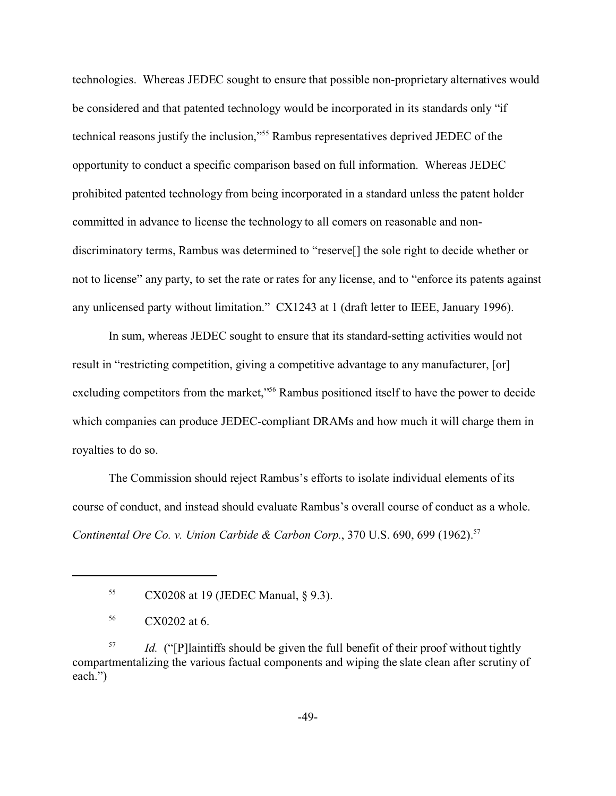technologies. Whereas JEDEC sought to ensure that possible non-proprietary alternatives would be considered and that patented technology would be incorporated in its standards only "if technical reasons justify the inclusion,"<sup>55</sup> Rambus representatives deprived JEDEC of the opportunity to conduct a specific comparison based on full information. Whereas JEDEC prohibited patented technology from being incorporated in a standard unless the patent holder committed in advance to license the technology to all comers on reasonable and nondiscriminatory terms, Rambus was determined to "reserve[] the sole right to decide whether or not to license" any party, to set the rate or rates for any license, and to "enforce its patents against any unlicensed party without limitation." CX1243 at 1 (draft letter to IEEE, January 1996).

In sum, whereas JEDEC sought to ensure that its standard-setting activities would not result in "restricting competition, giving a competitive advantage to any manufacturer, [or] excluding competitors from the market,"<sup>56</sup> Rambus positioned itself to have the power to decide which companies can produce JEDEC-compliant DRAMs and how much it will charge them in royalties to do so.

The Commission should reject Rambus's efforts to isolate individual elements of its course of conduct, and instead should evaluate Rambus's overall course of conduct as a whole. *Continental Ore Co. v. Union Carbide & Carbon Corp.*, 370 U.S. 690, 699 (1962).57

<sup>57</sup> *Id.* ("[P] laintiffs should be given the full benefit of their proof without tightly compartmentalizing the various factual components and wiping the slate clean after scrutiny of each.")

<sup>55</sup> CX0208 at 19 (JEDEC Manual, § 9.3).

<sup>56</sup> CX0202 at 6.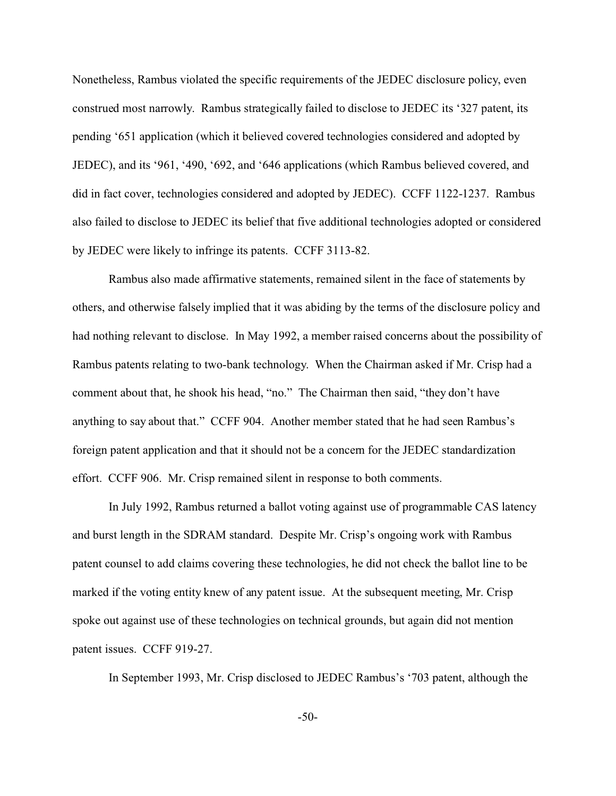Nonetheless, Rambus violated the specific requirements of the JEDEC disclosure policy, even construed most narrowly. Rambus strategically failed to disclose to JEDEC its '327 patent, its pending '651 application (which it believed covered technologies considered and adopted by JEDEC), and its '961, '490, '692, and '646 applications (which Rambus believed covered, and did in fact cover, technologies considered and adopted by JEDEC). CCFF 1122-1237. Rambus also failed to disclose to JEDEC its belief that five additional technologies adopted or considered by JEDEC were likely to infringe its patents. CCFF 3113-82.

Rambus also made affirmative statements, remained silent in the face of statements by others, and otherwise falsely implied that it was abiding by the terms of the disclosure policy and had nothing relevant to disclose. In May 1992, a member raised concerns about the possibility of Rambus patents relating to two-bank technology. When the Chairman asked if Mr. Crisp had a comment about that, he shook his head, "no." The Chairman then said, "they don't have anything to say about that." CCFF 904. Another member stated that he had seen Rambus's foreign patent application and that it should not be a concern for the JEDEC standardization effort. CCFF 906. Mr. Crisp remained silent in response to both comments.

In July 1992, Rambus returned a ballot voting against use of programmable CAS latency and burst length in the SDRAM standard. Despite Mr. Crisp's ongoing work with Rambus patent counsel to add claims covering these technologies, he did not check the ballot line to be marked if the voting entity knew of any patent issue. At the subsequent meeting, Mr. Crisp spoke out against use of these technologies on technical grounds, but again did not mention patent issues. CCFF 919-27.

In September 1993, Mr. Crisp disclosed to JEDEC Rambus's '703 patent, although the

-50-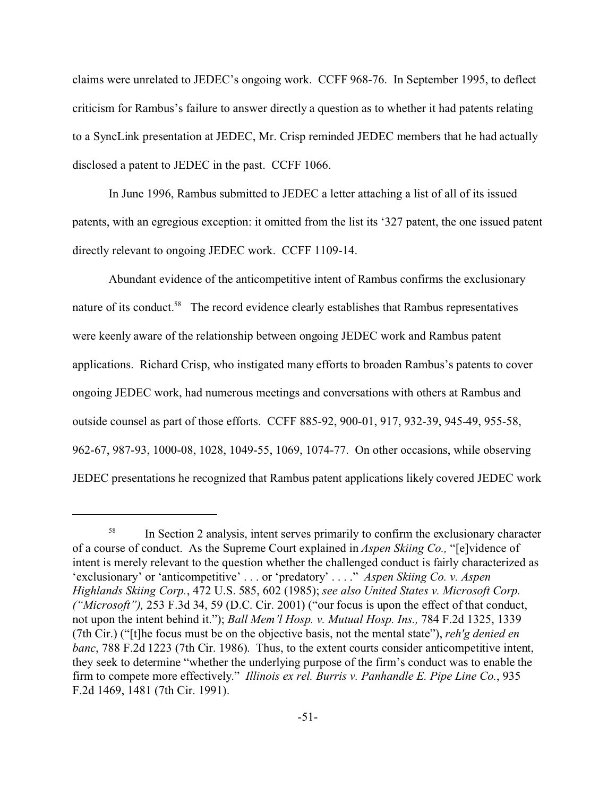claims were unrelated to JEDEC's ongoing work. CCFF 968-76. In September 1995, to deflect criticism for Rambus's failure to answer directly a question as to whether it had patents relating to a SyncLink presentation at JEDEC, Mr. Crisp reminded JEDEC members that he had actually disclosed a patent to JEDEC in the past. CCFF 1066.

In June 1996, Rambus submitted to JEDEC a letter attaching a list of all of its issued patents, with an egregious exception: it omitted from the list its '327 patent, the one issued patent directly relevant to ongoing JEDEC work. CCFF 1109-14.

Abundant evidence of the anticompetitive intent of Rambus confirms the exclusionary nature of its conduct.<sup>58</sup> The record evidence clearly establishes that Rambus representatives were keenly aware of the relationship between ongoing JEDEC work and Rambus patent applications. Richard Crisp, who instigated many efforts to broaden Rambus's patents to cover ongoing JEDEC work, had numerous meetings and conversations with others at Rambus and outside counsel as part of those efforts. CCFF 885-92, 900-01, 917, 932-39, 945-49, 955-58, 962-67, 987-93, 1000-08, 1028, 1049-55, 1069, 1074-77. On other occasions, while observing JEDEC presentations he recognized that Rambus patent applications likely covered JEDEC work

<sup>58</sup> In Section 2 analysis, intent serves primarily to confirm the exclusionary character of a course of conduct. As the Supreme Court explained in *Aspen Skiing Co.,* "[e]vidence of intent is merely relevant to the question whether the challenged conduct is fairly characterized as 'exclusionary' or 'anticompetitive' . . . or 'predatory' . . . ." *Aspen Skiing Co. v. Aspen Highlands Skiing Corp.*, 472 U.S. 585, 602 (1985); *see also United States v. Microsoft Corp. ("Microsoft"),* 253 F.3d 34, 59 (D.C. Cir. 2001) ("our focus is upon the effect of that conduct, not upon the intent behind it."); *Ball Mem'l Hosp. v. Mutual Hosp. Ins.,* 784 F.2d 1325, 1339 (7th Cir.) ("[t]he focus must be on the objective basis, not the mental state"), *reh'g denied en banc*, 788 F.2d 1223 (7th Cir. 1986). Thus, to the extent courts consider anticompetitive intent, they seek to determine "whether the underlying purpose of the firm's conduct was to enable the firm to compete more effectively." *Illinois ex rel. Burris v. Panhandle E. Pipe Line Co.*, 935 F.2d 1469, 1481 (7th Cir. 1991).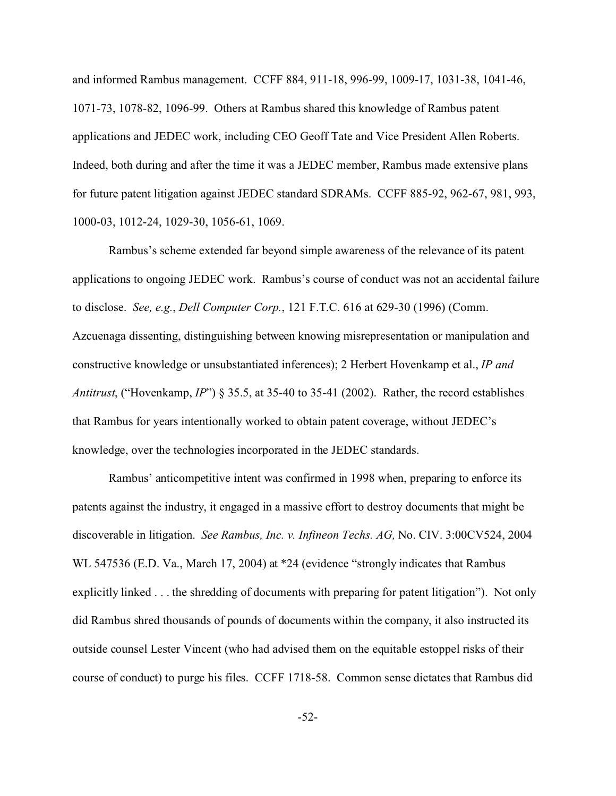and informed Rambus management. CCFF 884, 911-18, 996-99, 1009-17, 1031-38, 1041-46, 1071-73, 1078-82, 1096-99. Others at Rambus shared this knowledge of Rambus patent applications and JEDEC work, including CEO Geoff Tate and Vice President Allen Roberts. Indeed, both during and after the time it was a JEDEC member, Rambus made extensive plans for future patent litigation against JEDEC standard SDRAMs. CCFF 885-92, 962-67, 981, 993, 1000-03, 1012-24, 1029-30, 1056-61, 1069.

Rambus's scheme extended far beyond simple awareness of the relevance of its patent applications to ongoing JEDEC work. Rambus's course of conduct was not an accidental failure to disclose. *See, e.g.*, *Dell Computer Corp.*, 121 F.T.C. 616 at 629-30 (1996) (Comm. Azcuenaga dissenting, distinguishing between knowing misrepresentation or manipulation and constructive knowledge or unsubstantiated inferences); 2 Herbert Hovenkamp et al., *IP and Antitrust*, ("Hovenkamp, *IP*") § 35.5, at 35-40 to 35-41 (2002). Rather, the record establishes that Rambus for years intentionally worked to obtain patent coverage, without JEDEC's knowledge, over the technologies incorporated in the JEDEC standards.

Rambus' anticompetitive intent was confirmed in 1998 when, preparing to enforce its patents against the industry, it engaged in a massive effort to destroy documents that might be discoverable in litigation. *See Rambus, Inc. v. Infineon Techs. AG,* No. CIV. 3:00CV524, 2004 WL 547536 (E.D. Va., March 17, 2004) at \*24 (evidence "strongly indicates that Rambus explicitly linked . . . the shredding of documents with preparing for patent litigation"). Not only did Rambus shred thousands of pounds of documents within the company, it also instructed its outside counsel Lester Vincent (who had advised them on the equitable estoppel risks of their course of conduct) to purge his files. CCFF 1718-58. Common sense dictates that Rambus did

-52-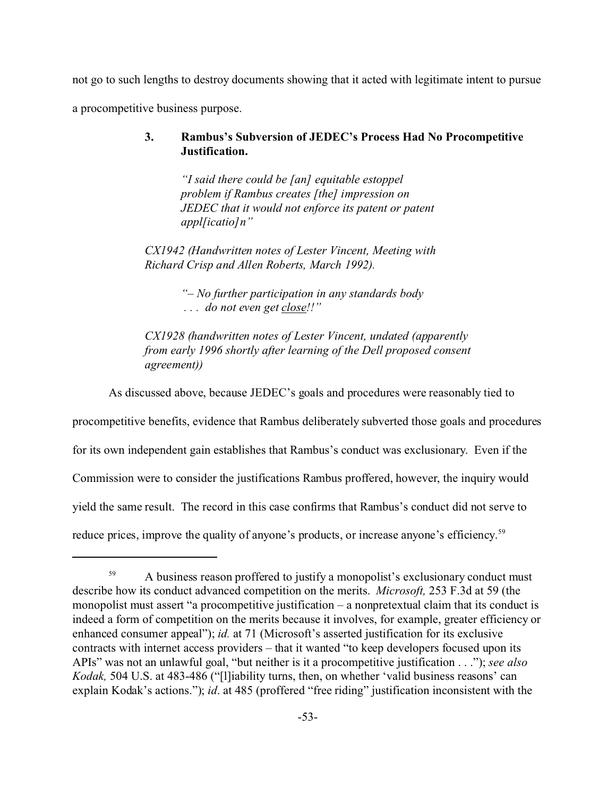not go to such lengths to destroy documents showing that it acted with legitimate intent to pursue a procompetitive business purpose.

### **3. Rambus's Subversion of JEDEC's Process Had No Procompetitive Justification.**

*"I said there could be [an] equitable estoppel problem if Rambus creates [the] impression on JEDEC that it would not enforce its patent or patent appl[icatio]n"*

*CX1942 (Handwritten notes of Lester Vincent, Meeting with Richard Crisp and Allen Roberts, March 1992).*

> *"– No further participation in any standards body . . . do not even get close!!"*

*CX1928 (handwritten notes of Lester Vincent, undated (apparently from early 1996 shortly after learning of the Dell proposed consent agreement))*

As discussed above, because JEDEC's goals and procedures were reasonably tied to

procompetitive benefits, evidence that Rambus deliberately subverted those goals and procedures for its own independent gain establishes that Rambus's conduct was exclusionary. Even if the Commission were to consider the justifications Rambus proffered, however, the inquiry would yield the same result. The record in this case confirms that Rambus's conduct did not serve to reduce prices, improve the quality of anyone's products, or increase anyone's efficiency.<sup>59</sup>

<sup>&</sup>lt;sup>59</sup> A business reason proffered to justify a monopolist's exclusionary conduct must describe how its conduct advanced competition on the merits. *Microsoft,* 253 F.3d at 59 (the monopolist must assert "a procompetitive justification – a nonpretextual claim that its conduct is indeed a form of competition on the merits because it involves, for example, greater efficiency or enhanced consumer appeal"); *id.* at 71 (Microsoft's asserted justification for its exclusive contracts with internet access providers – that it wanted "to keep developers focused upon its APIs" was not an unlawful goal, "but neither is it a procompetitive justification . . ."); *see also Kodak,* 504 U.S. at 483-486 ("[l]iability turns, then, on whether 'valid business reasons' can explain Kodak's actions."); *id*. at 485 (proffered "free riding" justification inconsistent with the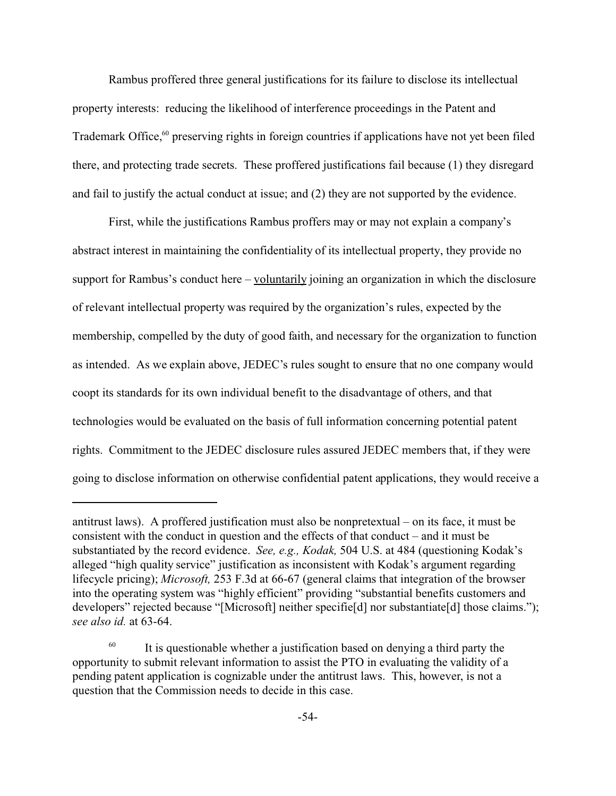Rambus proffered three general justifications for its failure to disclose its intellectual property interests: reducing the likelihood of interference proceedings in the Patent and Trademark Office,<sup>60</sup> preserving rights in foreign countries if applications have not yet been filed there, and protecting trade secrets. These proffered justifications fail because (1) they disregard and fail to justify the actual conduct at issue; and (2) they are not supported by the evidence.

First, while the justifications Rambus proffers may or may not explain a company's abstract interest in maintaining the confidentiality of its intellectual property, they provide no support for Rambus's conduct here – voluntarily joining an organization in which the disclosure of relevant intellectual property was required by the organization's rules, expected by the membership, compelled by the duty of good faith, and necessary for the organization to function as intended. As we explain above, JEDEC's rules sought to ensure that no one company would coopt its standards for its own individual benefit to the disadvantage of others, and that technologies would be evaluated on the basis of full information concerning potential patent rights. Commitment to the JEDEC disclosure rules assured JEDEC members that, if they were going to disclose information on otherwise confidential patent applications, they would receive a

antitrust laws). A proffered justification must also be nonpretextual – on its face, it must be consistent with the conduct in question and the effects of that conduct – and it must be substantiated by the record evidence. *See, e.g., Kodak,* 504 U.S. at 484 (questioning Kodak's alleged "high quality service" justification as inconsistent with Kodak's argument regarding lifecycle pricing); *Microsoft,* 253 F.3d at 66-67 (general claims that integration of the browser into the operating system was "highly efficient" providing "substantial benefits customers and developers" rejected because "[Microsoft] neither specifie<sup>[d]</sup> nor substantiate<sup>[d]</sup> those claims."); *see also id.* at 63-64.

 $60$  It is questionable whether a justification based on denying a third party the opportunity to submit relevant information to assist the PTO in evaluating the validity of a pending patent application is cognizable under the antitrust laws. This, however, is not a question that the Commission needs to decide in this case.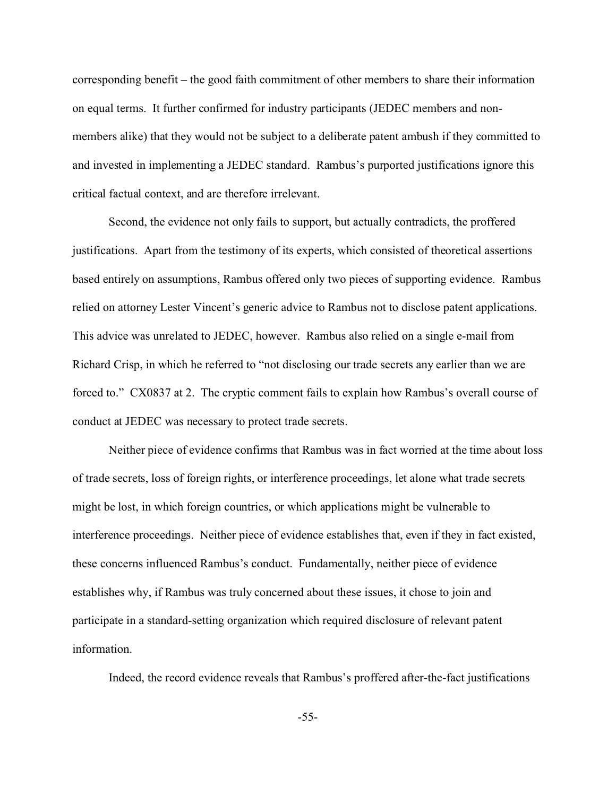corresponding benefit – the good faith commitment of other members to share their information on equal terms. It further confirmed for industry participants (JEDEC members and nonmembers alike) that they would not be subject to a deliberate patent ambush if they committed to and invested in implementing a JEDEC standard. Rambus's purported justifications ignore this critical factual context, and are therefore irrelevant.

Second, the evidence not only fails to support, but actually contradicts, the proffered justifications. Apart from the testimony of its experts, which consisted of theoretical assertions based entirely on assumptions, Rambus offered only two pieces of supporting evidence. Rambus relied on attorney Lester Vincent's generic advice to Rambus not to disclose patent applications. This advice was unrelated to JEDEC, however. Rambus also relied on a single e-mail from Richard Crisp, in which he referred to "not disclosing our trade secrets any earlier than we are forced to." CX0837 at 2. The cryptic comment fails to explain how Rambus's overall course of conduct at JEDEC was necessary to protect trade secrets.

Neither piece of evidence confirms that Rambus was in fact worried at the time about loss of trade secrets, loss of foreign rights, or interference proceedings, let alone what trade secrets might be lost, in which foreign countries, or which applications might be vulnerable to interference proceedings. Neither piece of evidence establishes that, even if they in fact existed, these concerns influenced Rambus's conduct. Fundamentally, neither piece of evidence establishes why, if Rambus was truly concerned about these issues, it chose to join and participate in a standard-setting organization which required disclosure of relevant patent information.

Indeed, the record evidence reveals that Rambus's proffered after-the-fact justifications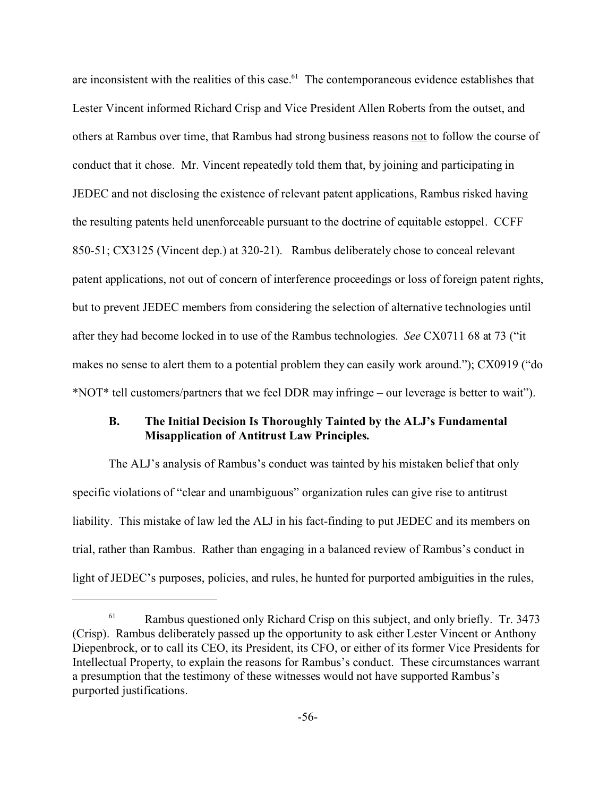are inconsistent with the realities of this case.<sup>61</sup> The contemporaneous evidence establishes that Lester Vincent informed Richard Crisp and Vice President Allen Roberts from the outset, and others at Rambus over time, that Rambus had strong business reasons not to follow the course of conduct that it chose. Mr. Vincent repeatedly told them that, by joining and participating in JEDEC and not disclosing the existence of relevant patent applications, Rambus risked having the resulting patents held unenforceable pursuant to the doctrine of equitable estoppel. CCFF 850-51; CX3125 (Vincent dep.) at 320-21). Rambus deliberately chose to conceal relevant patent applications, not out of concern of interference proceedings or loss of foreign patent rights, but to prevent JEDEC members from considering the selection of alternative technologies until after they had become locked in to use of the Rambus technologies. *See* CX0711 68 at 73 ("it makes no sense to alert them to a potential problem they can easily work around."); CX0919 ("do \*NOT\* tell customers/partners that we feel DDR may infringe – our leverage is better to wait").

### **B. The Initial Decision Is Thoroughly Tainted by the ALJ's Fundamental Misapplication of Antitrust Law Principles.**

The ALJ's analysis of Rambus's conduct was tainted by his mistaken belief that only specific violations of "clear and unambiguous" organization rules can give rise to antitrust liability. This mistake of law led the ALJ in his fact-finding to put JEDEC and its members on trial, rather than Rambus. Rather than engaging in a balanced review of Rambus's conduct in light of JEDEC's purposes, policies, and rules, he hunted for purported ambiguities in the rules,

 $61$  Rambus questioned only Richard Crisp on this subject, and only briefly. Tr. 3473 (Crisp). Rambus deliberately passed up the opportunity to ask either Lester Vincent or Anthony Diepenbrock, or to call its CEO, its President, its CFO, or either of its former Vice Presidents for Intellectual Property, to explain the reasons for Rambus's conduct. These circumstances warrant a presumption that the testimony of these witnesses would not have supported Rambus's purported justifications.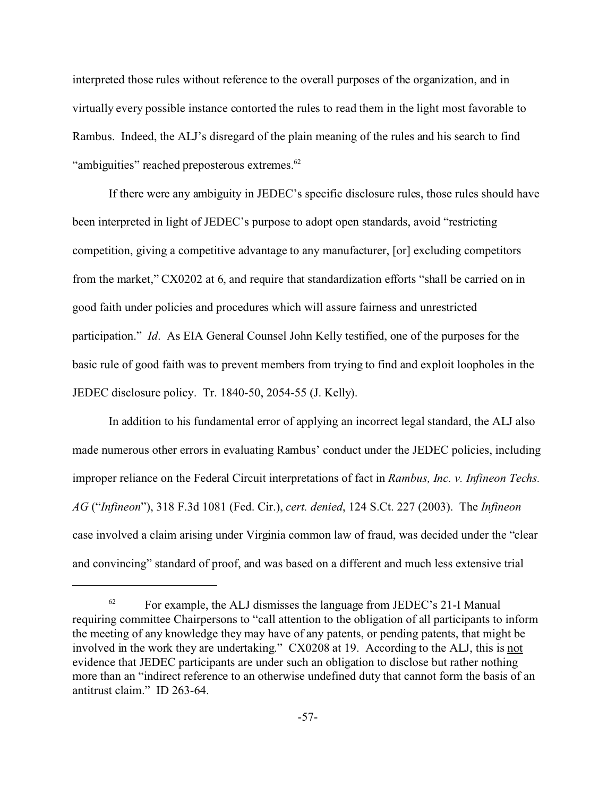interpreted those rules without reference to the overall purposes of the organization, and in virtually every possible instance contorted the rules to read them in the light most favorable to Rambus. Indeed, the ALJ's disregard of the plain meaning of the rules and his search to find "ambiguities" reached preposterous extremes.<sup>62</sup>

If there were any ambiguity in JEDEC's specific disclosure rules, those rules should have been interpreted in light of JEDEC's purpose to adopt open standards, avoid "restricting competition, giving a competitive advantage to any manufacturer, [or] excluding competitors from the market," CX0202 at 6, and require that standardization efforts "shall be carried on in good faith under policies and procedures which will assure fairness and unrestricted participation." *Id*. As EIA General Counsel John Kelly testified, one of the purposes for the basic rule of good faith was to prevent members from trying to find and exploit loopholes in the JEDEC disclosure policy. Tr. 1840-50, 2054-55 (J. Kelly).

In addition to his fundamental error of applying an incorrect legal standard, the ALJ also made numerous other errors in evaluating Rambus' conduct under the JEDEC policies, including improper reliance on the Federal Circuit interpretations of fact in *Rambus, Inc. v. Infineon Techs. AG* ("*Infineon*"), 318 F.3d 1081 (Fed. Cir.), *cert. denied*, 124 S.Ct. 227 (2003). The *Infineon* case involved a claim arising under Virginia common law of fraud, was decided under the "clear and convincing" standard of proof, and was based on a different and much less extensive trial

 $62$  For example, the ALJ dismisses the language from JEDEC's 21-I Manual requiring committee Chairpersons to "call attention to the obligation of all participants to inform the meeting of any knowledge they may have of any patents, or pending patents, that might be involved in the work they are undertaking." CX0208 at 19. According to the ALJ, this is not evidence that JEDEC participants are under such an obligation to disclose but rather nothing more than an "indirect reference to an otherwise undefined duty that cannot form the basis of an antitrust claim." ID 263-64.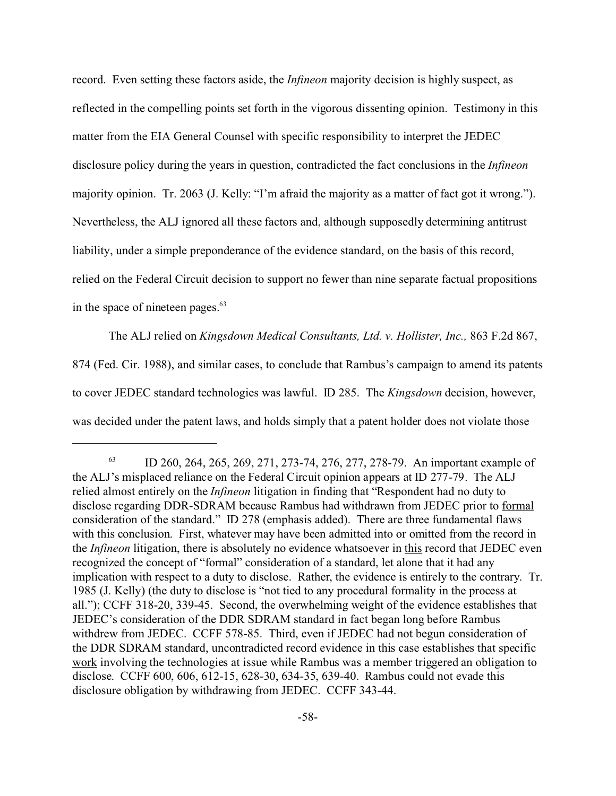record. Even setting these factors aside, the *Infineon* majority decision is highly suspect, as reflected in the compelling points set forth in the vigorous dissenting opinion. Testimony in this matter from the EIA General Counsel with specific responsibility to interpret the JEDEC disclosure policy during the years in question, contradicted the fact conclusions in the *Infineon* majority opinion. Tr. 2063 (J. Kelly: "I'm afraid the majority as a matter of fact got it wrong."). Nevertheless, the ALJ ignored all these factors and, although supposedly determining antitrust liability, under a simple preponderance of the evidence standard, on the basis of this record, relied on the Federal Circuit decision to support no fewer than nine separate factual propositions in the space of nineteen pages.<sup>63</sup>

The ALJ relied on *Kingsdown Medical Consultants, Ltd. v. Hollister, Inc.,* 863 F.2d 867, 874 (Fed. Cir. 1988), and similar cases, to conclude that Rambus's campaign to amend its patents to cover JEDEC standard technologies was lawful. ID 285. The *Kingsdown* decision, however, was decided under the patent laws, and holds simply that a patent holder does not violate those

<sup>63</sup> ID 260, 264, 265, 269, 271, 273-74, 276, 277, 278-79. An important example of the ALJ's misplaced reliance on the Federal Circuit opinion appears at ID 277-79. The ALJ relied almost entirely on the *Infineon* litigation in finding that "Respondent had no duty to disclose regarding DDR-SDRAM because Rambus had withdrawn from JEDEC prior to formal consideration of the standard." ID 278 (emphasis added). There are three fundamental flaws with this conclusion. First, whatever may have been admitted into or omitted from the record in the *Infineon* litigation, there is absolutely no evidence whatsoever in this record that JEDEC even recognized the concept of "formal" consideration of a standard, let alone that it had any implication with respect to a duty to disclose. Rather, the evidence is entirely to the contrary. Tr. 1985 (J. Kelly) (the duty to disclose is "not tied to any procedural formality in the process at all."); CCFF 318-20, 339-45. Second, the overwhelming weight of the evidence establishes that JEDEC's consideration of the DDR SDRAM standard in fact began long before Rambus withdrew from JEDEC. CCFF 578-85. Third, even if JEDEC had not begun consideration of the DDR SDRAM standard, uncontradicted record evidence in this case establishes that specific work involving the technologies at issue while Rambus was a member triggered an obligation to disclose. CCFF 600, 606, 612-15, 628-30, 634-35, 639-40. Rambus could not evade this disclosure obligation by withdrawing from JEDEC. CCFF 343-44.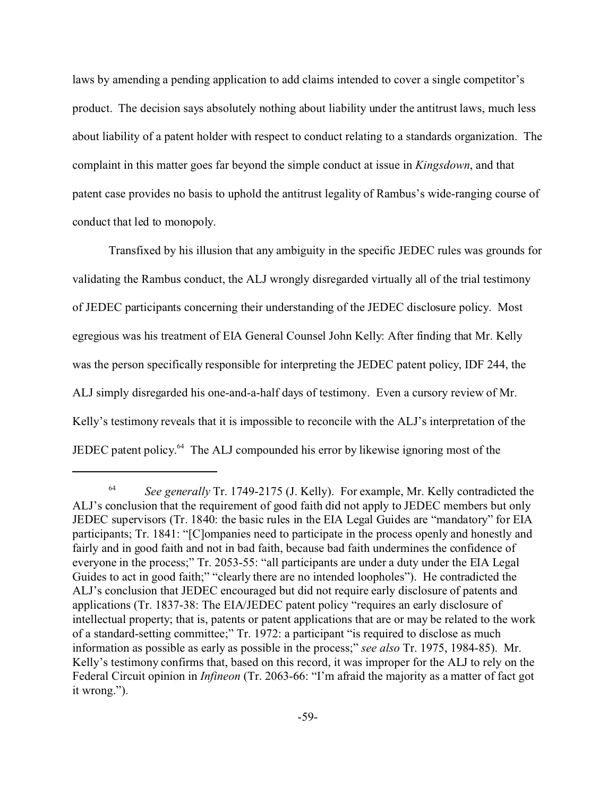laws by amending a pending application to add claims intended to cover a single competitor's product. The decision says absolutely nothing about liability under the antitrust laws, much less about liability of a patent holder with respect to conduct relating to a standards organization. The complaint in this matter goes far beyond the simple conduct at issue in *Kingsdown*, and that patent case provides no basis to uphold the antitrust legality of Rambus's wide-ranging course of conduct that led to monopoly.

Transfixed by his illusion that any ambiguity in the specific JEDEC rules was grounds for validating the Rambus conduct, the ALJ wrongly disregarded virtually all of the trial testimony of JEDEC participants concerning their understanding of the JEDEC disclosure policy. Most egregious was his treatment of EIA General Counsel John Kelly: After finding that Mr. Kelly was the person specifically responsible for interpreting the JEDEC patent policy, IDF 244, the ALJ simply disregarded his one-and-a-half days of testimony. Even a cursory review of Mr. Kelly's testimony reveals that it is impossible to reconcile with the ALJ's interpretation of the JEDEC patent policy.64 The ALJ compounded his error by likewise ignoring most of the

<sup>64</sup> *See generally* Tr. 1749-2175 (J. Kelly). For example, Mr. Kelly contradicted the ALJ's conclusion that the requirement of good faith did not apply to JEDEC members but only JEDEC supervisors (Tr. 1840: the basic rules in the EIA Legal Guides are "mandatory" for EIA participants; Tr. 1841: "[C]ompanies need to participate in the process openly and honestly and fairly and in good faith and not in bad faith, because bad faith undermines the confidence of everyone in the process;" Tr. 2053-55: "all participants are under a duty under the EIA Legal Guides to act in good faith;" "clearly there are no intended loopholes"). He contradicted the ALJ's conclusion that JEDEC encouraged but did not require early disclosure of patents and applications (Tr. 1837-38: The EIA/JEDEC patent policy "requires an early disclosure of intellectual property; that is, patents or patent applications that are or may be related to the work of a standard-setting committee;" Tr. 1972: a participant "is required to disclose as much information as possible as early as possible in the process;" *see also* Tr. 1975, 1984-85). Mr. Kelly's testimony confirms that, based on this record, it was improper for the ALJ to rely on the Federal Circuit opinion in *Infineon* (Tr. 2063-66: "I'm afraid the majority as a matter of fact got it wrong.").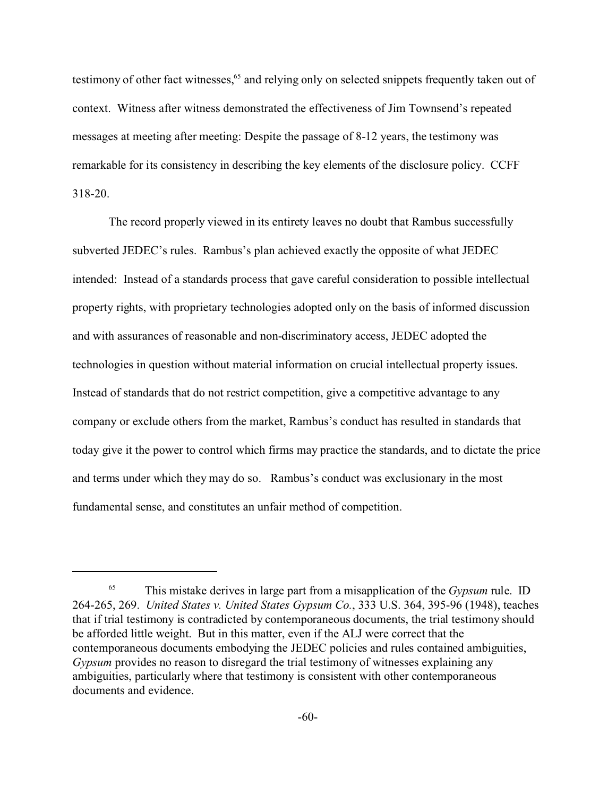testimony of other fact witnesses,<sup>65</sup> and relying only on selected snippets frequently taken out of context. Witness after witness demonstrated the effectiveness of Jim Townsend's repeated messages at meeting after meeting: Despite the passage of 8-12 years, the testimony was remarkable for its consistency in describing the key elements of the disclosure policy. CCFF 318-20.

The record properly viewed in its entirety leaves no doubt that Rambus successfully subverted JEDEC's rules. Rambus's plan achieved exactly the opposite of what JEDEC intended: Instead of a standards process that gave careful consideration to possible intellectual property rights, with proprietary technologies adopted only on the basis of informed discussion and with assurances of reasonable and non-discriminatory access, JEDEC adopted the technologies in question without material information on crucial intellectual property issues. Instead of standards that do not restrict competition, give a competitive advantage to any company or exclude others from the market, Rambus's conduct has resulted in standards that today give it the power to control which firms may practice the standards, and to dictate the price and terms under which they may do so. Rambus's conduct was exclusionary in the most fundamental sense, and constitutes an unfair method of competition.

<sup>65</sup> This mistake derives in large part from a misapplication of the *Gypsum* rule. ID 264-265, 269. *United States v. United States Gypsum Co.*, 333 U.S. 364, 395-96 (1948), teaches that if trial testimony is contradicted by contemporaneous documents, the trial testimony should be afforded little weight. But in this matter, even if the ALJ were correct that the contemporaneous documents embodying the JEDEC policies and rules contained ambiguities, *Gypsum* provides no reason to disregard the trial testimony of witnesses explaining any ambiguities, particularly where that testimony is consistent with other contemporaneous documents and evidence.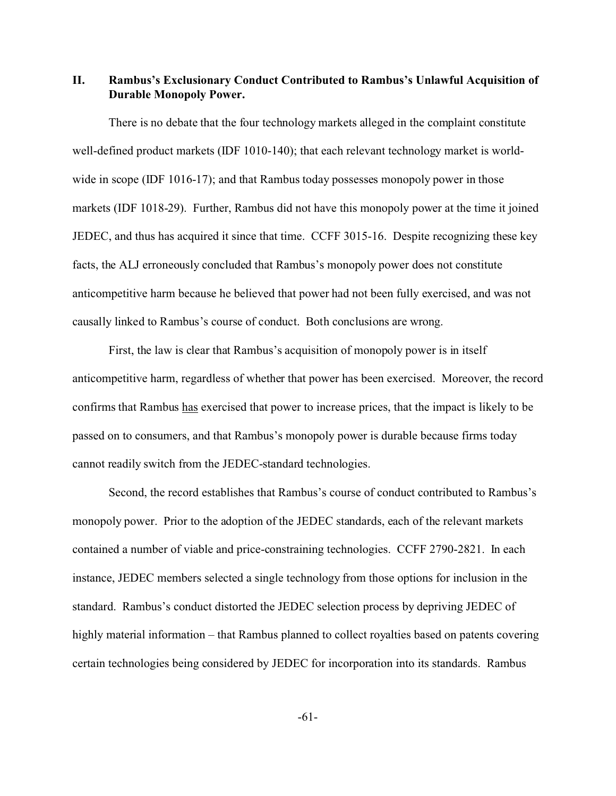**II. Rambus's Exclusionary Conduct Contributed to Rambus's Unlawful Acquisition of Durable Monopoly Power.**

There is no debate that the four technology markets alleged in the complaint constitute well-defined product markets (IDF 1010-140); that each relevant technology market is worldwide in scope (IDF 1016-17); and that Rambus today possesses monopoly power in those markets (IDF 1018-29). Further, Rambus did not have this monopoly power at the time it joined JEDEC, and thus has acquired it since that time. CCFF 3015-16. Despite recognizing these key facts, the ALJ erroneously concluded that Rambus's monopoly power does not constitute anticompetitive harm because he believed that power had not been fully exercised, and was not causally linked to Rambus's course of conduct. Both conclusions are wrong.

First, the law is clear that Rambus's acquisition of monopoly power is in itself anticompetitive harm, regardless of whether that power has been exercised. Moreover, the record confirms that Rambus has exercised that power to increase prices, that the impact is likely to be passed on to consumers, and that Rambus's monopoly power is durable because firms today cannot readily switch from the JEDEC-standard technologies.

Second, the record establishes that Rambus's course of conduct contributed to Rambus's monopoly power. Prior to the adoption of the JEDEC standards, each of the relevant markets contained a number of viable and price-constraining technologies. CCFF 2790-2821. In each instance, JEDEC members selected a single technology from those options for inclusion in the standard. Rambus's conduct distorted the JEDEC selection process by depriving JEDEC of highly material information – that Rambus planned to collect royalties based on patents covering certain technologies being considered by JEDEC for incorporation into its standards. Rambus

-61-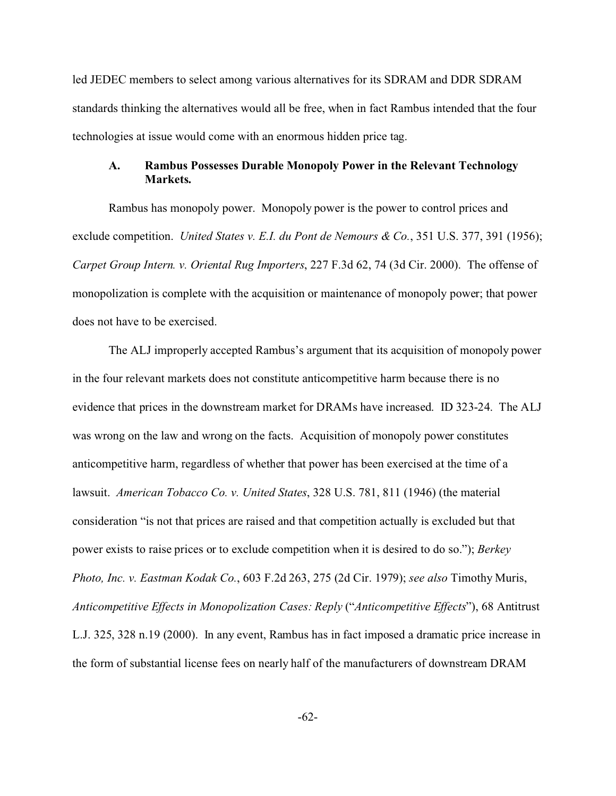led JEDEC members to select among various alternatives for its SDRAM and DDR SDRAM standards thinking the alternatives would all be free, when in fact Rambus intended that the four technologies at issue would come with an enormous hidden price tag.

### **A. Rambus Possesses Durable Monopoly Power in the Relevant Technology Markets.**

Rambus has monopoly power. Monopoly power is the power to control prices and exclude competition. *United States v. E.I. du Pont de Nemours & Co.*, 351 U.S. 377, 391 (1956); *Carpet Group Intern. v. Oriental Rug Importers*, 227 F.3d 62, 74 (3d Cir. 2000). The offense of monopolization is complete with the acquisition or maintenance of monopoly power; that power does not have to be exercised.

The ALJ improperly accepted Rambus's argument that its acquisition of monopoly power in the four relevant markets does not constitute anticompetitive harm because there is no evidence that prices in the downstream market for DRAMs have increased. ID 323-24. The ALJ was wrong on the law and wrong on the facts. Acquisition of monopoly power constitutes anticompetitive harm, regardless of whether that power has been exercised at the time of a lawsuit. *American Tobacco Co. v. United States*, 328 U.S. 781, 811 (1946) (the material consideration "is not that prices are raised and that competition actually is excluded but that power exists to raise prices or to exclude competition when it is desired to do so."); *Berkey Photo, Inc. v. Eastman Kodak Co.*, 603 F.2d 263, 275 (2d Cir. 1979); *see also* Timothy Muris, *Anticompetitive Effects in Monopolization Cases: Reply* ("*Anticompetitive Effects*"), 68 Antitrust L.J. 325, 328 n.19 (2000). In any event, Rambus has in fact imposed a dramatic price increase in the form of substantial license fees on nearly half of the manufacturers of downstream DRAM

-62-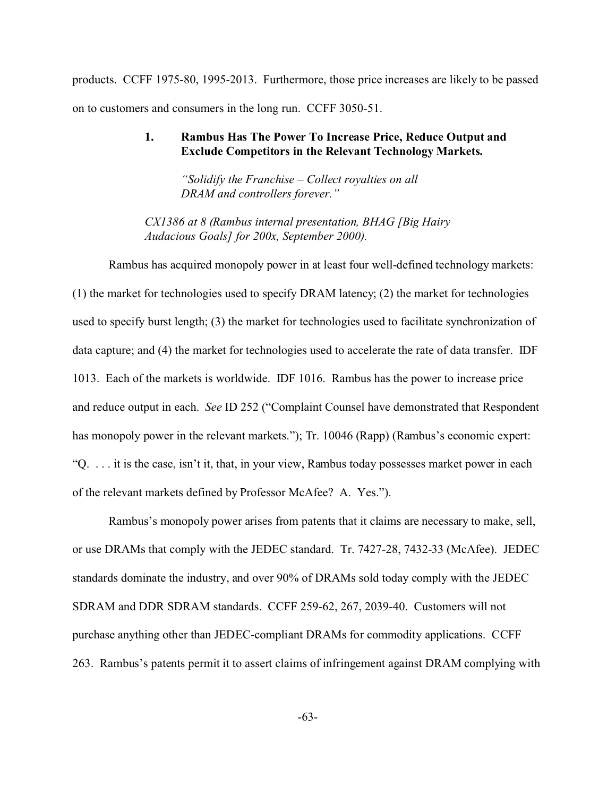products. CCFF 1975-80, 1995-2013. Furthermore, those price increases are likely to be passed on to customers and consumers in the long run. CCFF 3050-51.

### **1. Rambus Has The Power To Increase Price, Reduce Output and Exclude Competitors in the Relevant Technology Markets.**

*"Solidify the Franchise – Collect royalties on all DRAM and controllers forever."*

*CX1386 at 8 (Rambus internal presentation, BHAG [Big Hairy Audacious Goals] for 200x, September 2000).* 

Rambus has acquired monopoly power in at least four well-defined technology markets: (1) the market for technologies used to specify DRAM latency; (2) the market for technologies used to specify burst length; (3) the market for technologies used to facilitate synchronization of data capture; and (4) the market for technologies used to accelerate the rate of data transfer. IDF 1013. Each of the markets is worldwide. IDF 1016. Rambus has the power to increase price and reduce output in each. *See* ID 252 ("Complaint Counsel have demonstrated that Respondent has monopoly power in the relevant markets."); Tr. 10046 (Rapp) (Rambus's economic expert: "Q. . . . it is the case, isn't it, that, in your view, Rambus today possesses market power in each of the relevant markets defined by Professor McAfee? A. Yes.").

Rambus's monopoly power arises from patents that it claims are necessary to make, sell, or use DRAMs that comply with the JEDEC standard. Tr. 7427-28, 7432-33 (McAfee). JEDEC standards dominate the industry, and over 90% of DRAMs sold today comply with the JEDEC SDRAM and DDR SDRAM standards. CCFF 259-62, 267, 2039-40. Customers will not purchase anything other than JEDEC-compliant DRAMs for commodity applications. CCFF 263. Rambus's patents permit it to assert claims of infringement against DRAM complying with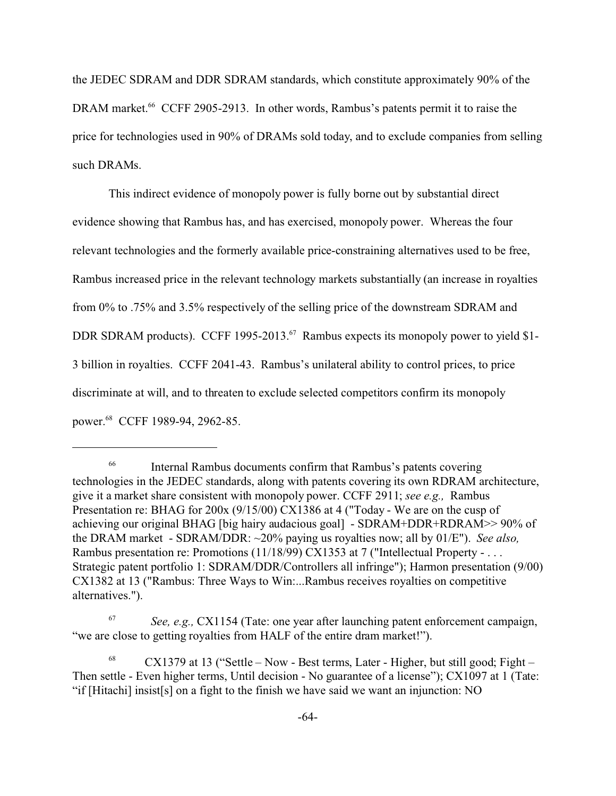the JEDEC SDRAM and DDR SDRAM standards, which constitute approximately 90% of the DRAM market.<sup>66</sup> CCFF 2905-2913. In other words, Rambus's patents permit it to raise the price for technologies used in 90% of DRAMs sold today, and to exclude companies from selling such DRAMs.

This indirect evidence of monopoly power is fully borne out by substantial direct evidence showing that Rambus has, and has exercised, monopoly power. Whereas the four relevant technologies and the formerly available price-constraining alternatives used to be free, Rambus increased price in the relevant technology markets substantially (an increase in royalties from 0% to .75% and 3.5% respectively of the selling price of the downstream SDRAM and DDR SDRAM products). CCFF 1995-2013.<sup>67</sup> Rambus expects its monopoly power to yield \$1-3 billion in royalties. CCFF 2041-43. Rambus's unilateral ability to control prices, to price discriminate at will, and to threaten to exclude selected competitors confirm its monopoly power.68 CCFF 1989-94, 2962-85.

Internal Rambus documents confirm that Rambus's patents covering technologies in the JEDEC standards, along with patents covering its own RDRAM architecture, give it a market share consistent with monopoly power. CCFF 2911; *see e.g.,* Rambus Presentation re: BHAG for 200x (9/15/00) CX1386 at 4 ("Today - We are on the cusp of achieving our original BHAG [big hairy audacious goal] - SDRAM+DDR+RDRAM>> 90% of the DRAM market - SDRAM/DDR: ~20% paying us royalties now; all by 01/E"). *See also,* Rambus presentation re: Promotions (11/18/99) CX1353 at 7 ("Intellectual Property - . . . Strategic patent portfolio 1: SDRAM/DDR/Controllers all infringe"); Harmon presentation (9/00) CX1382 at 13 ("Rambus: Three Ways to Win:...Rambus receives royalties on competitive alternatives.").

<sup>67</sup> *See, e.g.,* CX1154 (Tate: one year after launching patent enforcement campaign, "we are close to getting royalties from HALF of the entire dram market!").

 $68$  CX1379 at 13 ("Settle – Now - Best terms, Later - Higher, but still good; Fight – Then settle - Even higher terms, Until decision - No guarantee of a license"); CX1097 at 1 (Tate: "if [Hitachi] insist[s] on a fight to the finish we have said we want an injunction: NO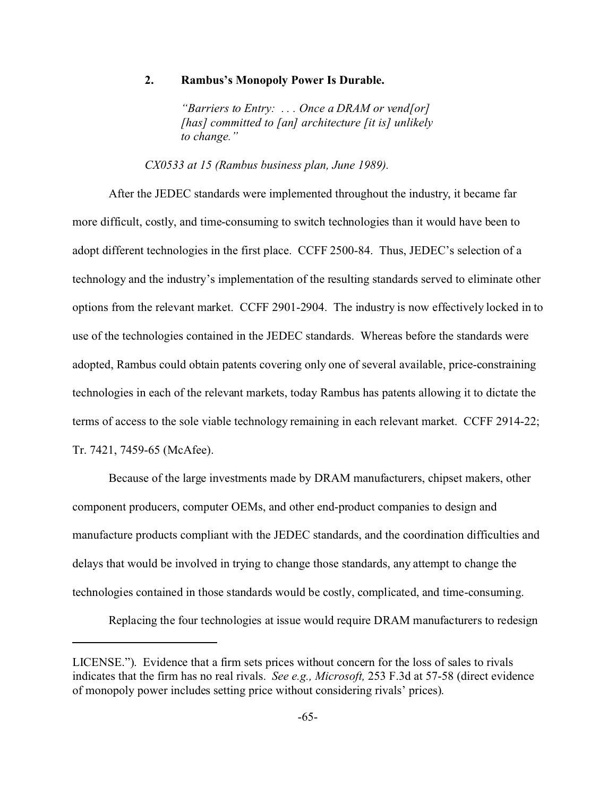#### **2. Rambus's Monopoly Power Is Durable.**

*"Barriers to Entry: . . . Once a DRAM or vend[or] [has] committed to [an] architecture [it is] unlikely to change."*

*CX0533 at 15 (Rambus business plan, June 1989).* 

After the JEDEC standards were implemented throughout the industry, it became far more difficult, costly, and time-consuming to switch technologies than it would have been to adopt different technologies in the first place. CCFF 2500-84. Thus, JEDEC's selection of a technology and the industry's implementation of the resulting standards served to eliminate other options from the relevant market. CCFF 2901-2904. The industry is now effectively locked in to use of the technologies contained in the JEDEC standards. Whereas before the standards were adopted, Rambus could obtain patents covering only one of several available, price-constraining technologies in each of the relevant markets, today Rambus has patents allowing it to dictate the terms of access to the sole viable technology remaining in each relevant market. CCFF 2914-22; Tr. 7421, 7459-65 (McAfee).

Because of the large investments made by DRAM manufacturers, chipset makers, other component producers, computer OEMs, and other end-product companies to design and manufacture products compliant with the JEDEC standards, and the coordination difficulties and delays that would be involved in trying to change those standards, any attempt to change the technologies contained in those standards would be costly, complicated, and time-consuming.

Replacing the four technologies at issue would require DRAM manufacturers to redesign

LICENSE."). Evidence that a firm sets prices without concern for the loss of sales to rivals indicates that the firm has no real rivals. *See e.g., Microsoft,* 253 F.3d at 57-58 (direct evidence of monopoly power includes setting price without considering rivals' prices).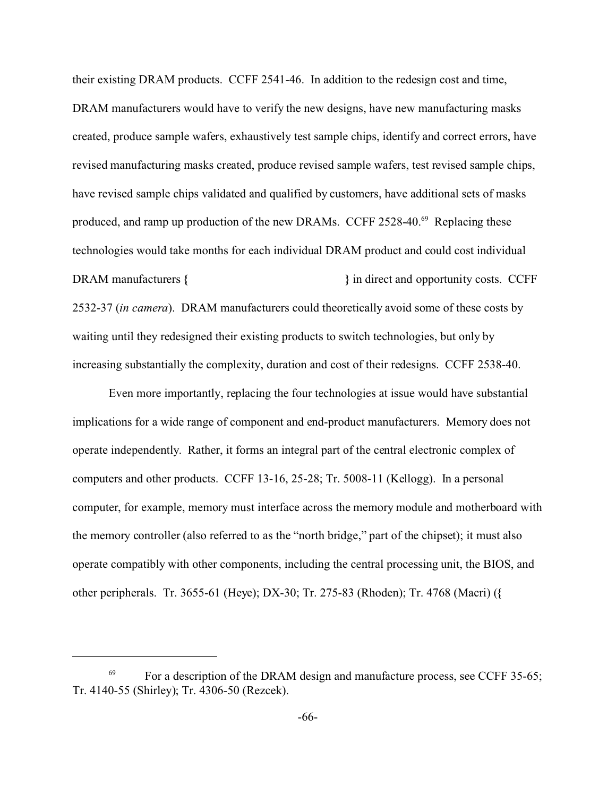their existing DRAM products. CCFF 2541-46. In addition to the redesign cost and time, DRAM manufacturers would have to verify the new designs, have new manufacturing masks created, produce sample wafers, exhaustively test sample chips, identify and correct errors, have revised manufacturing masks created, produce revised sample wafers, test revised sample chips, have revised sample chips validated and qualified by customers, have additional sets of masks produced, and ramp up production of the new DRAMs. CCFF 2528-40.<sup>69</sup> Replacing these technologies would take months for each individual DRAM product and could cost individual DRAM manufacturers **{ }** in direct and opportunity costs. CCFF 2532-37 (*in camera*). DRAM manufacturers could theoretically avoid some of these costs by waiting until they redesigned their existing products to switch technologies, but only by increasing substantially the complexity, duration and cost of their redesigns. CCFF 2538-40.

Even more importantly, replacing the four technologies at issue would have substantial implications for a wide range of component and end-product manufacturers. Memory does not operate independently. Rather, it forms an integral part of the central electronic complex of computers and other products. CCFF 13-16, 25-28; Tr. 5008-11 (Kellogg). In a personal computer, for example, memory must interface across the memory module and motherboard with the memory controller (also referred to as the "north bridge," part of the chipset); it must also operate compatibly with other components, including the central processing unit, the BIOS, and other peripherals. Tr. 3655-61 (Heye); DX-30; Tr. 275-83 (Rhoden); Tr. 4768 (Macri) (**{** 

 $^{69}$  For a description of the DRAM design and manufacture process, see CCFF 35-65; Tr. 4140-55 (Shirley); Tr. 4306-50 (Rezcek).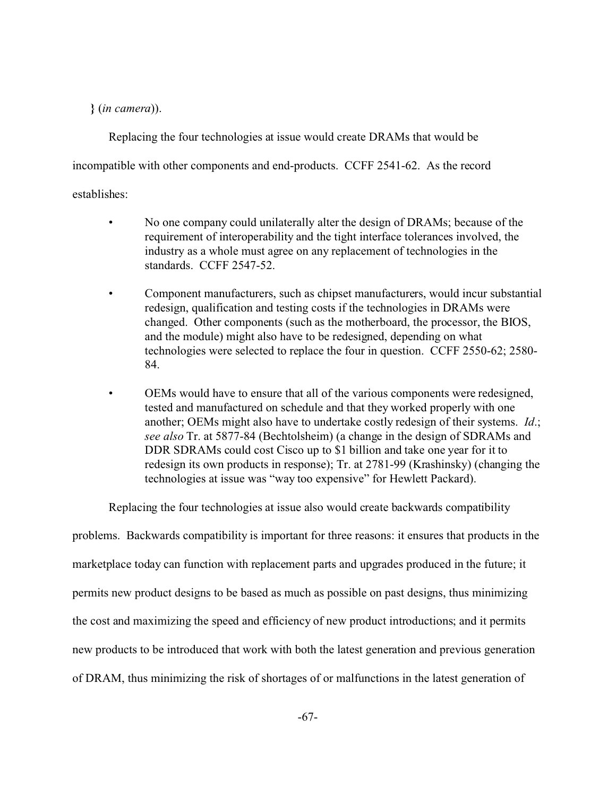**}** (*in camera*)).

Replacing the four technologies at issue would create DRAMs that would be incompatible with other components and end-products. CCFF 2541-62. As the record establishes:

- No one company could unilaterally alter the design of DRAMs; because of the requirement of interoperability and the tight interface tolerances involved, the industry as a whole must agree on any replacement of technologies in the standards. CCFF 2547-52.
- Component manufacturers, such as chipset manufacturers, would incur substantial redesign, qualification and testing costs if the technologies in DRAMs were changed. Other components (such as the motherboard, the processor, the BIOS, and the module) might also have to be redesigned, depending on what technologies were selected to replace the four in question. CCFF 2550-62; 2580- 84.
- OEMs would have to ensure that all of the various components were redesigned, tested and manufactured on schedule and that they worked properly with one another; OEMs might also have to undertake costly redesign of their systems. *Id*.; *see also* Tr. at 5877-84 (Bechtolsheim) (a change in the design of SDRAMs and DDR SDRAMs could cost Cisco up to \$1 billion and take one year for it to redesign its own products in response); Tr. at 2781-99 (Krashinsky) (changing the technologies at issue was "way too expensive" for Hewlett Packard).

Replacing the four technologies at issue also would create backwards compatibility

problems. Backwards compatibility is important for three reasons: it ensures that products in the marketplace today can function with replacement parts and upgrades produced in the future; it permits new product designs to be based as much as possible on past designs, thus minimizing the cost and maximizing the speed and efficiency of new product introductions; and it permits new products to be introduced that work with both the latest generation and previous generation of DRAM, thus minimizing the risk of shortages of or malfunctions in the latest generation of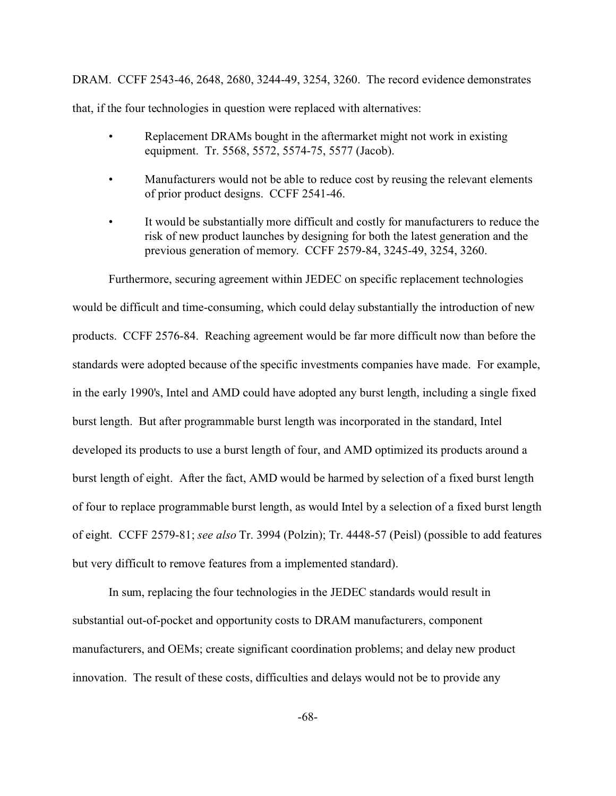DRAM. CCFF 2543-46, 2648, 2680, 3244-49, 3254, 3260. The record evidence demonstrates that, if the four technologies in question were replaced with alternatives:

- Replacement DRAMs bought in the aftermarket might not work in existing equipment. Tr. 5568, 5572, 5574-75, 5577 (Jacob).
- Manufacturers would not be able to reduce cost by reusing the relevant elements of prior product designs. CCFF 2541-46.
- It would be substantially more difficult and costly for manufacturers to reduce the risk of new product launches by designing for both the latest generation and the previous generation of memory. CCFF 2579-84, 3245-49, 3254, 3260.

Furthermore, securing agreement within JEDEC on specific replacement technologies would be difficult and time-consuming, which could delay substantially the introduction of new products. CCFF 2576-84. Reaching agreement would be far more difficult now than before the standards were adopted because of the specific investments companies have made. For example, in the early 1990's, Intel and AMD could have adopted any burst length, including a single fixed burst length. But after programmable burst length was incorporated in the standard, Intel developed its products to use a burst length of four, and AMD optimized its products around a burst length of eight. After the fact, AMD would be harmed by selection of a fixed burst length of four to replace programmable burst length, as would Intel by a selection of a fixed burst length of eight. CCFF 2579-81; *see also* Tr. 3994 (Polzin); Tr. 4448-57 (Peisl) (possible to add features but very difficult to remove features from a implemented standard).

In sum, replacing the four technologies in the JEDEC standards would result in substantial out-of-pocket and opportunity costs to DRAM manufacturers, component manufacturers, and OEMs; create significant coordination problems; and delay new product innovation. The result of these costs, difficulties and delays would not be to provide any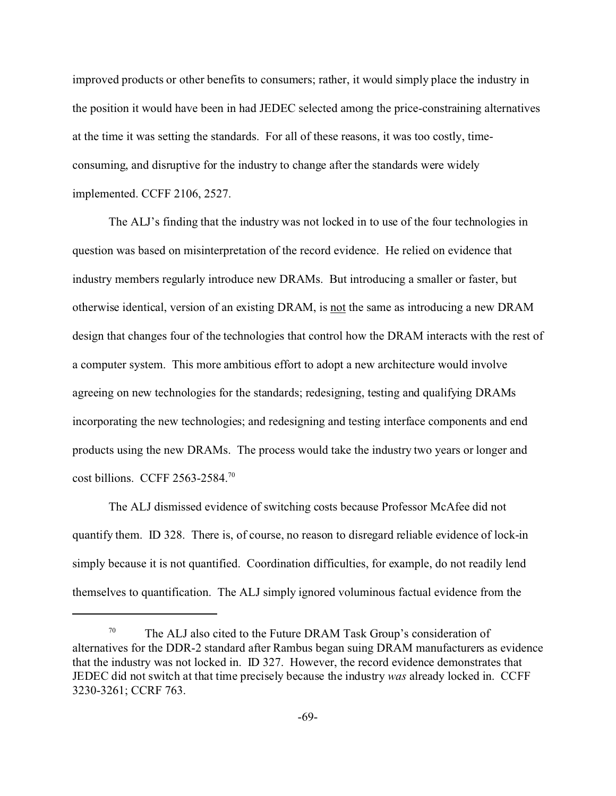improved products or other benefits to consumers; rather, it would simply place the industry in the position it would have been in had JEDEC selected among the price-constraining alternatives at the time it was setting the standards. For all of these reasons, it was too costly, timeconsuming, and disruptive for the industry to change after the standards were widely implemented. CCFF 2106, 2527.

The ALJ's finding that the industry was not locked in to use of the four technologies in question was based on misinterpretation of the record evidence. He relied on evidence that industry members regularly introduce new DRAMs. But introducing a smaller or faster, but otherwise identical, version of an existing DRAM, is not the same as introducing a new DRAM design that changes four of the technologies that control how the DRAM interacts with the rest of a computer system. This more ambitious effort to adopt a new architecture would involve agreeing on new technologies for the standards; redesigning, testing and qualifying DRAMs incorporating the new technologies; and redesigning and testing interface components and end products using the new DRAMs. The process would take the industry two years or longer and cost billions. CCFF 2563-2584.<sup>70</sup>

The ALJ dismissed evidence of switching costs because Professor McAfee did not quantify them. ID 328. There is, of course, no reason to disregard reliable evidence of lock-in simply because it is not quantified. Coordination difficulties, for example, do not readily lend themselves to quantification. The ALJ simply ignored voluminous factual evidence from the

 $70$  The ALJ also cited to the Future DRAM Task Group's consideration of alternatives for the DDR-2 standard after Rambus began suing DRAM manufacturers as evidence that the industry was not locked in. ID 327. However, the record evidence demonstrates that JEDEC did not switch at that time precisely because the industry *was* already locked in. CCFF 3230-3261; CCRF 763.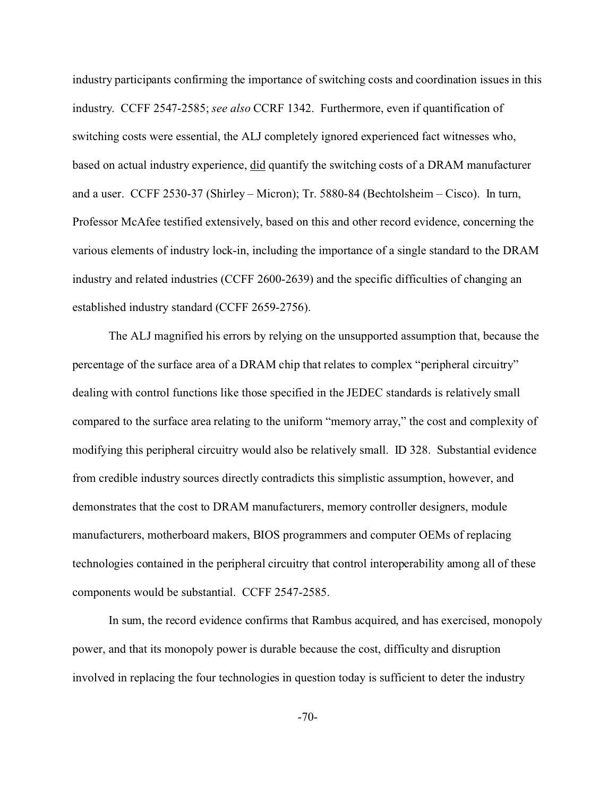industry participants confirming the importance of switching costs and coordination issues in this industry. CCFF 2547-2585; *see also* CCRF 1342. Furthermore, even if quantification of switching costs were essential, the ALJ completely ignored experienced fact witnesses who, based on actual industry experience, did quantify the switching costs of a DRAM manufacturer and a user. CCFF 2530-37 (Shirley – Micron); Tr. 5880-84 (Bechtolsheim – Cisco). In turn, Professor McAfee testified extensively, based on this and other record evidence, concerning the various elements of industry lock-in, including the importance of a single standard to the DRAM industry and related industries (CCFF 2600-2639) and the specific difficulties of changing an established industry standard (CCFF 2659-2756).

The ALJ magnified his errors by relying on the unsupported assumption that, because the percentage of the surface area of a DRAM chip that relates to complex "peripheral circuitry" dealing with control functions like those specified in the JEDEC standards is relatively small compared to the surface area relating to the uniform "memory array," the cost and complexity of modifying this peripheral circuitry would also be relatively small. ID 328. Substantial evidence from credible industry sources directly contradicts this simplistic assumption, however, and demonstrates that the cost to DRAM manufacturers, memory controller designers, module manufacturers, motherboard makers, BIOS programmers and computer OEMs of replacing technologies contained in the peripheral circuitry that control interoperability among all of these components would be substantial. CCFF 2547-2585.

In sum, the record evidence confirms that Rambus acquired, and has exercised, monopoly power, and that its monopoly power is durable because the cost, difficulty and disruption involved in replacing the four technologies in question today is sufficient to deter the industry

-70-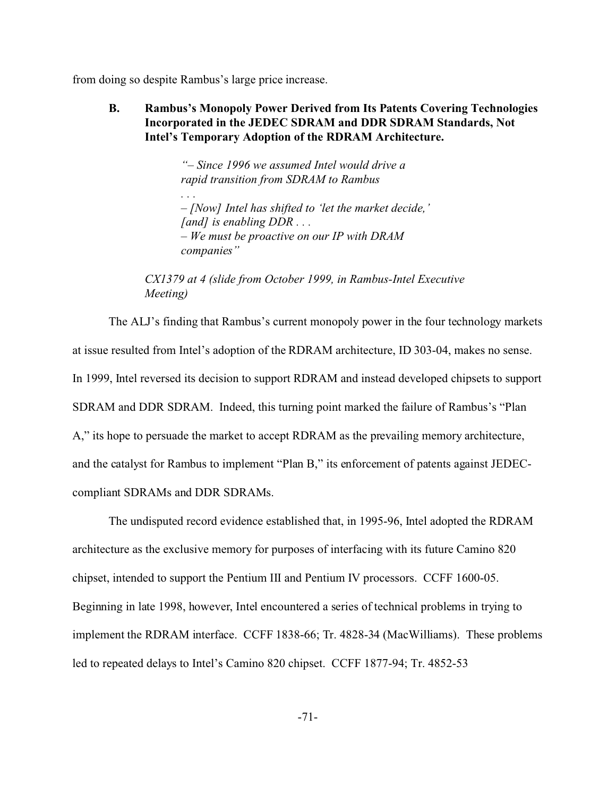from doing so despite Rambus's large price increase.

*. . .*

**B. Rambus's Monopoly Power Derived from Its Patents Covering Technologies Incorporated in the JEDEC SDRAM and DDR SDRAM Standards, Not Intel's Temporary Adoption of the RDRAM Architecture.**

> *"– Since 1996 we assumed Intel would drive a rapid transition from SDRAM to Rambus*

*– [Now] Intel has shifted to 'let the market decide,' [and] is enabling DDR . . . – We must be proactive on our IP with DRAM companies"*

*CX1379 at 4 (slide from October 1999, in Rambus-Intel Executive Meeting)* 

The ALJ's finding that Rambus's current monopoly power in the four technology markets at issue resulted from Intel's adoption of the RDRAM architecture, ID 303-04, makes no sense. In 1999, Intel reversed its decision to support RDRAM and instead developed chipsets to support SDRAM and DDR SDRAM. Indeed, this turning point marked the failure of Rambus's "Plan A," its hope to persuade the market to accept RDRAM as the prevailing memory architecture, and the catalyst for Rambus to implement "Plan B," its enforcement of patents against JEDECcompliant SDRAMs and DDR SDRAMs.

The undisputed record evidence established that, in 1995-96, Intel adopted the RDRAM architecture as the exclusive memory for purposes of interfacing with its future Camino 820 chipset, intended to support the Pentium III and Pentium IV processors. CCFF 1600-05. Beginning in late 1998, however, Intel encountered a series of technical problems in trying to implement the RDRAM interface. CCFF 1838-66; Tr. 4828-34 (MacWilliams). These problems led to repeated delays to Intel's Camino 820 chipset. CCFF 1877-94; Tr. 4852-53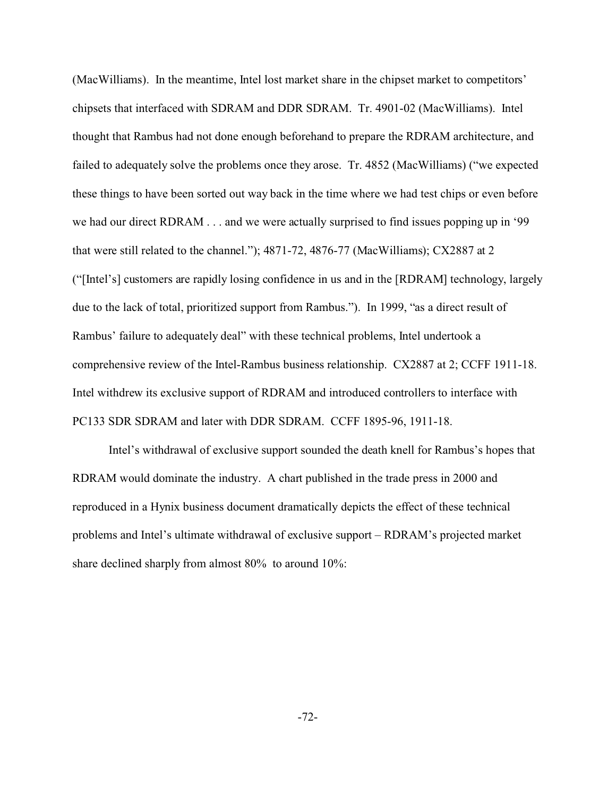(MacWilliams). In the meantime, Intel lost market share in the chipset market to competitors' chipsets that interfaced with SDRAM and DDR SDRAM. Tr. 4901-02 (MacWilliams). Intel thought that Rambus had not done enough beforehand to prepare the RDRAM architecture, and failed to adequately solve the problems once they arose. Tr. 4852 (MacWilliams) ("we expected these things to have been sorted out way back in the time where we had test chips or even before we had our direct RDRAM . . . and we were actually surprised to find issues popping up in '99 that were still related to the channel."); 4871-72, 4876-77 (MacWilliams); CX2887 at 2 ("[Intel's] customers are rapidly losing confidence in us and in the [RDRAM] technology, largely due to the lack of total, prioritized support from Rambus."). In 1999, "as a direct result of Rambus' failure to adequately deal" with these technical problems, Intel undertook a comprehensive review of the Intel-Rambus business relationship. CX2887 at 2; CCFF 1911-18. Intel withdrew its exclusive support of RDRAM and introduced controllers to interface with PC133 SDR SDRAM and later with DDR SDRAM. CCFF 1895-96, 1911-18.

Intel's withdrawal of exclusive support sounded the death knell for Rambus's hopes that RDRAM would dominate the industry. A chart published in the trade press in 2000 and reproduced in a Hynix business document dramatically depicts the effect of these technical problems and Intel's ultimate withdrawal of exclusive support – RDRAM's projected market share declined sharply from almost 80% to around 10%: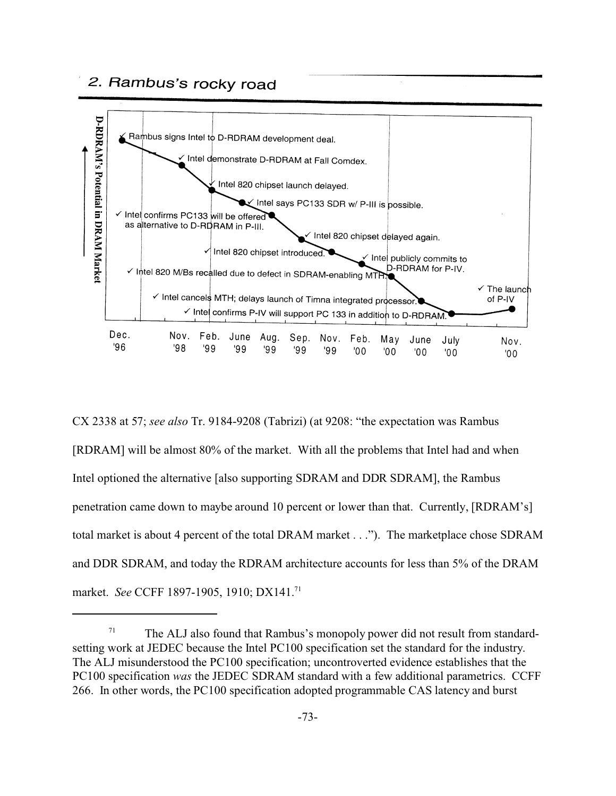

CX 2338 at 57; *see also* Tr. 9184-9208 (Tabrizi) (at 9208: "the expectation was Rambus [RDRAM] will be almost 80% of the market. With all the problems that Intel had and when Intel optioned the alternative [also supporting SDRAM and DDR SDRAM], the Rambus penetration came down to maybe around 10 percent or lower than that. Currently, [RDRAM's] total market is about 4 percent of the total DRAM market . . ."). The marketplace chose SDRAM and DDR SDRAM, and today the RDRAM architecture accounts for less than 5% of the DRAM market. *See* CCFF 1897-1905, 1910; DX141.71

 $71$  The ALJ also found that Rambus's monopoly power did not result from standardsetting work at JEDEC because the Intel PC100 specification set the standard for the industry. The ALJ misunderstood the PC100 specification; uncontroverted evidence establishes that the PC100 specification *was* the JEDEC SDRAM standard with a few additional parametrics. CCFF 266. In other words, the PC100 specification adopted programmable CAS latency and burst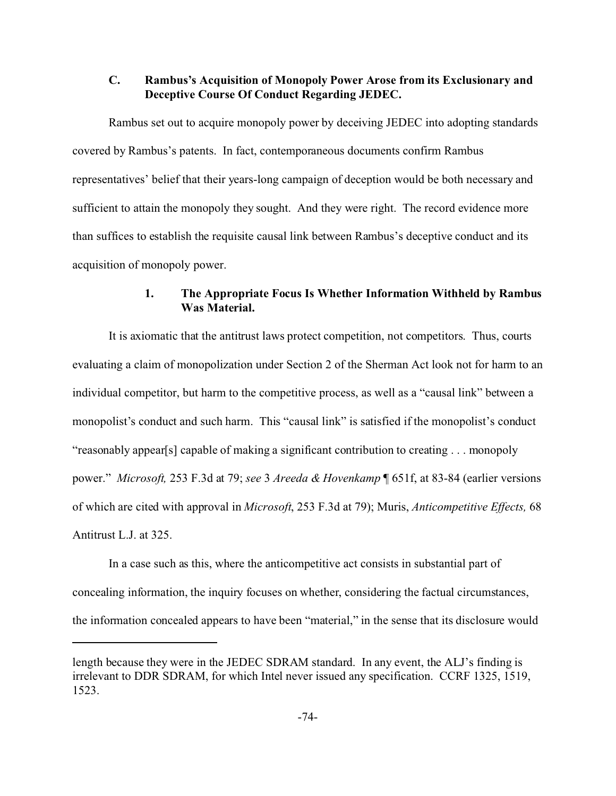### **C. Rambus's Acquisition of Monopoly Power Arose from its Exclusionary and Deceptive Course Of Conduct Regarding JEDEC.**

Rambus set out to acquire monopoly power by deceiving JEDEC into adopting standards covered by Rambus's patents. In fact, contemporaneous documents confirm Rambus representatives' belief that their years-long campaign of deception would be both necessary and sufficient to attain the monopoly they sought. And they were right. The record evidence more than suffices to establish the requisite causal link between Rambus's deceptive conduct and its acquisition of monopoly power.

#### **1. The Appropriate Focus Is Whether Information Withheld by Rambus Was Material.**

It is axiomatic that the antitrust laws protect competition, not competitors. Thus, courts evaluating a claim of monopolization under Section 2 of the Sherman Act look not for harm to an individual competitor, but harm to the competitive process, as well as a "causal link" between a monopolist's conduct and such harm. This "causal link" is satisfied if the monopolist's conduct "reasonably appear[s] capable of making a significant contribution to creating . . . monopoly power." *Microsoft,* 253 F.3d at 79; *see* 3 *Areeda & Hovenkamp* ¶ 651f, at 83-84 (earlier versions of which are cited with approval in *Microsoft*, 253 F.3d at 79); Muris, *Anticompetitive Effects,* 68 Antitrust L.J. at 325.

In a case such as this, where the anticompetitive act consists in substantial part of concealing information, the inquiry focuses on whether, considering the factual circumstances, the information concealed appears to have been "material," in the sense that its disclosure would

length because they were in the JEDEC SDRAM standard. In any event, the ALJ's finding is irrelevant to DDR SDRAM, for which Intel never issued any specification. CCRF 1325, 1519, 1523.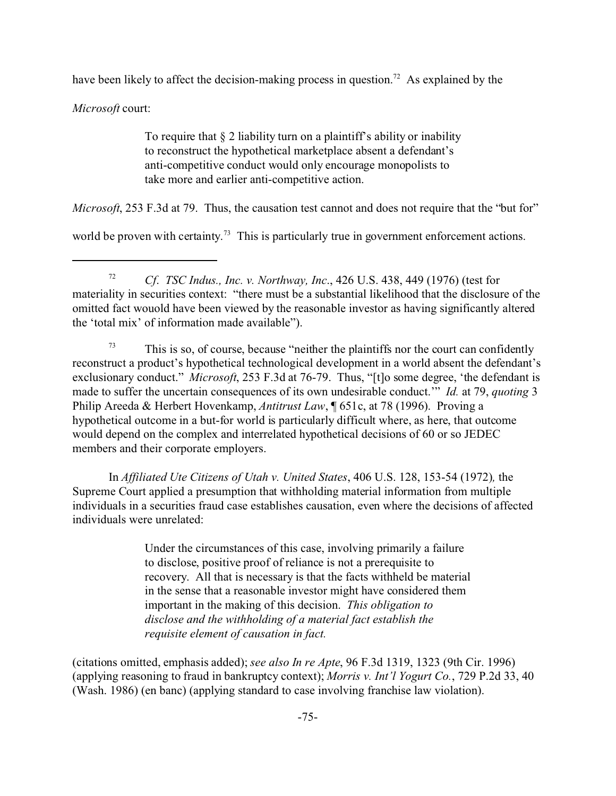have been likely to affect the decision-making process in question.<sup>72</sup> As explained by the

*Microsoft* court:

To require that  $\S 2$  liability turn on a plaintiff's ability or inability to reconstruct the hypothetical marketplace absent a defendant's anti-competitive conduct would only encourage monopolists to take more and earlier anti-competitive action.

*Microsoft*, 253 F.3d at 79. Thus, the causation test cannot and does not require that the "but for"

world be proven with certainty.<sup>73</sup> This is particularly true in government enforcement actions.

<sup>72</sup> *Cf*. *TSC Indus., Inc. v. Northway, Inc*., 426 U.S. 438, 449 (1976) (test for materiality in securities context: "there must be a substantial likelihood that the disclosure of the omitted fact wouold have been viewed by the reasonable investor as having significantly altered the 'total mix' of information made available").

<sup>73</sup> This is so, of course, because "neither the plaintiffs nor the court can confidently reconstruct a product's hypothetical technological development in a world absent the defendant's exclusionary conduct." *Microsoft*, 253 F.3d at 76-79. Thus, "[t]o some degree, 'the defendant is made to suffer the uncertain consequences of its own undesirable conduct.'" *Id.* at 79, *quoting* 3 Philip Areeda & Herbert Hovenkamp, *Antitrust Law*, ¶ 651c, at 78 (1996). Proving a hypothetical outcome in a but-for world is particularly difficult where, as here, that outcome would depend on the complex and interrelated hypothetical decisions of 60 or so JEDEC members and their corporate employers.

In *Affiliated Ute Citizens of Utah v. United States*, 406 U.S. 128, 153-54 (1972)*,* the Supreme Court applied a presumption that withholding material information from multiple individuals in a securities fraud case establishes causation, even where the decisions of affected individuals were unrelated:

> Under the circumstances of this case, involving primarily a failure to disclose, positive proof of reliance is not a prerequisite to recovery. All that is necessary is that the facts withheld be material in the sense that a reasonable investor might have considered them important in the making of this decision. *This obligation to disclose and the withholding of a material fact establish the requisite element of causation in fact.*

(citations omitted, emphasis added); *see also In re Apte*, 96 F.3d 1319, 1323 (9th Cir. 1996) (applying reasoning to fraud in bankruptcy context); *Morris v. Int'l Yogurt Co.*, 729 P.2d 33, 40 (Wash. 1986) (en banc) (applying standard to case involving franchise law violation).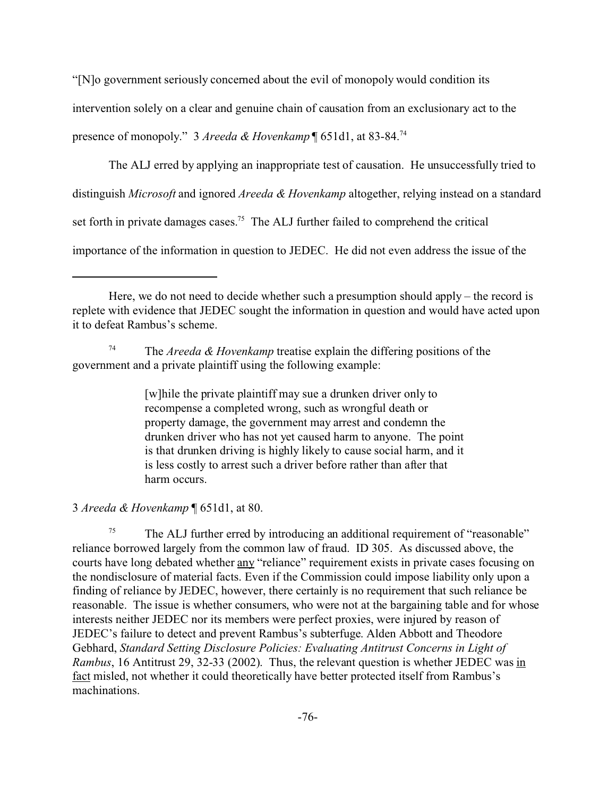"[N]o government seriously concerned about the evil of monopoly would condition its intervention solely on a clear and genuine chain of causation from an exclusionary act to the presence of monopoly." 3 *Areeda & Hovenkamp* ¶ 651d1, at 83-84.<sup>74</sup>

The ALJ erred by applying an inappropriate test of causation. He unsuccessfully tried to distinguish *Microsoft* and ignored *Areeda & Hovenkamp* altogether, relying instead on a standard set forth in private damages cases.<sup>75</sup> The ALJ further failed to comprehend the critical importance of the information in question to JEDEC. He did not even address the issue of the

The *Areeda & Hovenkamp* treatise explain the differing positions of the government and a private plaintiff using the following example:

> [w]hile the private plaintiff may sue a drunken driver only to recompense a completed wrong, such as wrongful death or property damage, the government may arrest and condemn the drunken driver who has not yet caused harm to anyone. The point is that drunken driving is highly likely to cause social harm, and it is less costly to arrest such a driver before rather than after that harm occurs.

3 *Areeda & Hovenkamp* ¶ 651d1, at 80.

 $75$  The ALJ further erred by introducing an additional requirement of "reasonable" reliance borrowed largely from the common law of fraud. ID 305. As discussed above, the courts have long debated whether any "reliance" requirement exists in private cases focusing on the nondisclosure of material facts. Even if the Commission could impose liability only upon a finding of reliance by JEDEC, however, there certainly is no requirement that such reliance be reasonable. The issue is whether consumers, who were not at the bargaining table and for whose interests neither JEDEC nor its members were perfect proxies, were injured by reason of JEDEC's failure to detect and prevent Rambus's subterfuge. Alden Abbott and Theodore Gebhard, *Standard Setting Disclosure Policies: Evaluating Antitrust Concerns in Light of Rambus*, 16 Antitrust 29, 32-33 (2002). Thus, the relevant question is whether JEDEC was in fact misled, not whether it could theoretically have better protected itself from Rambus's machinations.

Here, we do not need to decide whether such a presumption should apply – the record is replete with evidence that JEDEC sought the information in question and would have acted upon it to defeat Rambus's scheme.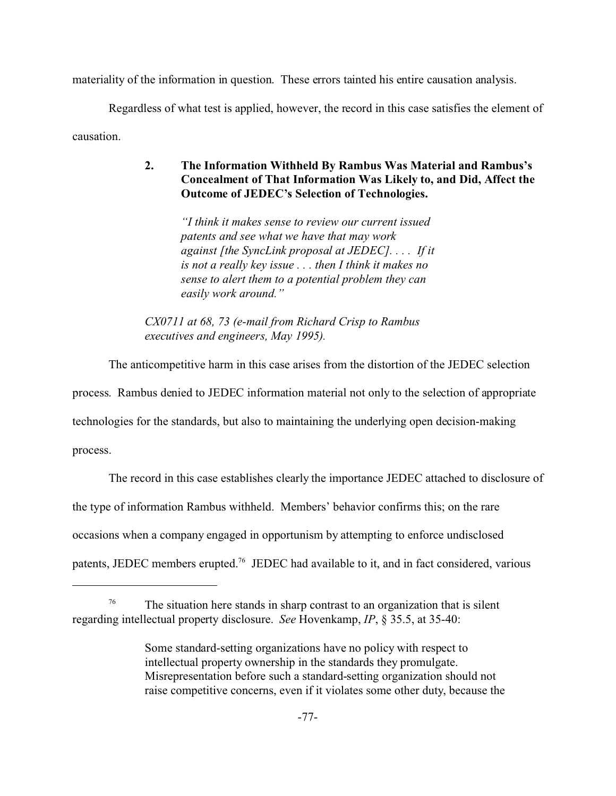materiality of the information in question. These errors tainted his entire causation analysis.

Regardless of what test is applied, however, the record in this case satisfies the element of

causation.

# **2. The Information Withheld By Rambus Was Material and Rambus's Concealment of That Information Was Likely to, and Did, Affect the Outcome of JEDEC's Selection of Technologies.**

*"I think it makes sense to review our current issued patents and see what we have that may work against [the SyncLink proposal at JEDEC]. . . . If it is not a really key issue . . . then I think it makes no sense to alert them to a potential problem they can easily work around."*

*CX0711 at 68, 73 (e-mail from Richard Crisp to Rambus executives and engineers, May 1995).*

The anticompetitive harm in this case arises from the distortion of the JEDEC selection

process. Rambus denied to JEDEC information material not only to the selection of appropriate

technologies for the standards, but also to maintaining the underlying open decision-making

process.

The record in this case establishes clearly the importance JEDEC attached to disclosure of the type of information Rambus withheld. Members' behavior confirms this; on the rare occasions when a company engaged in opportunism by attempting to enforce undisclosed patents, JEDEC members erupted.<sup>76</sup> JEDEC had available to it, and in fact considered, various

 $76$  The situation here stands in sharp contrast to an organization that is silent regarding intellectual property disclosure. *See* Hovenkamp, *IP*, § 35.5, at 35-40:

Some standard-setting organizations have no policy with respect to intellectual property ownership in the standards they promulgate. Misrepresentation before such a standard-setting organization should not raise competitive concerns, even if it violates some other duty, because the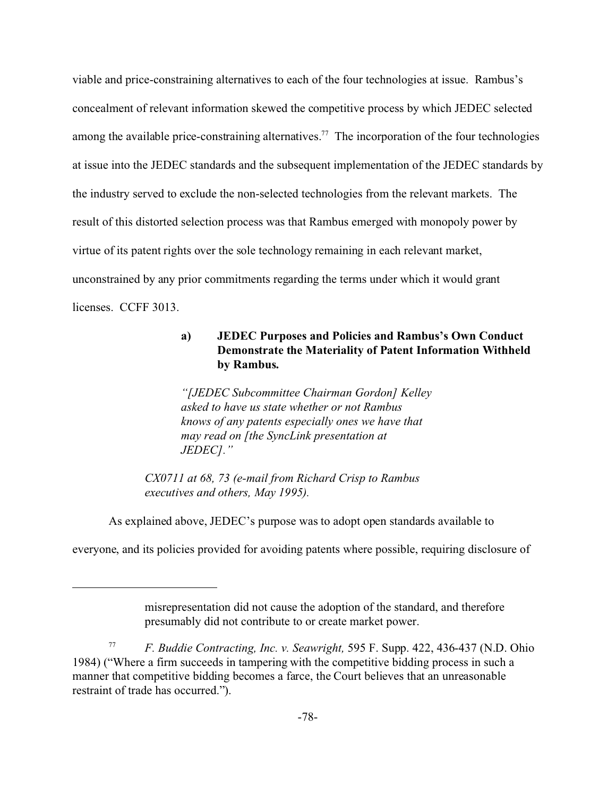viable and price-constraining alternatives to each of the four technologies at issue. Rambus's concealment of relevant information skewed the competitive process by which JEDEC selected among the available price-constraining alternatives.<sup>77</sup> The incorporation of the four technologies at issue into the JEDEC standards and the subsequent implementation of the JEDEC standards by the industry served to exclude the non-selected technologies from the relevant markets. The result of this distorted selection process was that Rambus emerged with monopoly power by virtue of its patent rights over the sole technology remaining in each relevant market, unconstrained by any prior commitments regarding the terms under which it would grant licenses. CCFF 3013.

# **a) JEDEC Purposes and Policies and Rambus's Own Conduct Demonstrate the Materiality of Patent Information Withheld by Rambus.**

*"[JEDEC Subcommittee Chairman Gordon] Kelley asked to have us state whether or not Rambus knows of any patents especially ones we have that may read on [the SyncLink presentation at JEDEC]."*

*CX0711 at 68, 73 (e-mail from Richard Crisp to Rambus executives and others, May 1995).*

As explained above, JEDEC's purpose was to adopt open standards available to

everyone, and its policies provided for avoiding patents where possible, requiring disclosure of

misrepresentation did not cause the adoption of the standard, and therefore presumably did not contribute to or create market power.

<sup>77</sup> *F. Buddie Contracting, Inc. v. Seawright,* 595 F. Supp. 422, 436-437 (N.D. Ohio 1984) ("Where a firm succeeds in tampering with the competitive bidding process in such a manner that competitive bidding becomes a farce, the Court believes that an unreasonable restraint of trade has occurred.").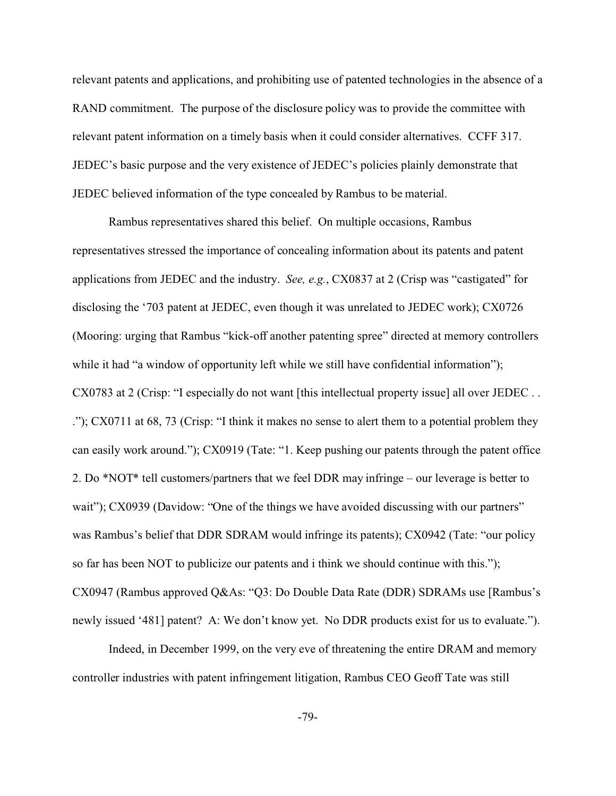relevant patents and applications, and prohibiting use of patented technologies in the absence of a RAND commitment. The purpose of the disclosure policy was to provide the committee with relevant patent information on a timely basis when it could consider alternatives. CCFF 317. JEDEC's basic purpose and the very existence of JEDEC's policies plainly demonstrate that JEDEC believed information of the type concealed by Rambus to be material.

Rambus representatives shared this belief. On multiple occasions, Rambus representatives stressed the importance of concealing information about its patents and patent applications from JEDEC and the industry. *See, e.g.*, CX0837 at 2 (Crisp was "castigated" for disclosing the '703 patent at JEDEC, even though it was unrelated to JEDEC work); CX0726 (Mooring: urging that Rambus "kick-off another patenting spree" directed at memory controllers while it had "a window of opportunity left while we still have confidential information"); CX0783 at 2 (Crisp: "I especially do not want [this intellectual property issue] all over JEDEC . . ."); CX0711 at 68, 73 (Crisp: "I think it makes no sense to alert them to a potential problem they can easily work around."); CX0919 (Tate: "1. Keep pushing our patents through the patent office 2. Do \*NOT\* tell customers/partners that we feel DDR may infringe – our leverage is better to wait"); CX0939 (Davidow: "One of the things we have avoided discussing with our partners" was Rambus's belief that DDR SDRAM would infringe its patents); CX0942 (Tate: "our policy so far has been NOT to publicize our patents and i think we should continue with this."); CX0947 (Rambus approved Q&As: "Q3: Do Double Data Rate (DDR) SDRAMs use [Rambus's newly issued '481] patent? A: We don't know yet. No DDR products exist for us to evaluate.").

Indeed, in December 1999, on the very eve of threatening the entire DRAM and memory controller industries with patent infringement litigation, Rambus CEO Geoff Tate was still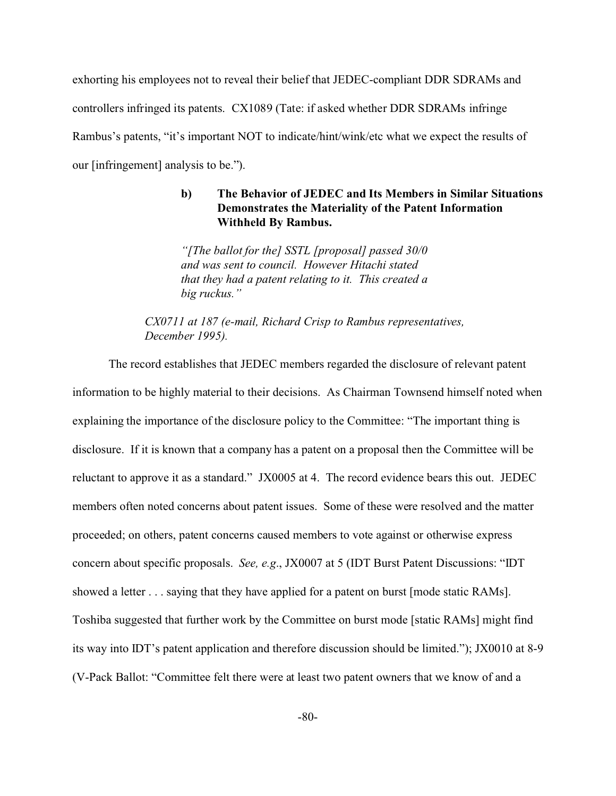exhorting his employees not to reveal their belief that JEDEC-compliant DDR SDRAMs and controllers infringed its patents. CX1089 (Tate: if asked whether DDR SDRAMs infringe Rambus's patents, "it's important NOT to indicate/hint/wink/etc what we expect the results of our [infringement] analysis to be.").

## **b) The Behavior of JEDEC and Its Members in Similar Situations Demonstrates the Materiality of the Patent Information Withheld By Rambus.**

*"[The ballot for the] SSTL [proposal] passed 30/0 and was sent to council. However Hitachi stated that they had a patent relating to it. This created a big ruckus."*

*CX0711 at 187 (e-mail, Richard Crisp to Rambus representatives, December 1995).*

The record establishes that JEDEC members regarded the disclosure of relevant patent information to be highly material to their decisions. As Chairman Townsend himself noted when explaining the importance of the disclosure policy to the Committee: "The important thing is disclosure. If it is known that a company has a patent on a proposal then the Committee will be reluctant to approve it as a standard." JX0005 at 4. The record evidence bears this out. JEDEC members often noted concerns about patent issues. Some of these were resolved and the matter proceeded; on others, patent concerns caused members to vote against or otherwise express concern about specific proposals. *See, e.g*., JX0007 at 5 (IDT Burst Patent Discussions: "IDT showed a letter . . . saying that they have applied for a patent on burst [mode static RAMs]. Toshiba suggested that further work by the Committee on burst mode [static RAMs] might find its way into IDT's patent application and therefore discussion should be limited."); JX0010 at 8-9 (V-Pack Ballot: "Committee felt there were at least two patent owners that we know of and a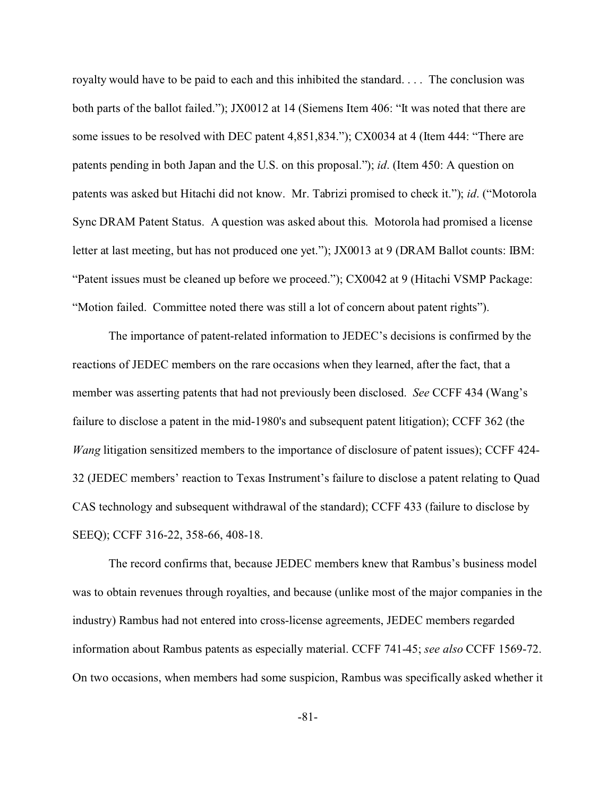royalty would have to be paid to each and this inhibited the standard. . . . The conclusion was both parts of the ballot failed."); JX0012 at 14 (Siemens Item 406: "It was noted that there are some issues to be resolved with DEC patent 4,851,834."); CX0034 at 4 (Item 444: "There are patents pending in both Japan and the U.S. on this proposal."); *id*. (Item 450: A question on patents was asked but Hitachi did not know. Mr. Tabrizi promised to check it."); *id*. ("Motorola Sync DRAM Patent Status. A question was asked about this. Motorola had promised a license letter at last meeting, but has not produced one yet."); JX0013 at 9 (DRAM Ballot counts: IBM: "Patent issues must be cleaned up before we proceed."); CX0042 at 9 (Hitachi VSMP Package: "Motion failed. Committee noted there was still a lot of concern about patent rights").

The importance of patent-related information to JEDEC's decisions is confirmed by the reactions of JEDEC members on the rare occasions when they learned, after the fact, that a member was asserting patents that had not previously been disclosed. *See* CCFF 434 (Wang's failure to disclose a patent in the mid-1980's and subsequent patent litigation); CCFF 362 (the *Wang* litigation sensitized members to the importance of disclosure of patent issues); CCFF 424- 32 (JEDEC members' reaction to Texas Instrument's failure to disclose a patent relating to Quad CAS technology and subsequent withdrawal of the standard); CCFF 433 (failure to disclose by SEEQ); CCFF 316-22, 358-66, 408-18.

The record confirms that, because JEDEC members knew that Rambus's business model was to obtain revenues through royalties, and because (unlike most of the major companies in the industry) Rambus had not entered into cross-license agreements, JEDEC members regarded information about Rambus patents as especially material. CCFF 741-45; *see also* CCFF 1569-72. On two occasions, when members had some suspicion, Rambus was specifically asked whether it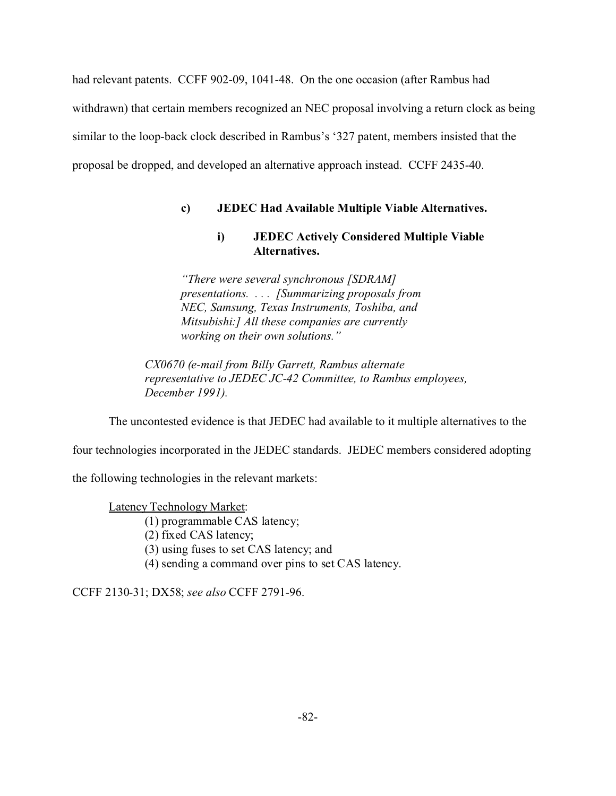had relevant patents. CCFF 902-09, 1041-48. On the one occasion (after Rambus had withdrawn) that certain members recognized an NEC proposal involving a return clock as being similar to the loop-back clock described in Rambus's '327 patent, members insisted that the proposal be dropped, and developed an alternative approach instead. CCFF 2435-40.

# **c) JEDEC Had Available Multiple Viable Alternatives.**

# **i) JEDEC Actively Considered Multiple Viable Alternatives.**

*"There were several synchronous [SDRAM] presentations. . . . [Summarizing proposals from NEC, Samsung, Texas Instruments, Toshiba, and Mitsubishi:] All these companies are currently working on their own solutions."*

*CX0670 (e-mail from Billy Garrett, Rambus alternate representative to JEDEC JC-42 Committee, to Rambus employees, December 1991).*

The uncontested evidence is that JEDEC had available to it multiple alternatives to the

four technologies incorporated in the JEDEC standards. JEDEC members considered adopting

the following technologies in the relevant markets:

Latency Technology Market:

(1) programmable CAS latency;

(2) fixed CAS latency;

(3) using fuses to set CAS latency; and

(4) sending a command over pins to set CAS latency.

CCFF 2130-31; DX58; *see also* CCFF 2791-96.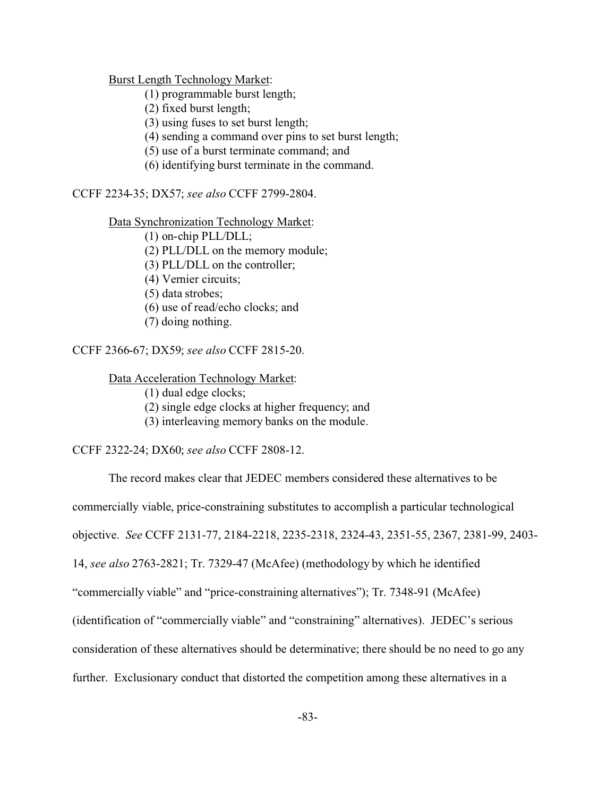Burst Length Technology Market:

(1) programmable burst length;

(2) fixed burst length;

(3) using fuses to set burst length;

(4) sending a command over pins to set burst length;

(5) use of a burst terminate command; and

(6) identifying burst terminate in the command.

CCFF 2234-35; DX57; *see also* CCFF 2799-2804.

Data Synchronization Technology Market:

(1) on-chip PLL/DLL;

(2) PLL/DLL on the memory module;

(3) PLL/DLL on the controller;

(4) Vernier circuits;

(5) data strobes;

(6) use of read/echo clocks; and

(7) doing nothing.

CCFF 2366-67; DX59; *see also* CCFF 2815-20.

Data Acceleration Technology Market:

(1) dual edge clocks;

(2) single edge clocks at higher frequency; and

(3) interleaving memory banks on the module.

CCFF 2322-24; DX60; *see also* CCFF 2808-12.

The record makes clear that JEDEC members considered these alternatives to be commercially viable, price-constraining substitutes to accomplish a particular technological objective. *See* CCFF 2131-77, 2184-2218, 2235-2318, 2324-43, 2351-55, 2367, 2381-99, 2403- 14, *see also* 2763-2821; Tr. 7329-47 (McAfee) (methodology by which he identified "commercially viable" and "price-constraining alternatives"); Tr. 7348-91 (McAfee) (identification of "commercially viable" and "constraining" alternatives). JEDEC's serious consideration of these alternatives should be determinative; there should be no need to go any further. Exclusionary conduct that distorted the competition among these alternatives in a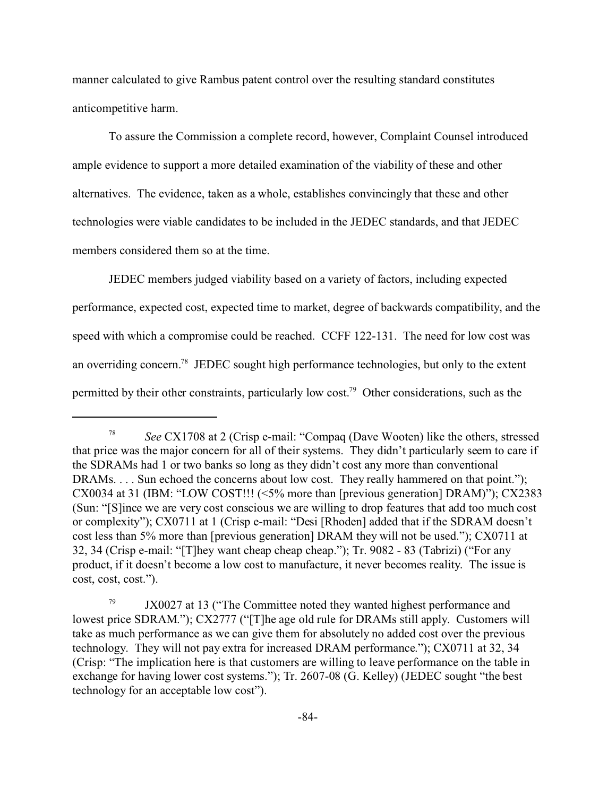manner calculated to give Rambus patent control over the resulting standard constitutes anticompetitive harm.

To assure the Commission a complete record, however, Complaint Counsel introduced ample evidence to support a more detailed examination of the viability of these and other alternatives. The evidence, taken as a whole, establishes convincingly that these and other technologies were viable candidates to be included in the JEDEC standards, and that JEDEC members considered them so at the time.

JEDEC members judged viability based on a variety of factors, including expected performance, expected cost, expected time to market, degree of backwards compatibility, and the speed with which a compromise could be reached. CCFF 122-131. The need for low cost was an overriding concern.<sup>78</sup> JEDEC sought high performance technologies, but only to the extent permitted by their other constraints, particularly low cost.<sup>79</sup> Other considerations, such as the

<sup>78</sup> *See* CX1708 at 2 (Crisp e-mail: "Compaq (Dave Wooten) like the others, stressed that price was the major concern for all of their systems. They didn't particularly seem to care if the SDRAMs had 1 or two banks so long as they didn't cost any more than conventional DRAMs. . . . Sun echoed the concerns about low cost. They really hammered on that point."); CX0034 at 31 (IBM: "LOW COST!!! (<5% more than [previous generation] DRAM)"); CX2383 (Sun: "[S]ince we are very cost conscious we are willing to drop features that add too much cost or complexity"); CX0711 at 1 (Crisp e-mail: "Desi [Rhoden] added that if the SDRAM doesn't cost less than 5% more than [previous generation] DRAM they will not be used."); CX0711 at 32, 34 (Crisp e-mail: "[T]hey want cheap cheap cheap."); Tr. 9082 - 83 (Tabrizi) ("For any product, if it doesn't become a low cost to manufacture, it never becomes reality. The issue is cost, cost, cost.").

<sup>&</sup>lt;sup>79</sup> JX0027 at 13 ("The Committee noted they wanted highest performance and lowest price SDRAM."); CX2777 ("[T]he age old rule for DRAMs still apply. Customers will take as much performance as we can give them for absolutely no added cost over the previous technology. They will not pay extra for increased DRAM performance."); CX0711 at 32, 34 (Crisp: "The implication here is that customers are willing to leave performance on the table in exchange for having lower cost systems."); Tr. 2607-08 (G. Kelley) (JEDEC sought "the best technology for an acceptable low cost").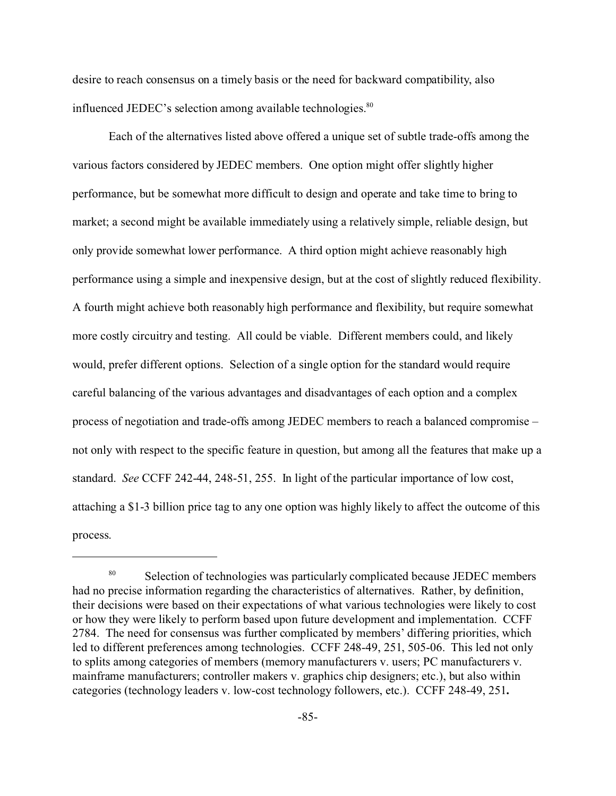desire to reach consensus on a timely basis or the need for backward compatibility, also influenced JEDEC's selection among available technologies.<sup>80</sup>

Each of the alternatives listed above offered a unique set of subtle trade-offs among the various factors considered by JEDEC members. One option might offer slightly higher performance, but be somewhat more difficult to design and operate and take time to bring to market; a second might be available immediately using a relatively simple, reliable design, but only provide somewhat lower performance. A third option might achieve reasonably high performance using a simple and inexpensive design, but at the cost of slightly reduced flexibility. A fourth might achieve both reasonably high performance and flexibility, but require somewhat more costly circuitry and testing. All could be viable. Different members could, and likely would, prefer different options. Selection of a single option for the standard would require careful balancing of the various advantages and disadvantages of each option and a complex process of negotiation and trade-offs among JEDEC members to reach a balanced compromise – not only with respect to the specific feature in question, but among all the features that make up a standard. *See* CCFF 242-44, 248-51, 255. In light of the particular importance of low cost, attaching a \$1-3 billion price tag to any one option was highly likely to affect the outcome of this process.

<sup>&</sup>lt;sup>80</sup> Selection of technologies was particularly complicated because JEDEC members had no precise information regarding the characteristics of alternatives. Rather, by definition, their decisions were based on their expectations of what various technologies were likely to cost or how they were likely to perform based upon future development and implementation. CCFF 2784. The need for consensus was further complicated by members' differing priorities, which led to different preferences among technologies. CCFF 248-49, 251, 505-06. This led not only to splits among categories of members (memory manufacturers v. users; PC manufacturers v. mainframe manufacturers; controller makers v. graphics chip designers; etc.), but also within categories (technology leaders v. low-cost technology followers, etc.). CCFF 248-49, 251**.**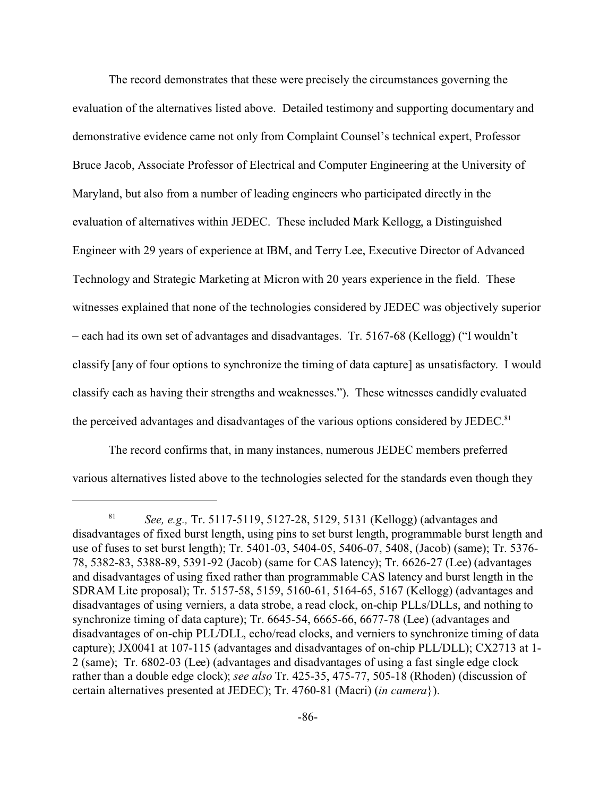The record demonstrates that these were precisely the circumstances governing the evaluation of the alternatives listed above. Detailed testimony and supporting documentary and demonstrative evidence came not only from Complaint Counsel's technical expert, Professor Bruce Jacob, Associate Professor of Electrical and Computer Engineering at the University of Maryland, but also from a number of leading engineers who participated directly in the evaluation of alternatives within JEDEC. These included Mark Kellogg, a Distinguished Engineer with 29 years of experience at IBM, and Terry Lee, Executive Director of Advanced Technology and Strategic Marketing at Micron with 20 years experience in the field. These witnesses explained that none of the technologies considered by JEDEC was objectively superior – each had its own set of advantages and disadvantages. Tr. 5167-68 (Kellogg) ("I wouldn't classify [any of four options to synchronize the timing of data capture] as unsatisfactory. I would classify each as having their strengths and weaknesses."). These witnesses candidly evaluated the perceived advantages and disadvantages of the various options considered by JEDEC.<sup>81</sup>

The record confirms that, in many instances, numerous JEDEC members preferred various alternatives listed above to the technologies selected for the standards even though they

<sup>81</sup> *See, e.g.,* Tr. 5117-5119, 5127-28, 5129, 5131 (Kellogg) (advantages and disadvantages of fixed burst length, using pins to set burst length, programmable burst length and use of fuses to set burst length); Tr. 5401-03, 5404-05, 5406-07, 5408, (Jacob) (same); Tr. 5376- 78, 5382-83, 5388-89, 5391-92 (Jacob) (same for CAS latency); Tr. 6626-27 (Lee) (advantages and disadvantages of using fixed rather than programmable CAS latency and burst length in the SDRAM Lite proposal); Tr. 5157-58, 5159, 5160-61, 5164-65, 5167 (Kellogg) (advantages and disadvantages of using verniers, a data strobe, a read clock, on-chip PLLs/DLLs, and nothing to synchronize timing of data capture); Tr. 6645-54, 6665-66, 6677-78 (Lee) (advantages and disadvantages of on-chip PLL/DLL, echo/read clocks, and verniers to synchronize timing of data capture); JX0041 at 107-115 (advantages and disadvantages of on-chip PLL/DLL); CX2713 at 1- 2 (same); Tr. 6802-03 (Lee) (advantages and disadvantages of using a fast single edge clock rather than a double edge clock); *see also* Tr. 425-35, 475-77, 505-18 (Rhoden) (discussion of certain alternatives presented at JEDEC); Tr. 4760-81 (Macri) (*in camera*}).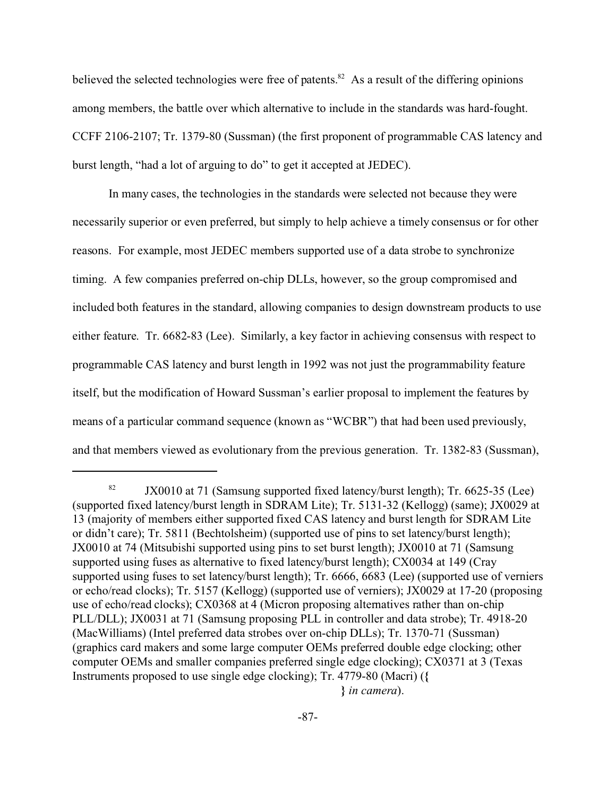believed the selected technologies were free of patents.<sup>82</sup> As a result of the differing opinions among members, the battle over which alternative to include in the standards was hard-fought. CCFF 2106-2107; Tr. 1379-80 (Sussman) (the first proponent of programmable CAS latency and burst length, "had a lot of arguing to do" to get it accepted at JEDEC).

In many cases, the technologies in the standards were selected not because they were necessarily superior or even preferred, but simply to help achieve a timely consensus or for other reasons. For example, most JEDEC members supported use of a data strobe to synchronize timing. A few companies preferred on-chip DLLs, however, so the group compromised and included both features in the standard, allowing companies to design downstream products to use either feature. Tr. 6682-83 (Lee). Similarly, a key factor in achieving consensus with respect to programmable CAS latency and burst length in 1992 was not just the programmability feature itself, but the modification of Howard Sussman's earlier proposal to implement the features by means of a particular command sequence (known as "WCBR") that had been used previously, and that members viewed as evolutionary from the previous generation. Tr. 1382-83 (Sussman),

<sup>&</sup>lt;sup>82</sup> JX0010 at 71 (Samsung supported fixed latency/burst length); Tr. 6625-35 (Lee) (supported fixed latency/burst length in SDRAM Lite); Tr. 5131-32 (Kellogg) (same); JX0029 at 13 (majority of members either supported fixed CAS latency and burst length for SDRAM Lite or didn't care); Tr. 5811 (Bechtolsheim) (supported use of pins to set latency/burst length); JX0010 at 74 (Mitsubishi supported using pins to set burst length); JX0010 at 71 (Samsung supported using fuses as alternative to fixed latency/burst length); CX0034 at 149 (Cray supported using fuses to set latency/burst length); Tr. 6666, 6683 (Lee) (supported use of verniers or echo/read clocks); Tr. 5157 (Kellogg) (supported use of verniers); JX0029 at 17-20 (proposing use of echo/read clocks); CX0368 at 4 (Micron proposing alternatives rather than on-chip PLL/DLL); JX0031 at 71 (Samsung proposing PLL in controller and data strobe); Tr. 4918-20 (MacWilliams) (Intel preferred data strobes over on-chip DLLs); Tr. 1370-71 (Sussman) (graphics card makers and some large computer OEMs preferred double edge clocking; other computer OEMs and smaller companies preferred single edge clocking); CX0371 at 3 (Texas Instruments proposed to use single edge clocking); Tr. 4779-80 (Macri) (**{** 

 **<sup>}</sup>** *in camera*).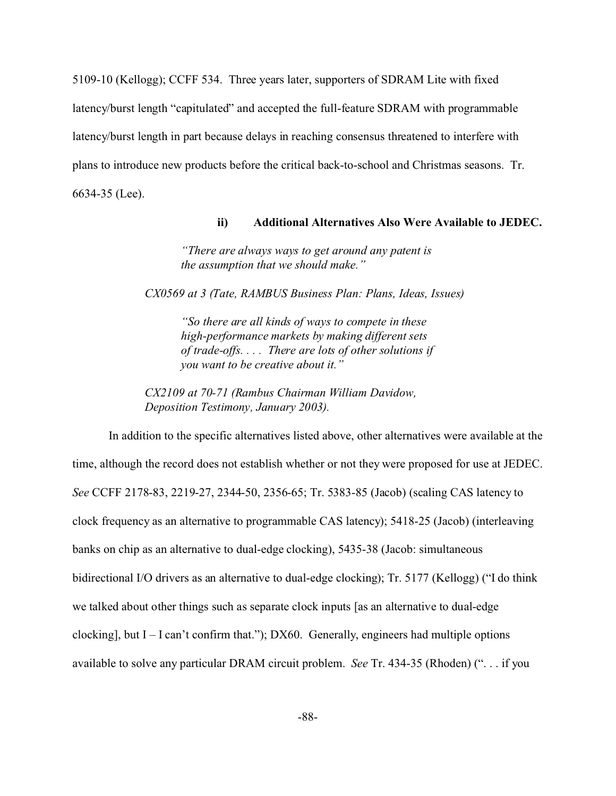5109-10 (Kellogg); CCFF 534. Three years later, supporters of SDRAM Lite with fixed latency/burst length "capitulated" and accepted the full-feature SDRAM with programmable latency/burst length in part because delays in reaching consensus threatened to interfere with plans to introduce new products before the critical back-to-school and Christmas seasons. Tr. 6634-35 (Lee).

#### **ii) Additional Alternatives Also Were Available to JEDEC.**

*"There are always ways to get around any patent is the assumption that we should make."*

*CX0569 at 3 (Tate, RAMBUS Business Plan: Plans, Ideas, Issues)*

*"So there are all kinds of ways to compete in these high-performance markets by making different sets of trade-offs. . . . There are lots of other solutions if you want to be creative about it."*

*CX2109 at 70-71 (Rambus Chairman William Davidow, Deposition Testimony, January 2003).*

In addition to the specific alternatives listed above, other alternatives were available at the time, although the record does not establish whether or not they were proposed for use at JEDEC. *See* CCFF 2178-83, 2219-27, 2344-50, 2356-65; Tr. 5383-85 (Jacob) (scaling CAS latency to clock frequency as an alternative to programmable CAS latency); 5418-25 (Jacob) (interleaving banks on chip as an alternative to dual-edge clocking), 5435-38 (Jacob: simultaneous bidirectional I/O drivers as an alternative to dual-edge clocking); Tr. 5177 (Kellogg) ("I do think we talked about other things such as separate clock inputs [as an alternative to dual-edge clocking], but  $I - I$  can't confirm that."); DX60. Generally, engineers had multiple options available to solve any particular DRAM circuit problem. *See* Tr. 434-35 (Rhoden) (". . . if you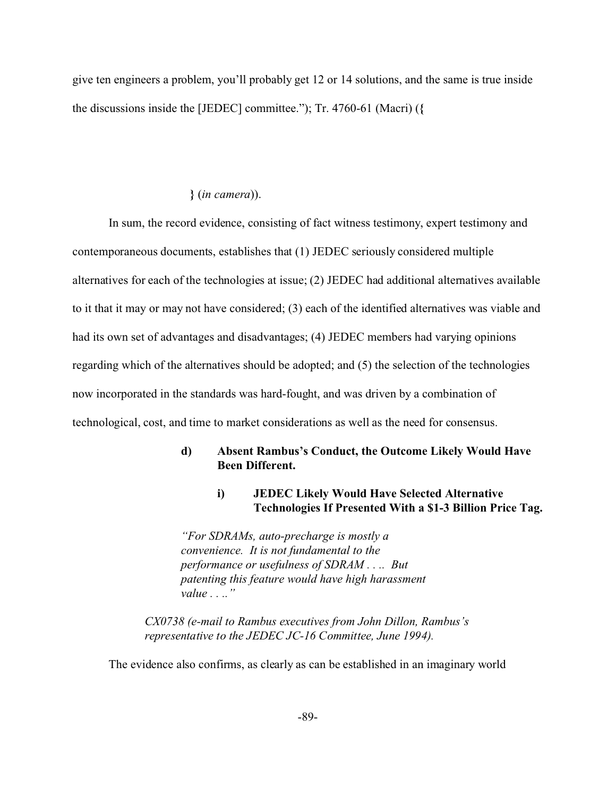give ten engineers a problem, you'll probably get 12 or 14 solutions, and the same is true inside the discussions inside the [JEDEC] committee."); Tr. 4760-61 (Macri) (**{** 

#### **}** (*in camera*)).

In sum, the record evidence, consisting of fact witness testimony, expert testimony and contemporaneous documents, establishes that (1) JEDEC seriously considered multiple alternatives for each of the technologies at issue; (2) JEDEC had additional alternatives available to it that it may or may not have considered; (3) each of the identified alternatives was viable and had its own set of advantages and disadvantages; (4) JEDEC members had varying opinions regarding which of the alternatives should be adopted; and (5) the selection of the technologies now incorporated in the standards was hard-fought, and was driven by a combination of technological, cost, and time to market considerations as well as the need for consensus.

# **d) Absent Rambus's Conduct, the Outcome Likely Would Have Been Different.**

### **i) JEDEC Likely Would Have Selected Alternative Technologies If Presented With a \$1-3 Billion Price Tag.**

*"For SDRAMs, auto-precharge is mostly a convenience. It is not fundamental to the performance or usefulness of SDRAM . . .. But patenting this feature would have high harassment value . . .."*

*CX0738 (e-mail to Rambus executives from John Dillon, Rambus's representative to the JEDEC JC-16 Committee, June 1994).*

The evidence also confirms, as clearly as can be established in an imaginary world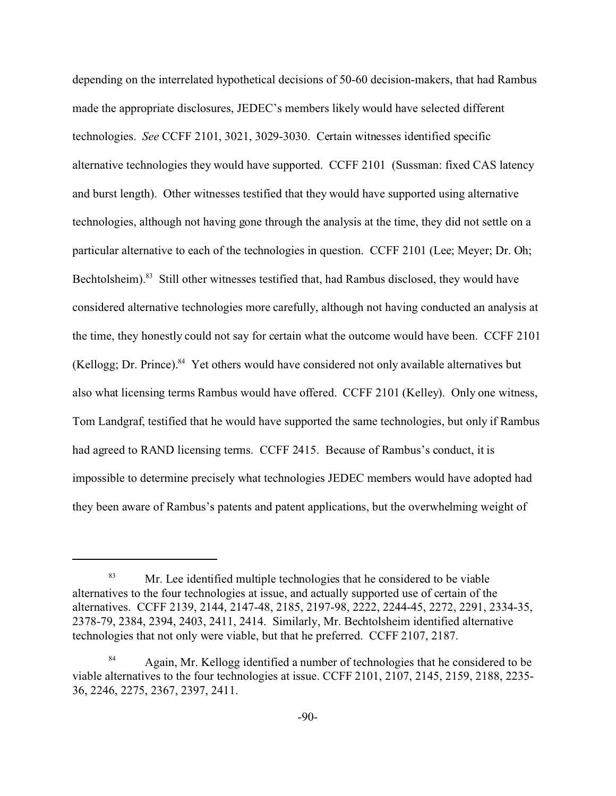depending on the interrelated hypothetical decisions of 50-60 decision-makers, that had Rambus made the appropriate disclosures, JEDEC's members likely would have selected different technologies. *See* CCFF 2101, 3021, 3029-3030. Certain witnesses identified specific alternative technologies they would have supported. CCFF 2101 (Sussman: fixed CAS latency and burst length). Other witnesses testified that they would have supported using alternative technologies, although not having gone through the analysis at the time, they did not settle on a particular alternative to each of the technologies in question. CCFF 2101 (Lee; Meyer; Dr. Oh; Bechtolsheim).<sup>83</sup> Still other witnesses testified that, had Rambus disclosed, they would have considered alternative technologies more carefully, although not having conducted an analysis at the time, they honestly could not say for certain what the outcome would have been. CCFF 2101 (Kellogg; Dr. Prince). $84$  Yet others would have considered not only available alternatives but also what licensing terms Rambus would have offered. CCFF 2101 (Kelley). Only one witness, Tom Landgraf, testified that he would have supported the same technologies, but only if Rambus had agreed to RAND licensing terms. CCFF 2415. Because of Rambus's conduct, it is impossible to determine precisely what technologies JEDEC members would have adopted had they been aware of Rambus's patents and patent applications, but the overwhelming weight of

<sup>&</sup>lt;sup>83</sup> Mr. Lee identified multiple technologies that he considered to be viable alternatives to the four technologies at issue, and actually supported use of certain of the alternatives. CCFF 2139, 2144, 2147-48, 2185, 2197-98, 2222, 2244-45, 2272, 2291, 2334-35, 2378-79, 2384, 2394, 2403, 2411, 2414. Similarly, Mr. Bechtolsheim identified alternative technologies that not only were viable, but that he preferred. CCFF 2107, 2187.

<sup>&</sup>lt;sup>84</sup> Again, Mr. Kellogg identified a number of technologies that he considered to be viable alternatives to the four technologies at issue. CCFF 2101, 2107, 2145, 2159, 2188, 2235- 36, 2246, 2275, 2367, 2397, 2411.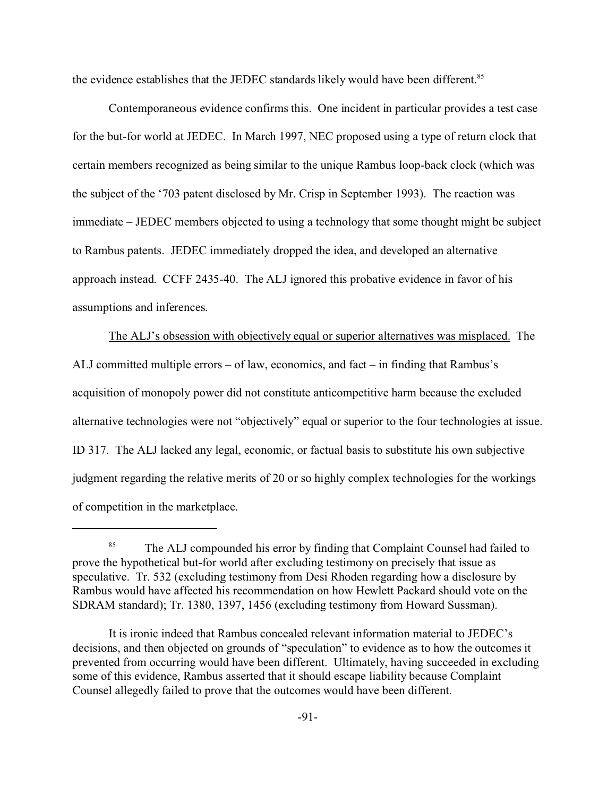the evidence establishes that the JEDEC standards likely would have been different.<sup>85</sup>

Contemporaneous evidence confirms this. One incident in particular provides a test case for the but-for world at JEDEC. In March 1997, NEC proposed using a type of return clock that certain members recognized as being similar to the unique Rambus loop-back clock (which was the subject of the '703 patent disclosed by Mr. Crisp in September 1993). The reaction was immediate – JEDEC members objected to using a technology that some thought might be subject to Rambus patents. JEDEC immediately dropped the idea, and developed an alternative approach instead. CCFF 2435-40. The ALJ ignored this probative evidence in favor of his assumptions and inferences.

The ALJ's obsession with objectively equal or superior alternatives was misplaced. The ALJ committed multiple errors – of law, economics, and fact – in finding that Rambus's acquisition of monopoly power did not constitute anticompetitive harm because the excluded alternative technologies were not "objectively" equal or superior to the four technologies at issue. ID 317. The ALJ lacked any legal, economic, or factual basis to substitute his own subjective judgment regarding the relative merits of 20 or so highly complex technologies for the workings of competition in the marketplace.

<sup>&</sup>lt;sup>85</sup> The ALJ compounded his error by finding that Complaint Counsel had failed to prove the hypothetical but-for world after excluding testimony on precisely that issue as speculative. Tr. 532 (excluding testimony from Desi Rhoden regarding how a disclosure by Rambus would have affected his recommendation on how Hewlett Packard should vote on the SDRAM standard); Tr. 1380, 1397, 1456 (excluding testimony from Howard Sussman).

It is ironic indeed that Rambus concealed relevant information material to JEDEC's decisions, and then objected on grounds of "speculation" to evidence as to how the outcomes it prevented from occurring would have been different. Ultimately, having succeeded in excluding some of this evidence, Rambus asserted that it should escape liability because Complaint Counsel allegedly failed to prove that the outcomes would have been different.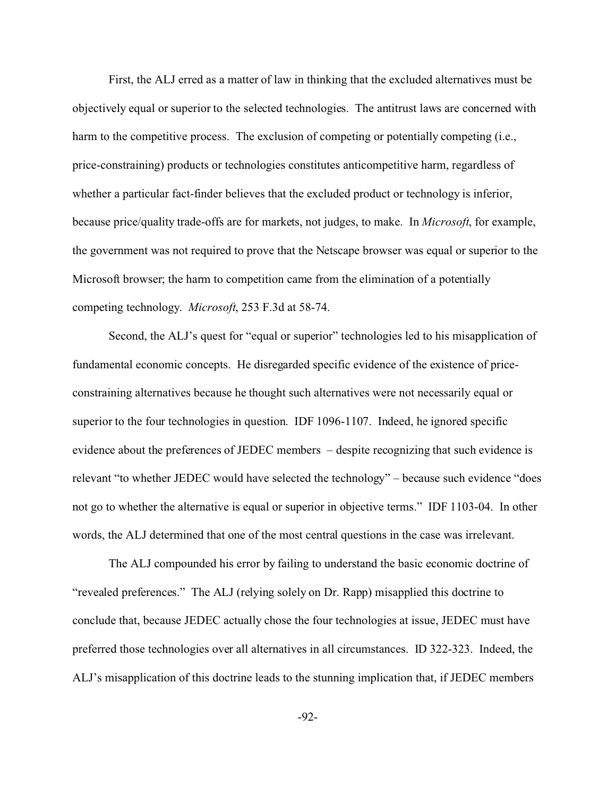First, the ALJ erred as a matter of law in thinking that the excluded alternatives must be objectively equal or superior to the selected technologies. The antitrust laws are concerned with harm to the competitive process. The exclusion of competing or potentially competing (i.e., price-constraining) products or technologies constitutes anticompetitive harm, regardless of whether a particular fact-finder believes that the excluded product or technology is inferior, because price/quality trade-offs are for markets, not judges, to make. In *Microsoft*, for example, the government was not required to prove that the Netscape browser was equal or superior to the Microsoft browser; the harm to competition came from the elimination of a potentially competing technology. *Microsoft*, 253 F.3d at 58-74.

Second, the ALJ's quest for "equal or superior" technologies led to his misapplication of fundamental economic concepts. He disregarded specific evidence of the existence of priceconstraining alternatives because he thought such alternatives were not necessarily equal or superior to the four technologies in question. IDF 1096-1107. Indeed, he ignored specific evidence about the preferences of JEDEC members – despite recognizing that such evidence is relevant "to whether JEDEC would have selected the technology" – because such evidence "does not go to whether the alternative is equal or superior in objective terms." IDF 1103-04. In other words, the ALJ determined that one of the most central questions in the case was irrelevant.

The ALJ compounded his error by failing to understand the basic economic doctrine of "revealed preferences." The ALJ (relying solely on Dr. Rapp) misapplied this doctrine to conclude that, because JEDEC actually chose the four technologies at issue, JEDEC must have preferred those technologies over all alternatives in all circumstances. ID 322-323. Indeed, the ALJ's misapplication of this doctrine leads to the stunning implication that, if JEDEC members

-92-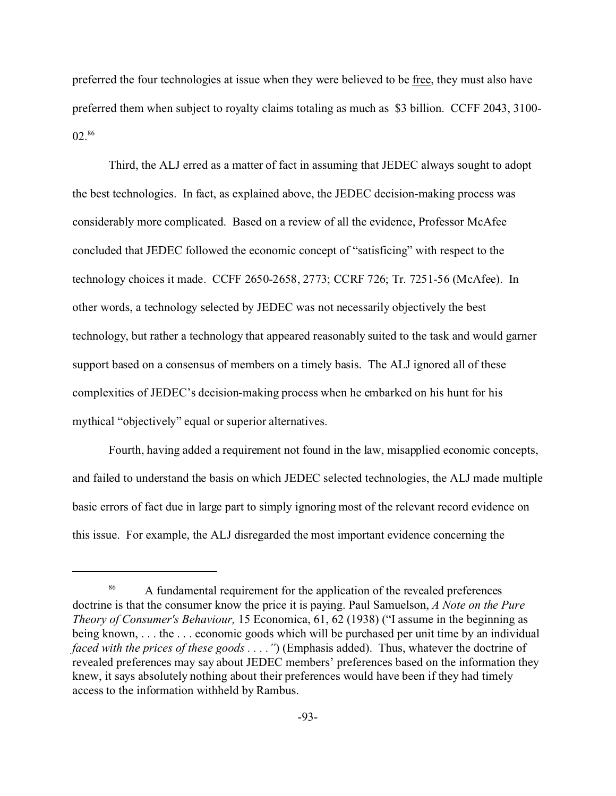preferred the four technologies at issue when they were believed to be <u>free</u>, they must also have preferred them when subject to royalty claims totaling as much as \$3 billion. CCFF 2043, 3100- 02.<sup>86</sup>

Third, the ALJ erred as a matter of fact in assuming that JEDEC always sought to adopt the best technologies. In fact, as explained above, the JEDEC decision-making process was considerably more complicated. Based on a review of all the evidence, Professor McAfee concluded that JEDEC followed the economic concept of "satisficing" with respect to the technology choices it made. CCFF 2650-2658, 2773; CCRF 726; Tr. 7251-56 (McAfee). In other words, a technology selected by JEDEC was not necessarily objectively the best technology, but rather a technology that appeared reasonably suited to the task and would garner support based on a consensus of members on a timely basis. The ALJ ignored all of these complexities of JEDEC's decision-making process when he embarked on his hunt for his mythical "objectively" equal or superior alternatives.

Fourth, having added a requirement not found in the law, misapplied economic concepts, and failed to understand the basis on which JEDEC selected technologies, the ALJ made multiple basic errors of fact due in large part to simply ignoring most of the relevant record evidence on this issue. For example, the ALJ disregarded the most important evidence concerning the

<sup>&</sup>lt;sup>86</sup> A fundamental requirement for the application of the revealed preferences doctrine is that the consumer know the price it is paying. Paul Samuelson, *A Note on the Pure Theory of Consumer's Behaviour,* 15 Economica, 61, 62 (1938) ("I assume in the beginning as being known, . . . the . . . economic goods which will be purchased per unit time by an individual *faced with the prices of these goods . . . ."*) (Emphasis added). Thus, whatever the doctrine of revealed preferences may say about JEDEC members' preferences based on the information they knew, it says absolutely nothing about their preferences would have been if they had timely access to the information withheld by Rambus.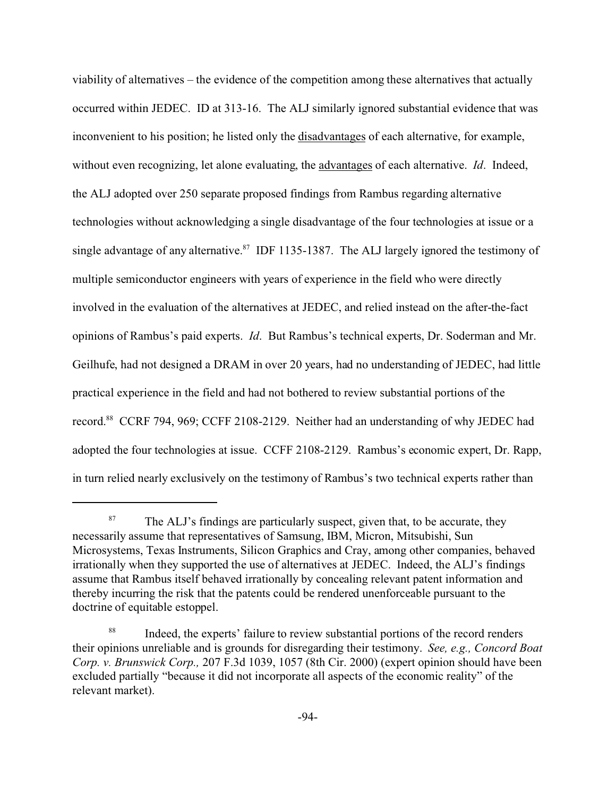viability of alternatives – the evidence of the competition among these alternatives that actually occurred within JEDEC. ID at 313-16. The ALJ similarly ignored substantial evidence that was inconvenient to his position; he listed only the disadvantages of each alternative, for example, without even recognizing, let alone evaluating, the advantages of each alternative. *Id*. Indeed, the ALJ adopted over 250 separate proposed findings from Rambus regarding alternative technologies without acknowledging a single disadvantage of the four technologies at issue or a single advantage of any alternative.<sup>87</sup> IDF 1135-1387. The ALJ largely ignored the testimony of multiple semiconductor engineers with years of experience in the field who were directly involved in the evaluation of the alternatives at JEDEC, and relied instead on the after-the-fact opinions of Rambus's paid experts. *Id*. But Rambus's technical experts, Dr. Soderman and Mr. Geilhufe, had not designed a DRAM in over 20 years, had no understanding of JEDEC, had little practical experience in the field and had not bothered to review substantial portions of the record.<sup>88</sup> CCRF 794, 969; CCFF 2108-2129. Neither had an understanding of why JEDEC had adopted the four technologies at issue. CCFF 2108-2129. Rambus's economic expert, Dr. Rapp, in turn relied nearly exclusively on the testimony of Rambus's two technical experts rather than

 $87$  The ALJ's findings are particularly suspect, given that, to be accurate, they necessarily assume that representatives of Samsung, IBM, Micron, Mitsubishi, Sun Microsystems, Texas Instruments, Silicon Graphics and Cray, among other companies, behaved irrationally when they supported the use of alternatives at JEDEC. Indeed, the ALJ's findings assume that Rambus itself behaved irrationally by concealing relevant patent information and thereby incurring the risk that the patents could be rendered unenforceable pursuant to the doctrine of equitable estoppel.

<sup>&</sup>lt;sup>88</sup> Indeed, the experts' failure to review substantial portions of the record renders their opinions unreliable and is grounds for disregarding their testimony. *See, e.g., Concord Boat Corp. v. Brunswick Corp.,* 207 F.3d 1039, 1057 (8th Cir. 2000) (expert opinion should have been excluded partially "because it did not incorporate all aspects of the economic reality" of the relevant market).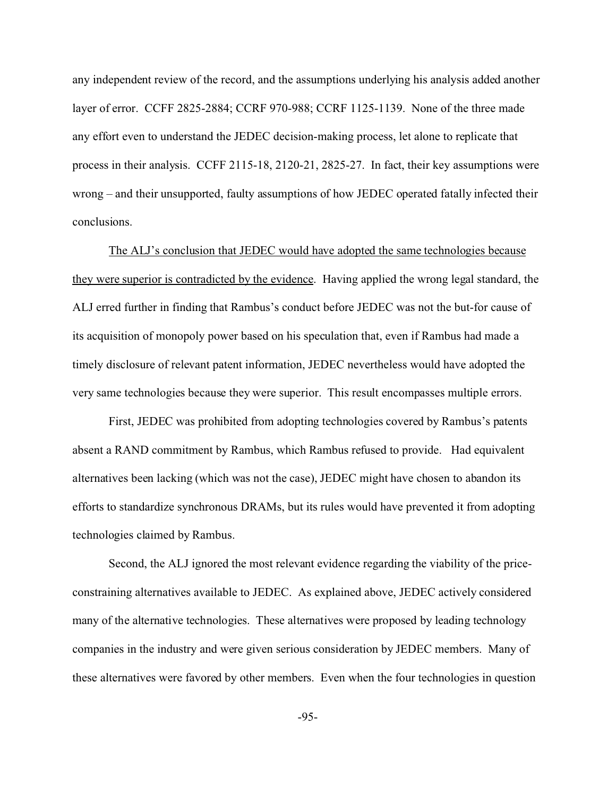any independent review of the record, and the assumptions underlying his analysis added another layer of error. CCFF 2825-2884; CCRF 970-988; CCRF 1125-1139. None of the three made any effort even to understand the JEDEC decision-making process, let alone to replicate that process in their analysis. CCFF 2115-18, 2120-21, 2825-27. In fact, their key assumptions were wrong – and their unsupported, faulty assumptions of how JEDEC operated fatally infected their conclusions.

The ALJ's conclusion that JEDEC would have adopted the same technologies because they were superior is contradicted by the evidence. Having applied the wrong legal standard, the ALJ erred further in finding that Rambus's conduct before JEDEC was not the but-for cause of its acquisition of monopoly power based on his speculation that, even if Rambus had made a timely disclosure of relevant patent information, JEDEC nevertheless would have adopted the very same technologies because they were superior. This result encompasses multiple errors.

First, JEDEC was prohibited from adopting technologies covered by Rambus's patents absent a RAND commitment by Rambus, which Rambus refused to provide. Had equivalent alternatives been lacking (which was not the case), JEDEC might have chosen to abandon its efforts to standardize synchronous DRAMs, but its rules would have prevented it from adopting technologies claimed by Rambus.

Second, the ALJ ignored the most relevant evidence regarding the viability of the priceconstraining alternatives available to JEDEC. As explained above, JEDEC actively considered many of the alternative technologies. These alternatives were proposed by leading technology companies in the industry and were given serious consideration by JEDEC members. Many of these alternatives were favored by other members. Even when the four technologies in question

-95-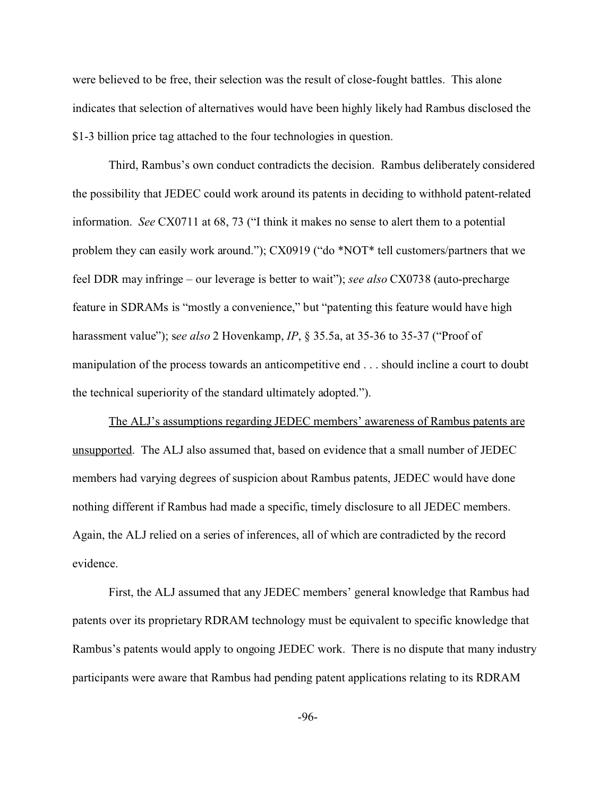were believed to be free, their selection was the result of close-fought battles. This alone indicates that selection of alternatives would have been highly likely had Rambus disclosed the \$1-3 billion price tag attached to the four technologies in question.

Third, Rambus's own conduct contradicts the decision. Rambus deliberately considered the possibility that JEDEC could work around its patents in deciding to withhold patent-related information. *See* CX0711 at 68, 73 ("I think it makes no sense to alert them to a potential problem they can easily work around."); CX0919 ("do \*NOT\* tell customers/partners that we feel DDR may infringe – our leverage is better to wait"); *see also* CX0738 (auto-precharge feature in SDRAMs is "mostly a convenience," but "patenting this feature would have high harassment value"); s*ee also* 2 Hovenkamp, *IP*, § 35.5a, at 35-36 to 35-37 ("Proof of manipulation of the process towards an anticompetitive end . . . should incline a court to doubt the technical superiority of the standard ultimately adopted.").

The ALJ's assumptions regarding JEDEC members' awareness of Rambus patents are unsupported. The ALJ also assumed that, based on evidence that a small number of JEDEC members had varying degrees of suspicion about Rambus patents, JEDEC would have done nothing different if Rambus had made a specific, timely disclosure to all JEDEC members. Again, the ALJ relied on a series of inferences, all of which are contradicted by the record evidence.

First, the ALJ assumed that any JEDEC members' general knowledge that Rambus had patents over its proprietary RDRAM technology must be equivalent to specific knowledge that Rambus's patents would apply to ongoing JEDEC work. There is no dispute that many industry participants were aware that Rambus had pending patent applications relating to its RDRAM

-96-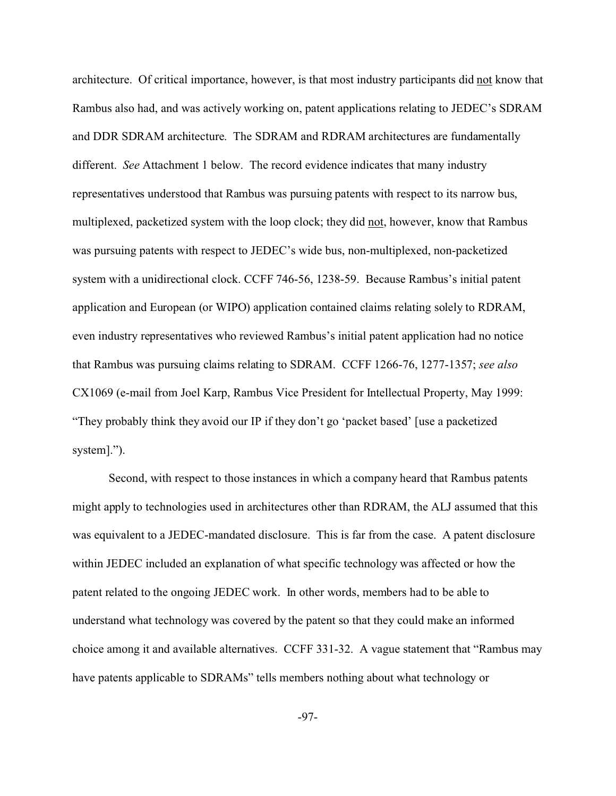architecture. Of critical importance, however, is that most industry participants did not know that Rambus also had, and was actively working on, patent applications relating to JEDEC's SDRAM and DDR SDRAM architecture. The SDRAM and RDRAM architectures are fundamentally different. *See* Attachment 1 below. The record evidence indicates that many industry representatives understood that Rambus was pursuing patents with respect to its narrow bus, multiplexed, packetized system with the loop clock; they did not, however, know that Rambus was pursuing patents with respect to JEDEC's wide bus, non-multiplexed, non-packetized system with a unidirectional clock. CCFF 746-56, 1238-59. Because Rambus's initial patent application and European (or WIPO) application contained claims relating solely to RDRAM, even industry representatives who reviewed Rambus's initial patent application had no notice that Rambus was pursuing claims relating to SDRAM. CCFF 1266-76, 1277-1357; *see also* CX1069 (e-mail from Joel Karp, Rambus Vice President for Intellectual Property, May 1999: "They probably think they avoid our IP if they don't go 'packet based' [use a packetized system].").

Second, with respect to those instances in which a company heard that Rambus patents might apply to technologies used in architectures other than RDRAM, the ALJ assumed that this was equivalent to a JEDEC-mandated disclosure. This is far from the case. A patent disclosure within JEDEC included an explanation of what specific technology was affected or how the patent related to the ongoing JEDEC work. In other words, members had to be able to understand what technology was covered by the patent so that they could make an informed choice among it and available alternatives. CCFF 331-32. A vague statement that "Rambus may have patents applicable to SDRAMs" tells members nothing about what technology or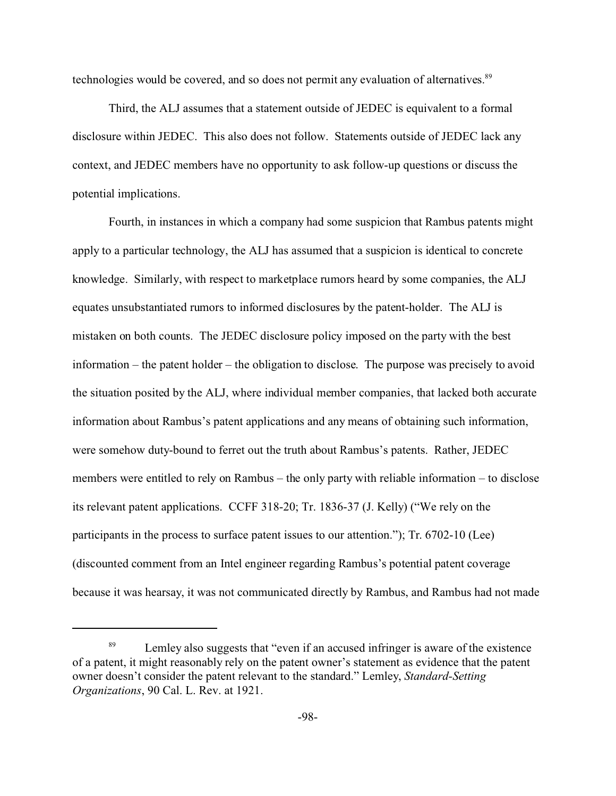technologies would be covered, and so does not permit any evaluation of alternatives.<sup>89</sup>

Third, the ALJ assumes that a statement outside of JEDEC is equivalent to a formal disclosure within JEDEC. This also does not follow. Statements outside of JEDEC lack any context, and JEDEC members have no opportunity to ask follow-up questions or discuss the potential implications.

Fourth, in instances in which a company had some suspicion that Rambus patents might apply to a particular technology, the ALJ has assumed that a suspicion is identical to concrete knowledge. Similarly, with respect to marketplace rumors heard by some companies, the ALJ equates unsubstantiated rumors to informed disclosures by the patent-holder. The ALJ is mistaken on both counts. The JEDEC disclosure policy imposed on the party with the best information – the patent holder – the obligation to disclose. The purpose was precisely to avoid the situation posited by the ALJ, where individual member companies, that lacked both accurate information about Rambus's patent applications and any means of obtaining such information, were somehow duty-bound to ferret out the truth about Rambus's patents. Rather, JEDEC members were entitled to rely on Rambus – the only party with reliable information – to disclose its relevant patent applications. CCFF 318-20; Tr. 1836-37 (J. Kelly) ("We rely on the participants in the process to surface patent issues to our attention."); Tr. 6702-10 (Lee) (discounted comment from an Intel engineer regarding Rambus's potential patent coverage because it was hearsay, it was not communicated directly by Rambus, and Rambus had not made

<sup>&</sup>lt;sup>89</sup> Lemley also suggests that "even if an accused infringer is aware of the existence of a patent, it might reasonably rely on the patent owner's statement as evidence that the patent owner doesn't consider the patent relevant to the standard." Lemley, *Standard-Setting Organizations*, 90 Cal. L. Rev. at 1921.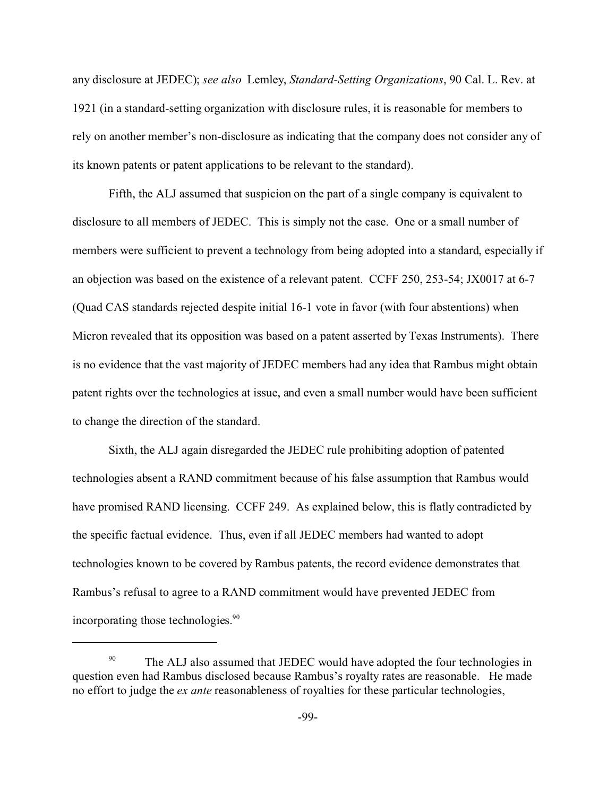any disclosure at JEDEC); *see also* Lemley, *Standard-Setting Organizations*, 90 Cal. L. Rev. at 1921 (in a standard-setting organization with disclosure rules, it is reasonable for members to rely on another member's non-disclosure as indicating that the company does not consider any of its known patents or patent applications to be relevant to the standard).

Fifth, the ALJ assumed that suspicion on the part of a single company is equivalent to disclosure to all members of JEDEC. This is simply not the case. One or a small number of members were sufficient to prevent a technology from being adopted into a standard, especially if an objection was based on the existence of a relevant patent. CCFF 250, 253-54; JX0017 at 6-7 (Quad CAS standards rejected despite initial 16-1 vote in favor (with four abstentions) when Micron revealed that its opposition was based on a patent asserted by Texas Instruments). There is no evidence that the vast majority of JEDEC members had any idea that Rambus might obtain patent rights over the technologies at issue, and even a small number would have been sufficient to change the direction of the standard.

Sixth, the ALJ again disregarded the JEDEC rule prohibiting adoption of patented technologies absent a RAND commitment because of his false assumption that Rambus would have promised RAND licensing. CCFF 249. As explained below, this is flatly contradicted by the specific factual evidence. Thus, even if all JEDEC members had wanted to adopt technologies known to be covered by Rambus patents, the record evidence demonstrates that Rambus's refusal to agree to a RAND commitment would have prevented JEDEC from incorporating those technologies.<sup>90</sup>

<sup>&</sup>lt;sup>90</sup> The ALJ also assumed that JEDEC would have adopted the four technologies in question even had Rambus disclosed because Rambus's royalty rates are reasonable. He made no effort to judge the *ex ante* reasonableness of royalties for these particular technologies,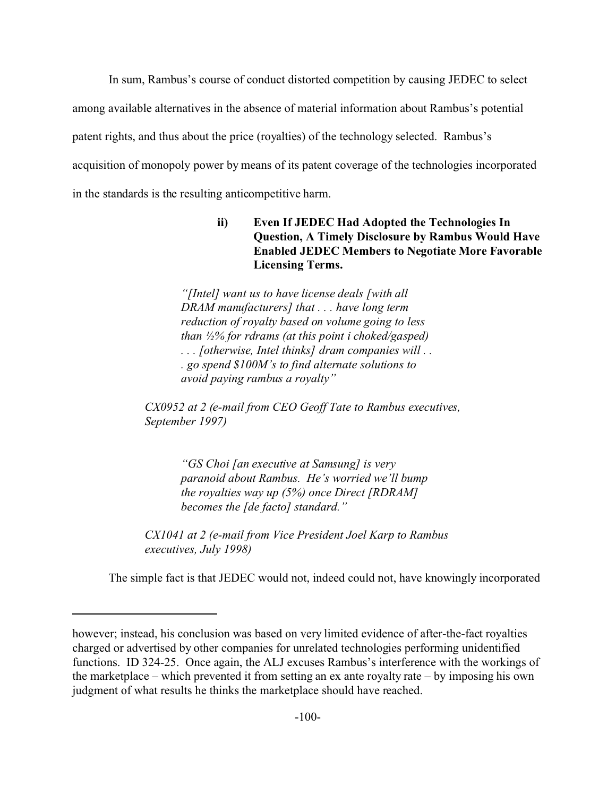In sum, Rambus's course of conduct distorted competition by causing JEDEC to select among available alternatives in the absence of material information about Rambus's potential patent rights, and thus about the price (royalties) of the technology selected. Rambus's acquisition of monopoly power by means of its patent coverage of the technologies incorporated in the standards is the resulting anticompetitive harm.

> **ii) Even If JEDEC Had Adopted the Technologies In Question, A Timely Disclosure by Rambus Would Have Enabled JEDEC Members to Negotiate More Favorable Licensing Terms.**

*"[Intel] want us to have license deals [with all DRAM manufacturers] that . . . have long term reduction of royalty based on volume going to less than ½% for rdrams (at this point i choked/gasped) . . . [otherwise, Intel thinks] dram companies will . . . go spend \$100M's to find alternate solutions to avoid paying rambus a royalty"*

*CX0952 at 2 (e-mail from CEO Geoff Tate to Rambus executives, September 1997)*

> *"GS Choi [an executive at Samsung] is very paranoid about Rambus. He's worried we'll bump the royalties way up (5%) once Direct [RDRAM] becomes the [de facto] standard."*

*CX1041 at 2 (e-mail from Vice President Joel Karp to Rambus executives, July 1998)*

The simple fact is that JEDEC would not, indeed could not, have knowingly incorporated

however; instead, his conclusion was based on very limited evidence of after-the-fact royalties charged or advertised by other companies for unrelated technologies performing unidentified functions. ID 324-25. Once again, the ALJ excuses Rambus's interference with the workings of the marketplace – which prevented it from setting an ex ante royalty rate – by imposing his own judgment of what results he thinks the marketplace should have reached.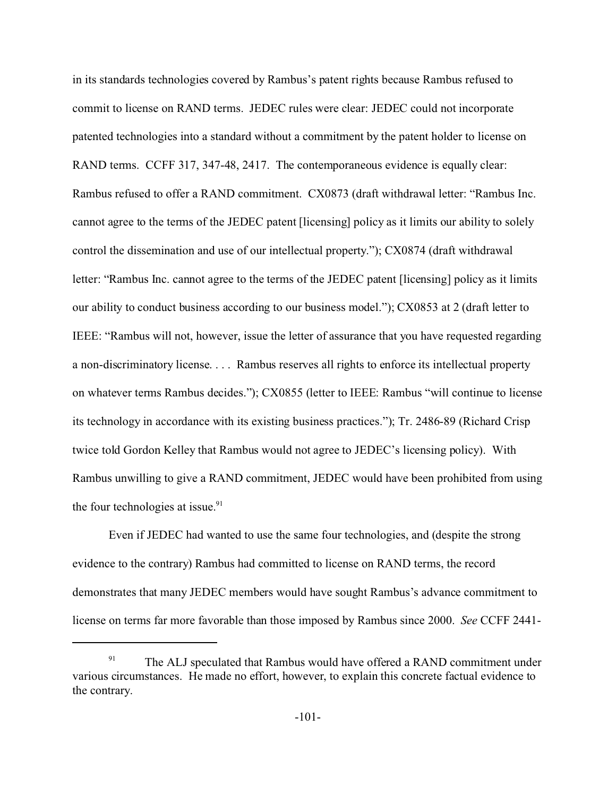in its standards technologies covered by Rambus's patent rights because Rambus refused to commit to license on RAND terms. JEDEC rules were clear: JEDEC could not incorporate patented technologies into a standard without a commitment by the patent holder to license on RAND terms. CCFF 317, 347-48, 2417. The contemporaneous evidence is equally clear: Rambus refused to offer a RAND commitment. CX0873 (draft withdrawal letter: "Rambus Inc. cannot agree to the terms of the JEDEC patent [licensing] policy as it limits our ability to solely control the dissemination and use of our intellectual property."); CX0874 (draft withdrawal letter: "Rambus Inc. cannot agree to the terms of the JEDEC patent [licensing] policy as it limits our ability to conduct business according to our business model."); CX0853 at 2 (draft letter to IEEE: "Rambus will not, however, issue the letter of assurance that you have requested regarding a non-discriminatory license. . . . Rambus reserves all rights to enforce its intellectual property on whatever terms Rambus decides."); CX0855 (letter to IEEE: Rambus "will continue to license its technology in accordance with its existing business practices."); Tr. 2486-89 (Richard Crisp twice told Gordon Kelley that Rambus would not agree to JEDEC's licensing policy). With Rambus unwilling to give a RAND commitment, JEDEC would have been prohibited from using the four technologies at issue. $91$ 

Even if JEDEC had wanted to use the same four technologies, and (despite the strong evidence to the contrary) Rambus had committed to license on RAND terms, the record demonstrates that many JEDEC members would have sought Rambus's advance commitment to license on terms far more favorable than those imposed by Rambus since 2000. *See* CCFF 2441-

The ALJ speculated that Rambus would have offered a RAND commitment under various circumstances. He made no effort, however, to explain this concrete factual evidence to the contrary.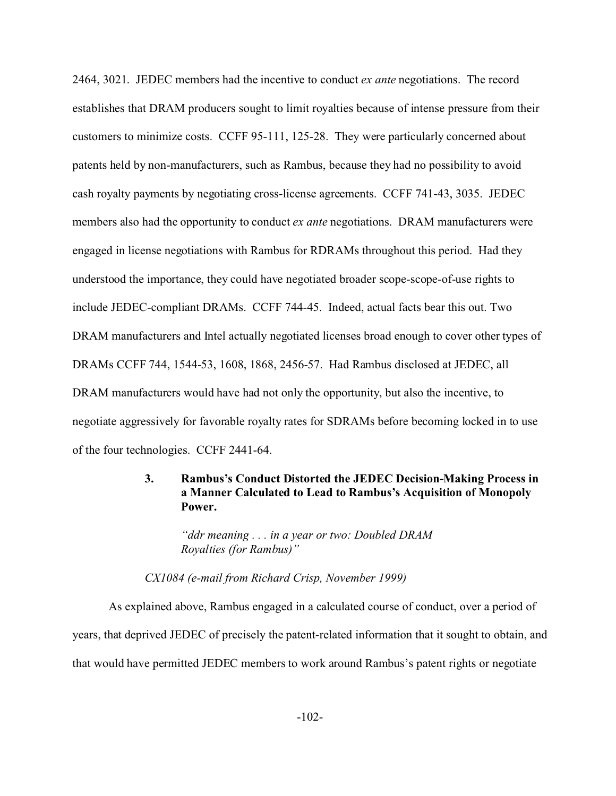2464, 3021. JEDEC members had the incentive to conduct *ex ante* negotiations. The record establishes that DRAM producers sought to limit royalties because of intense pressure from their customers to minimize costs. CCFF 95-111, 125-28. They were particularly concerned about patents held by non-manufacturers, such as Rambus, because they had no possibility to avoid cash royalty payments by negotiating cross-license agreements. CCFF 741-43, 3035. JEDEC members also had the opportunity to conduct *ex ante* negotiations. DRAM manufacturers were engaged in license negotiations with Rambus for RDRAMs throughout this period. Had they understood the importance, they could have negotiated broader scope-scope-of-use rights to include JEDEC-compliant DRAMs. CCFF 744-45. Indeed, actual facts bear this out. Two DRAM manufacturers and Intel actually negotiated licenses broad enough to cover other types of DRAMs CCFF 744, 1544-53, 1608, 1868, 2456-57. Had Rambus disclosed at JEDEC, all DRAM manufacturers would have had not only the opportunity, but also the incentive, to negotiate aggressively for favorable royalty rates for SDRAMs before becoming locked in to use of the four technologies. CCFF 2441-64.

# **3. Rambus's Conduct Distorted the JEDEC Decision-Making Process in a Manner Calculated to Lead to Rambus's Acquisition of Monopoly Power.**

*"ddr meaning . . . in a year or two: Doubled DRAM Royalties (for Rambus)"*

*CX1084 (e-mail from Richard Crisp, November 1999)*

As explained above, Rambus engaged in a calculated course of conduct, over a period of years, that deprived JEDEC of precisely the patent-related information that it sought to obtain, and that would have permitted JEDEC members to work around Rambus's patent rights or negotiate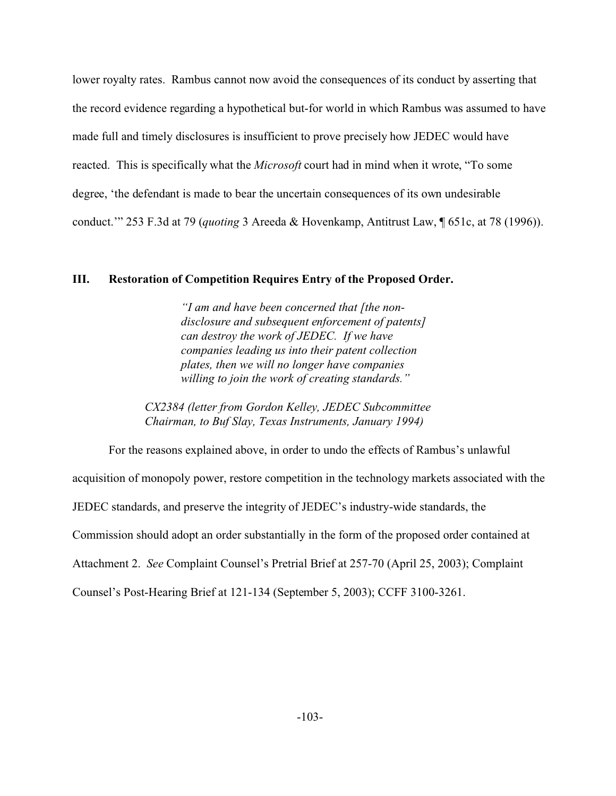lower royalty rates. Rambus cannot now avoid the consequences of its conduct by asserting that the record evidence regarding a hypothetical but-for world in which Rambus was assumed to have made full and timely disclosures is insufficient to prove precisely how JEDEC would have reacted. This is specifically what the *Microsoft* court had in mind when it wrote, "To some degree, 'the defendant is made to bear the uncertain consequences of its own undesirable conduct.'" 253 F.3d at 79 (*quoting* 3 Areeda & Hovenkamp, Antitrust Law, ¶ 651c, at 78 (1996)).

### **III. Restoration of Competition Requires Entry of the Proposed Order.**

*"I am and have been concerned that [the nondisclosure and subsequent enforcement of patents] can destroy the work of JEDEC. If we have companies leading us into their patent collection plates, then we will no longer have companies willing to join the work of creating standards."*

*CX2384 (letter from Gordon Kelley, JEDEC Subcommittee Chairman, to Buf Slay, Texas Instruments, January 1994)*

For the reasons explained above, in order to undo the effects of Rambus's unlawful acquisition of monopoly power, restore competition in the technology markets associated with the JEDEC standards, and preserve the integrity of JEDEC's industry-wide standards, the Commission should adopt an order substantially in the form of the proposed order contained at Attachment 2. *See* Complaint Counsel's Pretrial Brief at 257-70 (April 25, 2003); Complaint Counsel's Post-Hearing Brief at 121-134 (September 5, 2003); CCFF 3100-3261.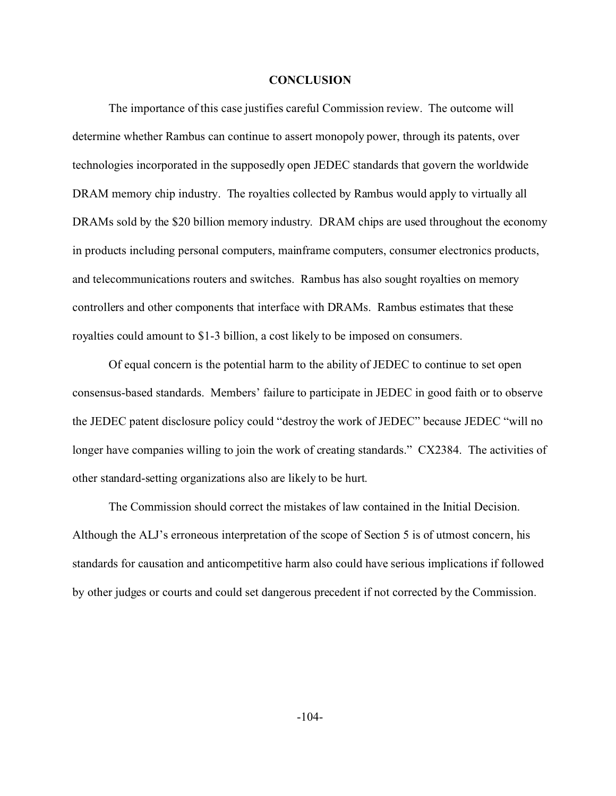### **CONCLUSION**

The importance of this case justifies careful Commission review. The outcome will determine whether Rambus can continue to assert monopoly power, through its patents, over technologies incorporated in the supposedly open JEDEC standards that govern the worldwide DRAM memory chip industry. The royalties collected by Rambus would apply to virtually all DRAMs sold by the \$20 billion memory industry. DRAM chips are used throughout the economy in products including personal computers, mainframe computers, consumer electronics products, and telecommunications routers and switches. Rambus has also sought royalties on memory controllers and other components that interface with DRAMs. Rambus estimates that these royalties could amount to \$1-3 billion, a cost likely to be imposed on consumers.

Of equal concern is the potential harm to the ability of JEDEC to continue to set open consensus-based standards. Members' failure to participate in JEDEC in good faith or to observe the JEDEC patent disclosure policy could "destroy the work of JEDEC" because JEDEC "will no longer have companies willing to join the work of creating standards." CX2384. The activities of other standard-setting organizations also are likely to be hurt.

The Commission should correct the mistakes of law contained in the Initial Decision. Although the ALJ's erroneous interpretation of the scope of Section 5 is of utmost concern, his standards for causation and anticompetitive harm also could have serious implications if followed by other judges or courts and could set dangerous precedent if not corrected by the Commission.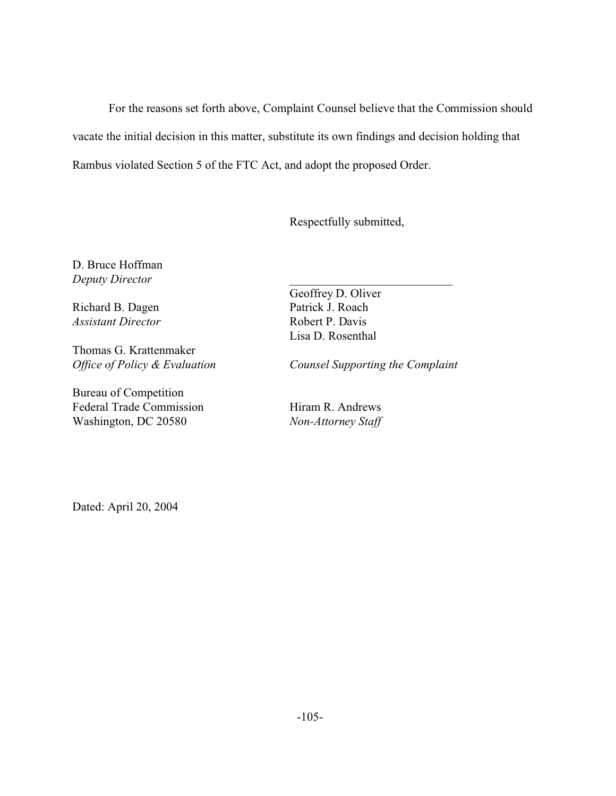For the reasons set forth above, Complaint Counsel believe that the Commission should vacate the initial decision in this matter, substitute its own findings and decision holding that Rambus violated Section 5 of the FTC Act, and adopt the proposed Order.

Respectfully submitted,

D. Bruce Hoffman *Deputy Director*

Richard B. Dagen *Assistant Director*

Thomas G. Krattenmaker *Office of Policy & Evaluation*

Bureau of Competition Federal Trade Commission Washington, DC 20580

Geoffrey D. Oliver Patrick J. Roach Robert P. Davis Lisa D. Rosenthal

*Counsel Supporting the Complaint*

\_\_\_\_\_\_\_\_\_\_\_\_\_\_\_\_\_\_\_\_\_\_\_\_\_\_\_

Hiram R. Andrews *Non-Attorney Staff*

Dated: April 20, 2004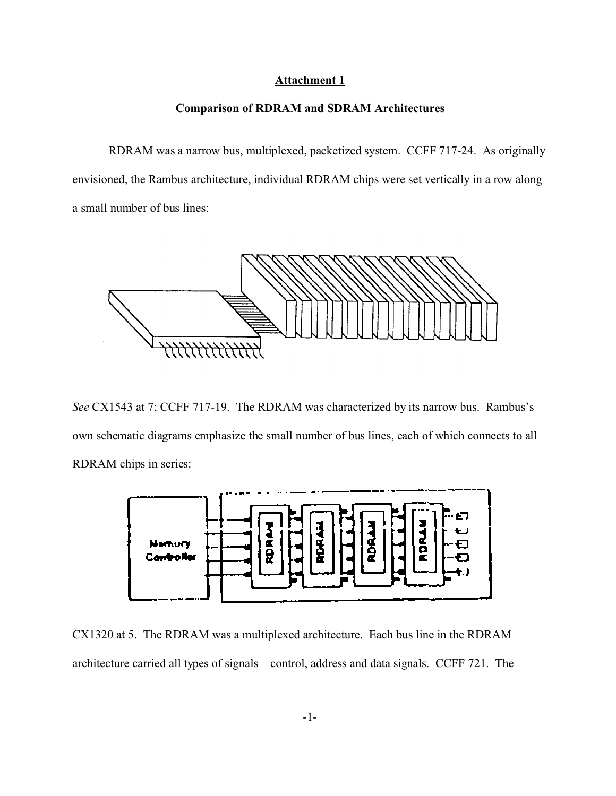### **Attachment 1**

### **Comparison of RDRAM and SDRAM Architectures**

RDRAM was a narrow bus, multiplexed, packetized system. CCFF 717-24. As originally envisioned, the Rambus architecture, individual RDRAM chips were set vertically in a row along a small number of bus lines:



*See* CX1543 at 7; CCFF 717-19. The RDRAM was characterized by its narrow bus. Rambus's own schematic diagrams emphasize the small number of bus lines, each of which connects to all RDRAM chips in series:



CX1320 at 5. The RDRAM was a multiplexed architecture. Each bus line in the RDRAM architecture carried all types of signals – control, address and data signals. CCFF 721. The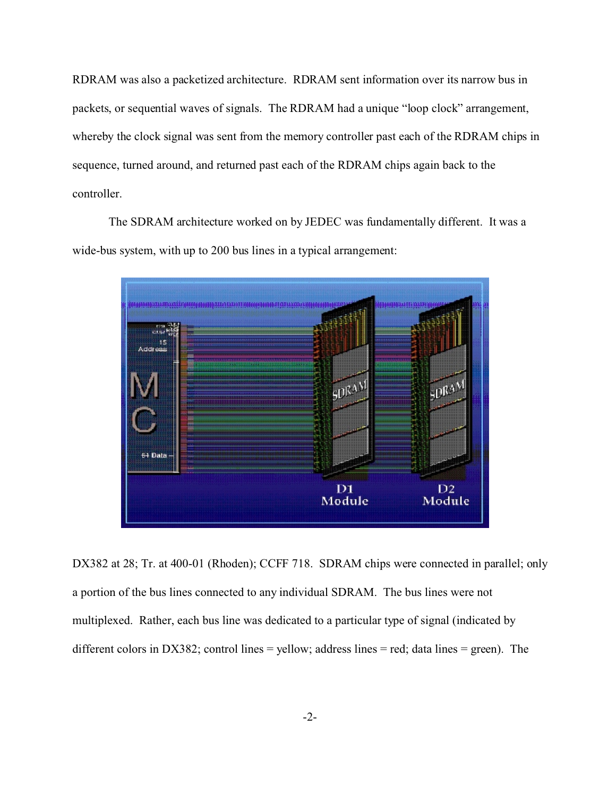RDRAM was also a packetized architecture. RDRAM sent information over its narrow bus in packets, or sequential waves of signals. The RDRAM had a unique "loop clock" arrangement, whereby the clock signal was sent from the memory controller past each of the RDRAM chips in sequence, turned around, and returned past each of the RDRAM chips again back to the controller.

The SDRAM architecture worked on by JEDEC was fundamentally different. It was a wide-bus system, with up to 200 bus lines in a typical arrangement:



DX382 at 28; Tr. at 400-01 (Rhoden); CCFF 718. SDRAM chips were connected in parallel; only a portion of the bus lines connected to any individual SDRAM. The bus lines were not multiplexed. Rather, each bus line was dedicated to a particular type of signal (indicated by different colors in DX382; control lines = yellow; address lines = red; data lines = green). The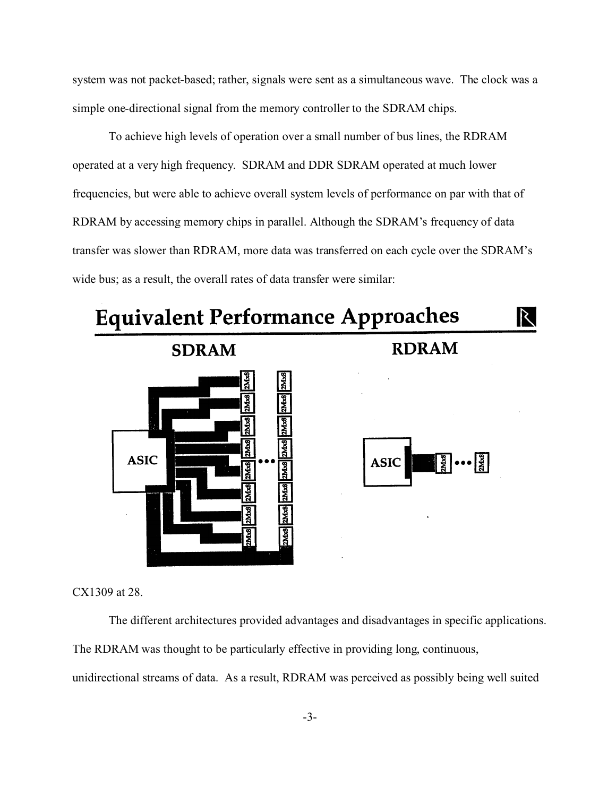system was not packet-based; rather, signals were sent as a simultaneous wave. The clock was a simple one-directional signal from the memory controller to the SDRAM chips.

To achieve high levels of operation over a small number of bus lines, the RDRAM operated at a very high frequency. SDRAM and DDR SDRAM operated at much lower frequencies, but were able to achieve overall system levels of performance on par with that of RDRAM by accessing memory chips in parallel. Although the SDRAM's frequency of data transfer was slower than RDRAM, more data was transferred on each cycle over the SDRAM's wide bus; as a result, the overall rates of data transfer were similar:



CX1309 at 28.

The different architectures provided advantages and disadvantages in specific applications. The RDRAM was thought to be particularly effective in providing long, continuous,

unidirectional streams of data. As a result, RDRAM was perceived as possibly being well suited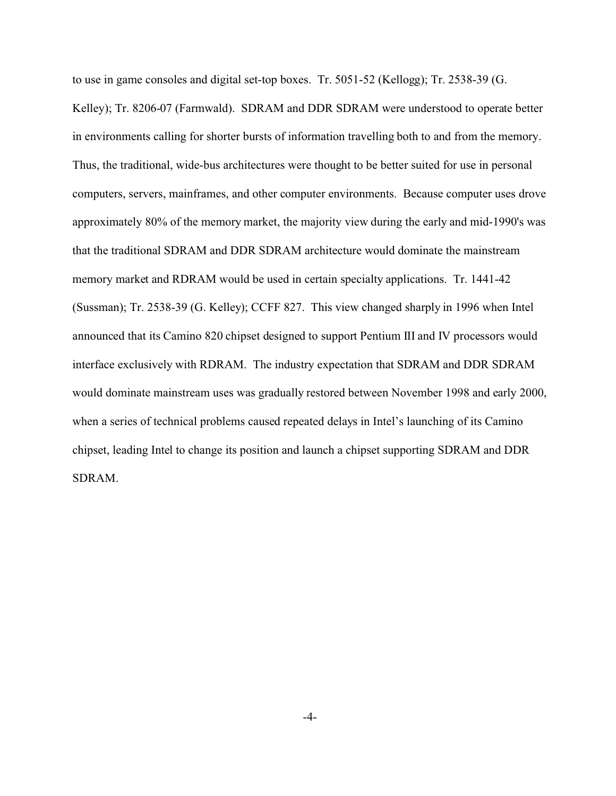to use in game consoles and digital set-top boxes. Tr. 5051-52 (Kellogg); Tr. 2538-39 (G.

Kelley); Tr. 8206-07 (Farmwald). SDRAM and DDR SDRAM were understood to operate better in environments calling for shorter bursts of information travelling both to and from the memory. Thus, the traditional, wide-bus architectures were thought to be better suited for use in personal computers, servers, mainframes, and other computer environments. Because computer uses drove approximately 80% of the memory market, the majority view during the early and mid-1990's was that the traditional SDRAM and DDR SDRAM architecture would dominate the mainstream memory market and RDRAM would be used in certain specialty applications. Tr. 1441-42 (Sussman); Tr. 2538-39 (G. Kelley); CCFF 827. This view changed sharply in 1996 when Intel announced that its Camino 820 chipset designed to support Pentium III and IV processors would interface exclusively with RDRAM. The industry expectation that SDRAM and DDR SDRAM would dominate mainstream uses was gradually restored between November 1998 and early 2000, when a series of technical problems caused repeated delays in Intel's launching of its Camino chipset, leading Intel to change its position and launch a chipset supporting SDRAM and DDR SDRAM.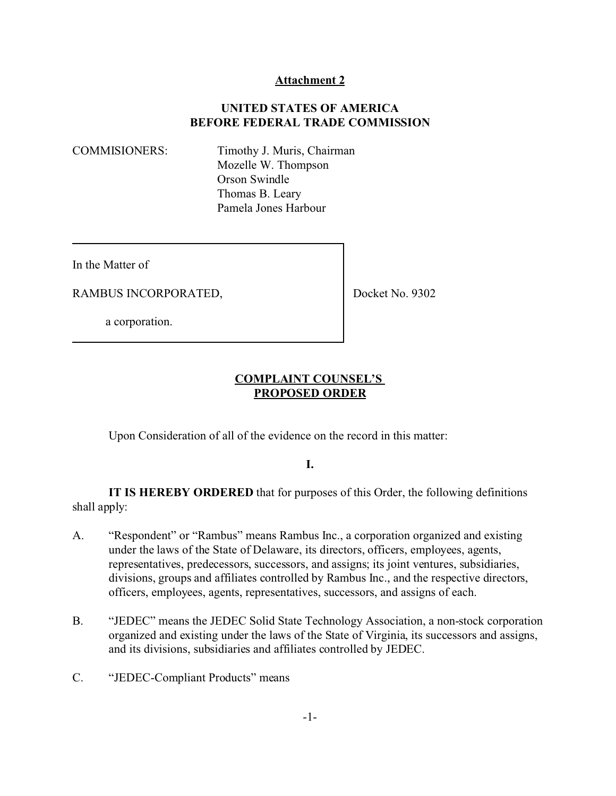## **Attachment 2**

# **UNITED STATES OF AMERICA BEFORE FEDERAL TRADE COMMISSION**

COMMISIONERS: Timothy J. Muris, Chairman Mozelle W. Thompson Orson Swindle Thomas B. Leary Pamela Jones Harbour

In the Matter of

RAMBUS INCORPORATED,

Docket No. 9302

a corporation.

## **COMPLAINT COUNSEL'S PROPOSED ORDER**

Upon Consideration of all of the evidence on the record in this matter:

# **I.**

**IT IS HEREBY ORDERED** that for purposes of this Order, the following definitions shall apply:

- A. "Respondent" or "Rambus" means Rambus Inc., a corporation organized and existing under the laws of the State of Delaware, its directors, officers, employees, agents, representatives, predecessors, successors, and assigns; its joint ventures, subsidiaries, divisions, groups and affiliates controlled by Rambus Inc., and the respective directors, officers, employees, agents, representatives, successors, and assigns of each.
- B. "JEDEC" means the JEDEC Solid State Technology Association, a non-stock corporation organized and existing under the laws of the State of Virginia, its successors and assigns, and its divisions, subsidiaries and affiliates controlled by JEDEC.
- C. "JEDEC-Compliant Products" means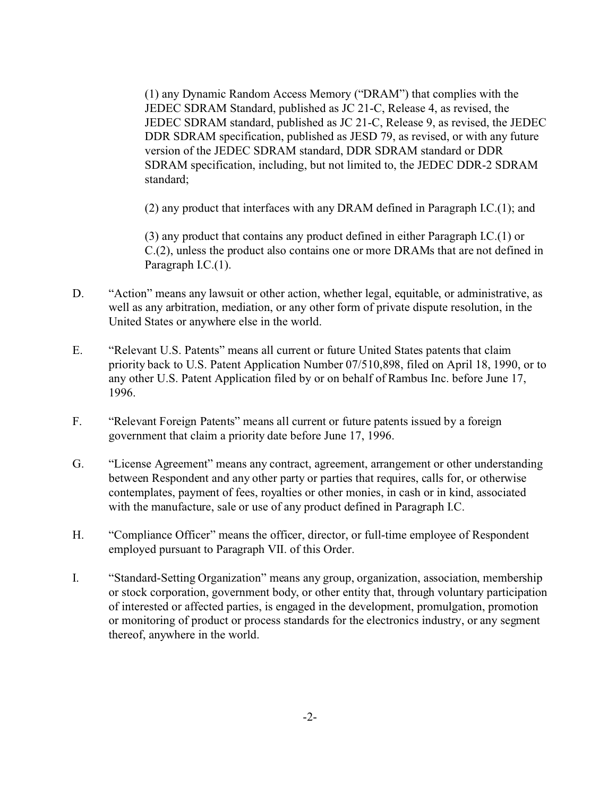(1) any Dynamic Random Access Memory ("DRAM") that complies with the JEDEC SDRAM Standard, published as JC 21-C, Release 4, as revised, the JEDEC SDRAM standard, published as JC 21-C, Release 9, as revised, the JEDEC DDR SDRAM specification, published as JESD 79, as revised, or with any future version of the JEDEC SDRAM standard, DDR SDRAM standard or DDR SDRAM specification, including, but not limited to, the JEDEC DDR-2 SDRAM standard;

(2) any product that interfaces with any DRAM defined in Paragraph I.C.(1); and

(3) any product that contains any product defined in either Paragraph I.C.(1) or C.(2), unless the product also contains one or more DRAMs that are not defined in Paragraph I.C.(1).

- D. "Action" means any lawsuit or other action, whether legal, equitable, or administrative, as well as any arbitration, mediation, or any other form of private dispute resolution, in the United States or anywhere else in the world.
- E. "Relevant U.S. Patents" means all current or future United States patents that claim priority back to U.S. Patent Application Number 07/510,898, filed on April 18, 1990, or to any other U.S. Patent Application filed by or on behalf of Rambus Inc. before June 17, 1996.
- F. "Relevant Foreign Patents" means all current or future patents issued by a foreign government that claim a priority date before June 17, 1996.
- G. "License Agreement" means any contract, agreement, arrangement or other understanding between Respondent and any other party or parties that requires, calls for, or otherwise contemplates, payment of fees, royalties or other monies, in cash or in kind, associated with the manufacture, sale or use of any product defined in Paragraph I.C.
- H. "Compliance Officer" means the officer, director, or full-time employee of Respondent employed pursuant to Paragraph VII. of this Order.
- I. "Standard-Setting Organization" means any group, organization, association, membership or stock corporation, government body, or other entity that, through voluntary participation of interested or affected parties, is engaged in the development, promulgation, promotion or monitoring of product or process standards for the electronics industry, or any segment thereof, anywhere in the world.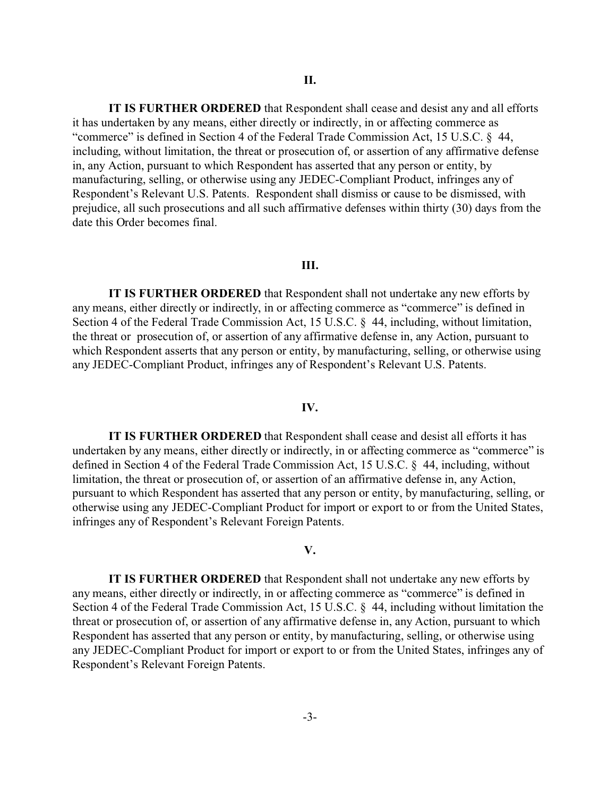**IT IS FURTHER ORDERED** that Respondent shall cease and desist any and all efforts it has undertaken by any means, either directly or indirectly, in or affecting commerce as "commerce" is defined in Section 4 of the Federal Trade Commission Act, 15 U.S.C. § 44, including, without limitation, the threat or prosecution of, or assertion of any affirmative defense in, any Action, pursuant to which Respondent has asserted that any person or entity, by manufacturing, selling, or otherwise using any JEDEC-Compliant Product, infringes any of Respondent's Relevant U.S. Patents. Respondent shall dismiss or cause to be dismissed, with prejudice, all such prosecutions and all such affirmative defenses within thirty (30) days from the date this Order becomes final.

### **III.**

**IT IS FURTHER ORDERED** that Respondent shall not undertake any new efforts by any means, either directly or indirectly, in or affecting commerce as "commerce" is defined in Section 4 of the Federal Trade Commission Act, 15 U.S.C. § 44, including, without limitation, the threat or prosecution of, or assertion of any affirmative defense in, any Action, pursuant to which Respondent asserts that any person or entity, by manufacturing, selling, or otherwise using any JEDEC-Compliant Product, infringes any of Respondent's Relevant U.S. Patents.

#### **IV.**

**IT IS FURTHER ORDERED** that Respondent shall cease and desist all efforts it has undertaken by any means, either directly or indirectly, in or affecting commerce as "commerce" is defined in Section 4 of the Federal Trade Commission Act, 15 U.S.C. § 44, including, without limitation, the threat or prosecution of, or assertion of an affirmative defense in, any Action, pursuant to which Respondent has asserted that any person or entity, by manufacturing, selling, or otherwise using any JEDEC-Compliant Product for import or export to or from the United States, infringes any of Respondent's Relevant Foreign Patents.

#### **V.**

**IT IS FURTHER ORDERED** that Respondent shall not undertake any new efforts by any means, either directly or indirectly, in or affecting commerce as "commerce" is defined in Section 4 of the Federal Trade Commission Act, 15 U.S.C. § 44, including without limitation the threat or prosecution of, or assertion of any affirmative defense in, any Action, pursuant to which Respondent has asserted that any person or entity, by manufacturing, selling, or otherwise using any JEDEC-Compliant Product for import or export to or from the United States, infringes any of Respondent's Relevant Foreign Patents.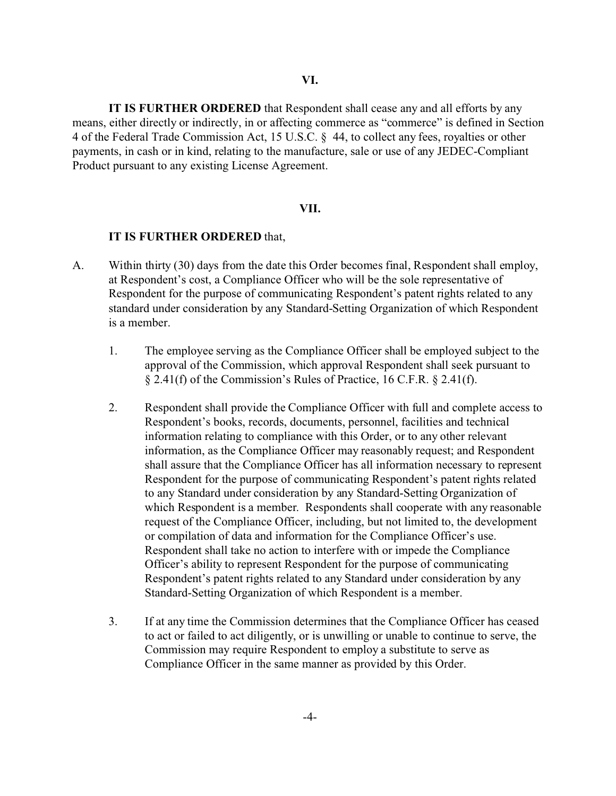**IT IS FURTHER ORDERED** that Respondent shall cease any and all efforts by any means, either directly or indirectly, in or affecting commerce as "commerce" is defined in Section 4 of the Federal Trade Commission Act, 15 U.S.C. § 44, to collect any fees, royalties or other payments, in cash or in kind, relating to the manufacture, sale or use of any JEDEC-Compliant Product pursuant to any existing License Agreement.

#### **VII.**

### **IT IS FURTHER ORDERED** that,

- A. Within thirty (30) days from the date this Order becomes final, Respondent shall employ, at Respondent's cost, a Compliance Officer who will be the sole representative of Respondent for the purpose of communicating Respondent's patent rights related to any standard under consideration by any Standard-Setting Organization of which Respondent is a member.
	- 1. The employee serving as the Compliance Officer shall be employed subject to the approval of the Commission, which approval Respondent shall seek pursuant to § 2.41(f) of the Commission's Rules of Practice, 16 C.F.R. § 2.41(f).
	- 2. Respondent shall provide the Compliance Officer with full and complete access to Respondent's books, records, documents, personnel, facilities and technical information relating to compliance with this Order, or to any other relevant information, as the Compliance Officer may reasonably request; and Respondent shall assure that the Compliance Officer has all information necessary to represent Respondent for the purpose of communicating Respondent's patent rights related to any Standard under consideration by any Standard-Setting Organization of which Respondent is a member. Respondents shall cooperate with any reasonable request of the Compliance Officer, including, but not limited to, the development or compilation of data and information for the Compliance Officer's use. Respondent shall take no action to interfere with or impede the Compliance Officer's ability to represent Respondent for the purpose of communicating Respondent's patent rights related to any Standard under consideration by any Standard-Setting Organization of which Respondent is a member.
	- 3. If at any time the Commission determines that the Compliance Officer has ceased to act or failed to act diligently, or is unwilling or unable to continue to serve, the Commission may require Respondent to employ a substitute to serve as Compliance Officer in the same manner as provided by this Order.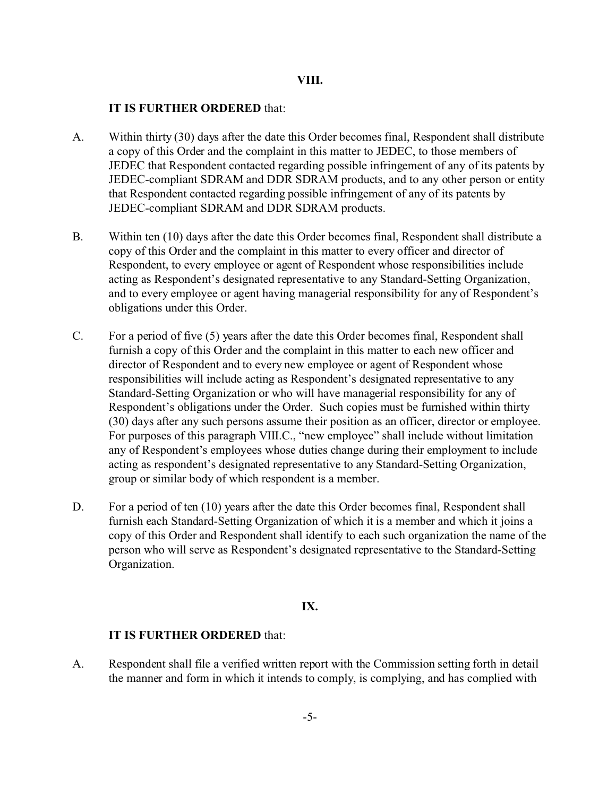### **VIII.**

### **IT IS FURTHER ORDERED** that:

- A. Within thirty (30) days after the date this Order becomes final, Respondent shall distribute a copy of this Order and the complaint in this matter to JEDEC, to those members of JEDEC that Respondent contacted regarding possible infringement of any of its patents by JEDEC-compliant SDRAM and DDR SDRAM products, and to any other person or entity that Respondent contacted regarding possible infringement of any of its patents by JEDEC-compliant SDRAM and DDR SDRAM products.
- B. Within ten (10) days after the date this Order becomes final, Respondent shall distribute a copy of this Order and the complaint in this matter to every officer and director of Respondent, to every employee or agent of Respondent whose responsibilities include acting as Respondent's designated representative to any Standard-Setting Organization, and to every employee or agent having managerial responsibility for any of Respondent's obligations under this Order.
- C. For a period of five (5) years after the date this Order becomes final, Respondent shall furnish a copy of this Order and the complaint in this matter to each new officer and director of Respondent and to every new employee or agent of Respondent whose responsibilities will include acting as Respondent's designated representative to any Standard-Setting Organization or who will have managerial responsibility for any of Respondent's obligations under the Order. Such copies must be furnished within thirty (30) days after any such persons assume their position as an officer, director or employee. For purposes of this paragraph VIII.C., "new employee" shall include without limitation any of Respondent's employees whose duties change during their employment to include acting as respondent's designated representative to any Standard-Setting Organization, group or similar body of which respondent is a member.
- D. For a period of ten (10) years after the date this Order becomes final, Respondent shall furnish each Standard-Setting Organization of which it is a member and which it joins a copy of this Order and Respondent shall identify to each such organization the name of the person who will serve as Respondent's designated representative to the Standard-Setting Organization.

## **IX.**

## **IT IS FURTHER ORDERED** that:

A. Respondent shall file a verified written report with the Commission setting forth in detail the manner and form in which it intends to comply, is complying, and has complied with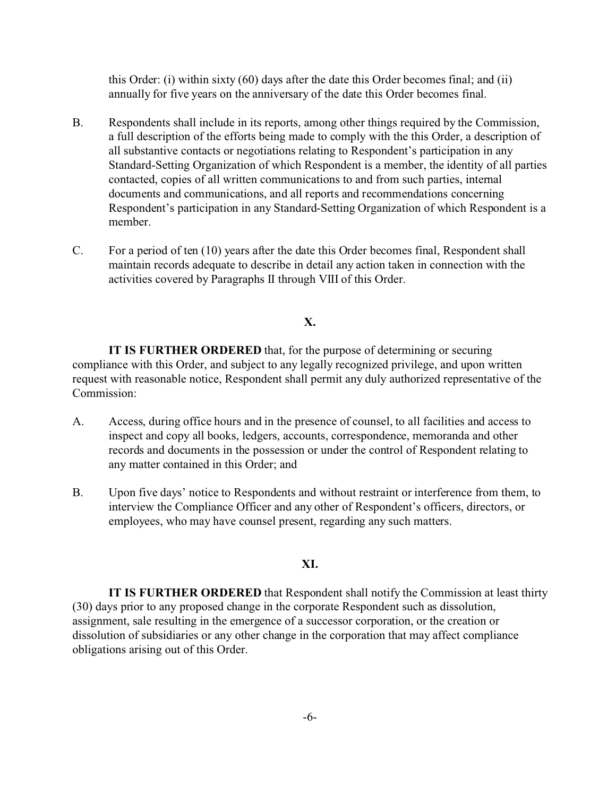this Order: (i) within sixty (60) days after the date this Order becomes final; and (ii) annually for five years on the anniversary of the date this Order becomes final.

- B. Respondents shall include in its reports, among other things required by the Commission, a full description of the efforts being made to comply with the this Order, a description of all substantive contacts or negotiations relating to Respondent's participation in any Standard-Setting Organization of which Respondent is a member, the identity of all parties contacted, copies of all written communications to and from such parties, internal documents and communications, and all reports and recommendations concerning Respondent's participation in any Standard-Setting Organization of which Respondent is a member.
- C. For a period of ten (10) years after the date this Order becomes final, Respondent shall maintain records adequate to describe in detail any action taken in connection with the activities covered by Paragraphs II through VIII of this Order.

## **X.**

**IT IS FURTHER ORDERED** that, for the purpose of determining or securing compliance with this Order, and subject to any legally recognized privilege, and upon written request with reasonable notice, Respondent shall permit any duly authorized representative of the Commission:

- A. Access, during office hours and in the presence of counsel, to all facilities and access to inspect and copy all books, ledgers, accounts, correspondence, memoranda and other records and documents in the possession or under the control of Respondent relating to any matter contained in this Order; and
- B. Upon five days' notice to Respondents and without restraint or interference from them, to interview the Compliance Officer and any other of Respondent's officers, directors, or employees, who may have counsel present, regarding any such matters.

## **XI.**

**IT IS FURTHER ORDERED** that Respondent shall notify the Commission at least thirty (30) days prior to any proposed change in the corporate Respondent such as dissolution, assignment, sale resulting in the emergence of a successor corporation, or the creation or dissolution of subsidiaries or any other change in the corporation that may affect compliance obligations arising out of this Order.